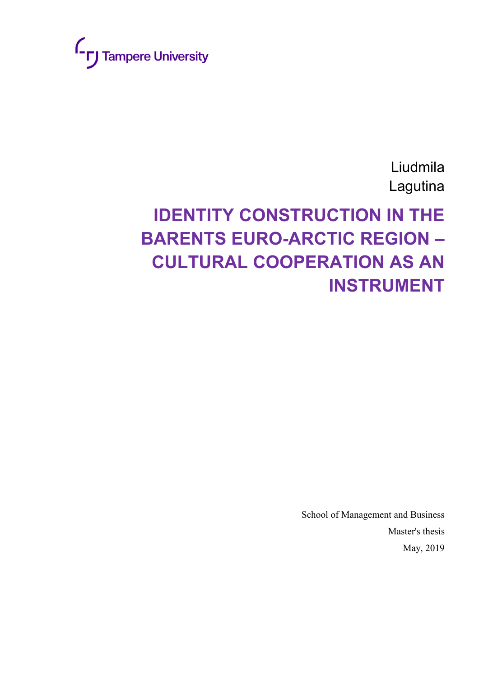

Liudmila Lagutina

# **IDENTITY CONSTRUCTION IN THE BARENTS EURO-ARCTIC REGION – CULTURAL COOPERATION AS AN INSTRUMENT**

School of Management and Business Master's thesis May, 2019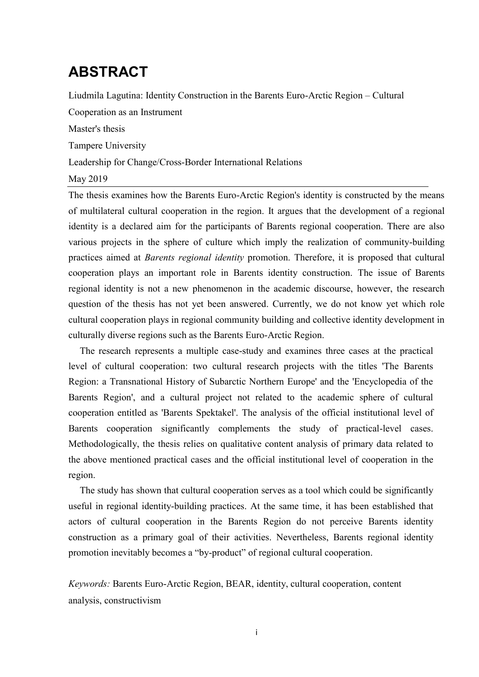# **ABSTRACT**

Liudmila Lagutina: Identity Construction in the Barents Euro-Arctic Region – Cultural

Cooperation as an Instrument

Master's thesis

Tampere University

Leadership for Change/Cross-Border International Relations

#### May 2019

The thesis examines how the Barents Euro-Arctic Region's identity is constructed by the means of multilateral cultural cooperation in the region. It argues that the development of a regional identity is a declared aim for the participants of Barents regional cooperation. There are also various projects in the sphere of culture which imply the realization of community-building practices aimed at *Barents regional identity* promotion. Therefore, it is proposed that cultural cooperation plays an important role in Barents identity construction. The issue of Barents regional identity is not a new phenomenon in the academic discourse, however, the research question of the thesis has not yet been answered. Currently, we do not know yet which role cultural cooperation plays in regional community building and collective identity development in culturally diverse regions such as the Barents Euro-Arctic Region.

The research represents a multiple case-study and examines three cases at the practical level of cultural cooperation: two cultural research projects with the titles 'The Barents Region: a Transnational History of Subarctic Northern Europe' and the 'Encyclopedia of the Barents Region', and a cultural project not related to the academic sphere of cultural cooperation entitled as 'Barents Spektakel'. The analysis of the official institutional level of Barents cooperation significantly complements the study of practical-level cases. Methodologically, the thesis relies on qualitative content analysis of primary data related to the above mentioned practical cases and the official institutional level of cooperation in the region.

The study has shown that cultural cooperation serves as a tool which could be significantly useful in regional identity-building practices. At the same time, it has been established that actors of cultural cooperation in the Barents Region do not perceive Barents identity construction as a primary goal of their activities. Nevertheless, Barents regional identity promotion inevitably becomes a "by-product" of regional cultural cooperation.

*Keywords:* Barents Euro-Arctic Region, BEAR, identity, cultural cooperation, content analysis, constructivism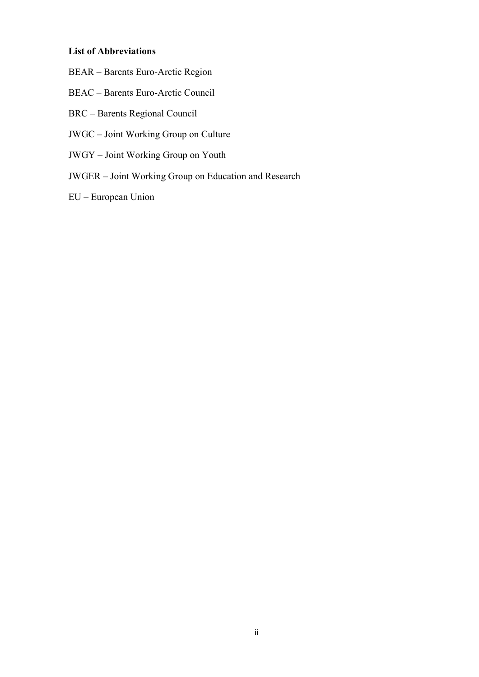#### **List of Abbreviations**

- BEAR Barents Euro-Arctic Region
- BEAC Barents Euro-Arctic Council
- BRC Barents Regional Council
- JWGC Joint Working Group on Culture
- JWGY Joint Working Group on Youth
- JWGER Joint Working Group on Education and Research
- EU European Union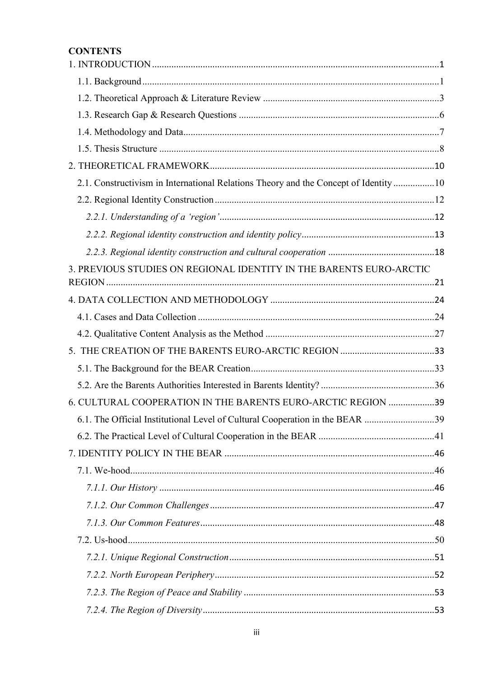## **CONTENTS**

| 2.1. Constructivism in International Relations Theory and the Concept of Identity10 |  |
|-------------------------------------------------------------------------------------|--|
|                                                                                     |  |
|                                                                                     |  |
|                                                                                     |  |
|                                                                                     |  |
| 3. PREVIOUS STUDIES ON REGIONAL IDENTITY IN THE BARENTS EURO-ARCTIC                 |  |
|                                                                                     |  |
|                                                                                     |  |
|                                                                                     |  |
|                                                                                     |  |
|                                                                                     |  |
|                                                                                     |  |
|                                                                                     |  |
| 6. CULTURAL COOPERATION IN THE BARENTS EURO-ARCTIC REGION 39                        |  |
| 6.1. The Official Institutional Level of Cultural Cooperation in the BEAR 39        |  |
|                                                                                     |  |
|                                                                                     |  |
|                                                                                     |  |
|                                                                                     |  |
|                                                                                     |  |
|                                                                                     |  |
|                                                                                     |  |
|                                                                                     |  |
|                                                                                     |  |
|                                                                                     |  |
|                                                                                     |  |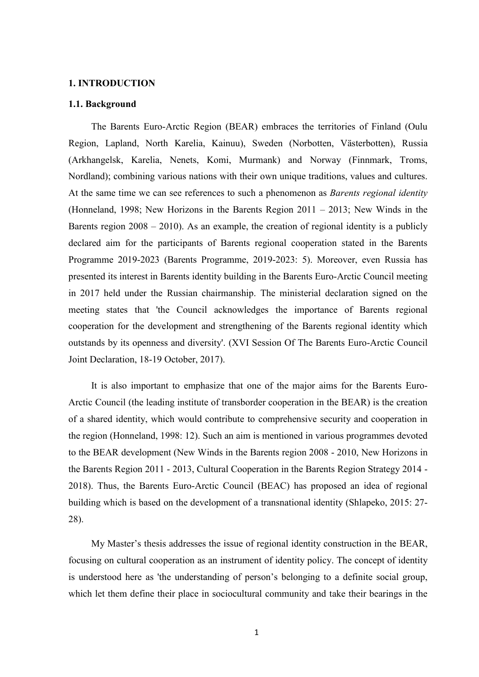#### <span id="page-5-0"></span>**1. INTRODUCTION**

#### <span id="page-5-1"></span>**1.1. Background**

The Barents Euro-Arctic Region (BEAR) embraces the territories of Finland (Oulu Region, Lapland, North Karelia, Kainuu), Sweden (Norbotten, Västerbotten), Russia (Arkhangelsk, Karelia, Nenets, Komi, Murmank) and Norway (Finnmark, Troms, Nordland); combining various nations with their own unique traditions, values and cultures. At the same time we can see references to such a phenomenon as *Barents regional identity* (Honneland, 1998; New Horizons in the Barents Region 2011 – 2013; New Winds in the Barents region 2008 – 2010). As an example, the creation of regional identity is a publicly declared aim for the participants of Barents regional cooperation stated in the Barents Programme 2019-2023 (Barents Programme, 2019-2023: 5). Moreover, even Russia has presented its interest in Barents identity building in the Barents Euro-Arctic Council meeting in 2017 held under the Russian chairmanship. The ministerial declaration signed on the meeting states that 'the Council acknowledges the importance of Barents regional cooperation for the development and strengthening of the Barents regional identity which outstands by its openness and diversity'. (XVI Session Of The Barents Euro-Arctic Council Joint Declaration, 18-19 October, 2017).

It is also important to emphasize that one of the major aims for the Barents Euro-Arctic Council (the leading institute of transborder cooperation in the BEAR) is the creation of a shared identity, which would contribute to comprehensive security and cooperation in the region (Honneland, 1998: 12). Such an aim is mentioned in various programmes devoted to the BEAR development (New Winds in the Barents region 2008 - 2010, New Horizons in the Barents Region 2011 - 2013, Cultural Cooperation in the Barents Region Strategy 2014 - 2018). Thus, the Barents Euro-Arctic Council (BEAC) has proposed an idea of regional building which is based on the development of a transnational identity (Shlapeko, 2015: 27- 28).

My Master's thesis addresses the issue of regional identity construction in the BEAR, focusing on cultural cooperation as an instrument of identity policy. The concept of identity is understood here as 'the understanding of person"s belonging to a definite social group, which let them define their place in sociocultural community and take their bearings in the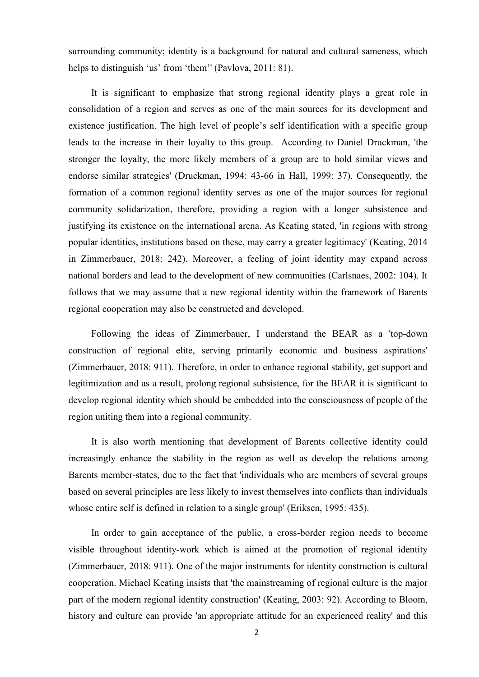surrounding community; identity is a background for natural and cultural sameness, which helps to distinguish 'us' from 'them'' (Pavlova, 2011: 81).

It is significant to emphasize that strong regional identity plays a great role in consolidation of a region and serves as one of the main sources for its development and existence justification. The high level of people's self identification with a specific group leads to the increase in their loyalty to this group. According to Daniel Druckman, 'the stronger the loyalty, the more likely members of a group are to hold similar views and endorse similar strategies' (Druckman, 1994: 43-66 in Hall, 1999: 37). Consequently, the formation of a common regional identity serves as one of the major sources for regional community solidarization, therefore, providing a region with a longer subsistence and justifying its existence on the international arena. As Keating stated, 'in regions with strong popular identities, institutions based on these, may carry a greater legitimacy' (Keating, 2014 in Zimmerbauer, 2018: 242). Moreover, a feeling of joint identity may expand across national borders and lead to the development of new communities (Carlsnaes, 2002: 104). It follows that we may assume that a new regional identity within the framework of Barents regional cooperation may also be constructed and developed.

Following the ideas of Zimmerbauer, I understand the BEAR as a 'top-down construction of regional elite, serving primarily economic and business aspirations' (Zimmerbauer, 2018: 911). Therefore, in order to enhance regional stability, get support and legitimization and as a result, prolong regional subsistence, for the BEAR it is significant to develop regional identity which should be embedded into the consciousness of people of the region uniting them into a regional community.

It is also worth mentioning that development of Barents collective identity could increasingly enhance the stability in the region as well as develop the relations among Barents member-states, due to the fact that 'individuals who are members of several groups based on several principles are less likely to invest themselves into conflicts than individuals whose entire self is defined in relation to a single group' (Eriksen, 1995: 435).

In order to gain acceptance of the public, a cross-border region needs to become visible throughout identity-work which is aimed at the promotion of regional identity (Zimmerbauer, 2018: 911). One of the major instruments for identity construction is cultural cooperation. Michael Keating insists that 'the mainstreaming of regional culture is the major part of the modern regional identity construction' (Keating, 2003: 92). According to Bloom, history and culture can provide 'an appropriate attitude for an experienced reality' and this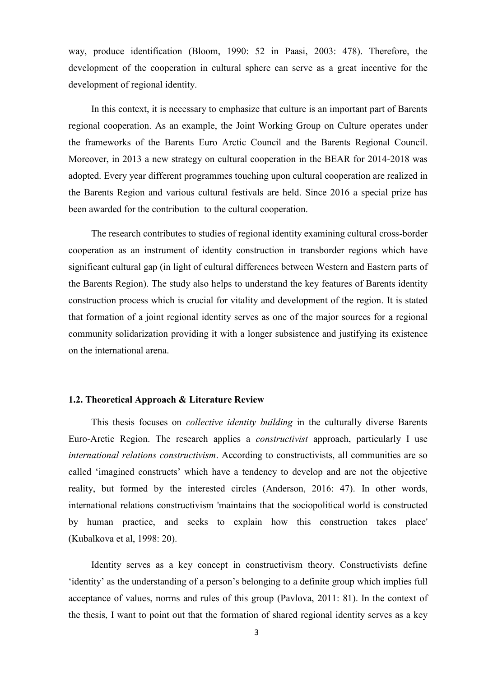way, produce identification (Bloom, 1990: 52 in Paasi, 2003: 478). Therefore, the development of the cooperation in cultural sphere can serve as a great incentive for the development of regional identity.

In this context, it is necessary to emphasize that culture is an important part of Barents regional cooperation. As an example, the Joint Working Group on Culture operates under the frameworks of the Barents Euro Arctic Council and the Barents Regional Council. Moreover, in 2013 a new strategy on cultural cooperation in the BEAR for 2014-2018 was adopted. Every year different programmes touching upon cultural cooperation are realized in the Barents Region and various cultural festivals are held. Since 2016 a special prize has been awarded for the contribution to the cultural cooperation.

The research contributes to studies of regional identity examining cultural cross-border cooperation as an instrument of identity construction in transborder regions which have significant cultural gap (in light of cultural differences between Western and Eastern parts of the Barents Region). The study also helps to understand the key features of Barents identity construction process which is crucial for vitality and development of the region. It is stated that formation of a joint regional identity serves as one of the major sources for a regional community solidarization providing it with a longer subsistence and justifying its existence on the international arena.

#### <span id="page-7-0"></span>**1.2. Theoretical Approach & Literature Review**

This thesis focuses on *collective identity building* in the culturally diverse Barents Euro-Arctic Region. The research applies a *constructivist* approach, particularly I use *international relations constructivism*. According to constructivists, all communities are so called "imagined constructs" which have a tendency to develop and are not the objective reality, but formed by the interested circles (Anderson, 2016: 47). In other words, international relations constructivism 'maintains that the sociopolitical world is constructed by human practice, and seeks to explain how this construction takes place' (Kubalkova et al, 1998: 20).

Identity serves as a key concept in constructivism theory. Constructivists define "identity" as the understanding of a person"s belonging to a definite group which implies full acceptance of values, norms and rules of this group (Pavlova, 2011: 81). In the context of the thesis, I want to point out that the formation of shared regional identity serves as a key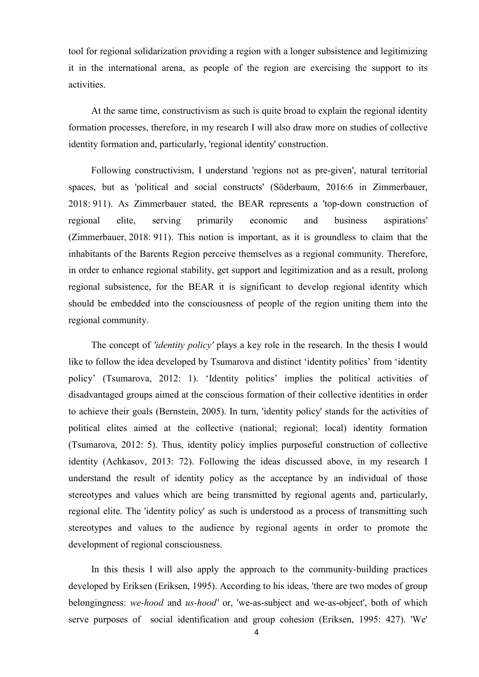tool for regional solidarization providing a region with a longer subsistence and legitimizing it in the international arena, as people of the region are exercising the support to its activities.

At the same time, constructivism as such is quite broad to explain the regional identity formation processes, therefore, in my research I will also draw more on studies of collective identity formation and, particularly, 'regional identity' construction.

Following constructivism, I understand 'regions not as pre-given', natural territorial spaces, but as 'political and social constructs' (Söderbaum, 2016:6 in Zimmerbauer, 2018: 911). As Zimmerbauer stated, the BEAR represents a 'top-down construction of regional elite, serving primarily economic and business aspirations' (Zimmerbauer, 2018: 911). This notion is important, as it is groundless to claim that the inhabitants of the Barents Region perceive themselves as a regional community. Therefore, in order to enhance regional stability, get support and legitimization and as a result, prolong regional subsistence, for the BEAR it is significant to develop regional identity which should be embedded into the consciousness of people of the region uniting them into the regional community.

The concept of *'identity policy'* plays a key role in the research. In the thesis I would like to follow the idea developed by Tsumarova and distinct 'identity politics' from 'identity policy" (Tsumarova, 2012: 1). "Identity politics" implies the political activities of disadvantaged groups aimed at the conscious formation of their collective identities in order to achieve their goals (Bernstein, 2005). In turn, 'identity policy' stands for the activities of political elites aimed at the collective (national; regional; local) identity formation (Tsumarova, 2012: 5). Thus, identity policy implies purposeful construction of collective identity (Achkasov, 2013: 72). Following the ideas discussed above, in my research I understand the result of identity policy as the acceptance by an individual of those stereotypes and values which are being transmitted by regional agents and, particularly, regional elite. The 'identity policy' as such is understood as a process of transmitting such stereotypes and values to the audience by regional agents in order to promote the development of regional consciousness.

In this thesis I will also apply the approach to the community-building practices developed by Eriksen (Eriksen, 1995). According to his ideas, 'there are two modes of group belongingness: *we-hood* and *us-hood'* or, 'we-as-subject and we-as-object', both of which serve purposes of social identification and group cohesion (Eriksen, 1995: 427). 'We'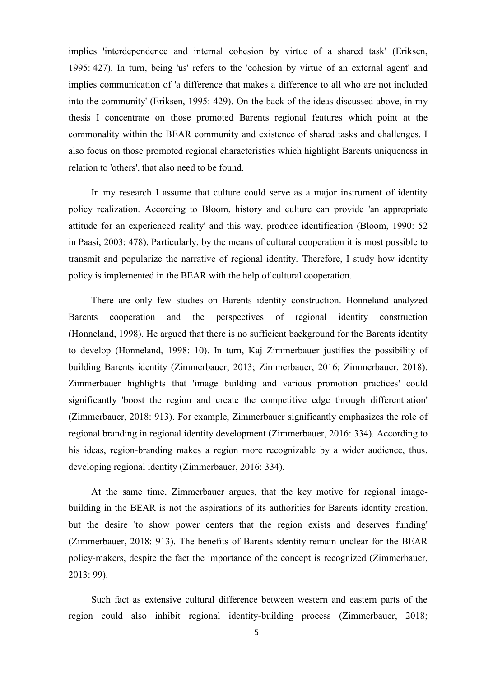implies 'interdependence and internal cohesion by virtue of a shared task' (Eriksen, 1995: 427). In turn, being 'us' refers to the 'cohesion by virtue of an external agent' and implies communication of 'a difference that makes a difference to all who are not included into the community' (Eriksen, 1995: 429). On the back of the ideas discussed above, in my thesis I concentrate on those promoted Barents regional features which point at the commonality within the BEAR community and existence of shared tasks and challenges. I also focus on those promoted regional characteristics which highlight Barents uniqueness in relation to 'others', that also need to be found.

In my research I assume that culture could serve as a major instrument of identity policy realization. According to Bloom, history and culture can provide 'an appropriate attitude for an experienced reality' and this way, produce identification (Bloom, 1990: 52 in Paasi, 2003: 478). Particularly, by the means of cultural cooperation it is most possible to transmit and popularize the narrative of regional identity. Therefore, I study how identity policy is implemented in the BEAR with the help of cultural cooperation.

There are only few studies on Barents identity construction. Honneland analyzed Barents cooperation and the perspectives of regional identity construction (Honneland, 1998). He argued that there is no sufficient background for the Barents identity to develop (Honneland, 1998: 10). In turn, Kaj Zimmerbauer justifies the possibility of building Barents identity (Zimmerbauer, 2013; Zimmerbauer, 2016; Zimmerbauer, 2018). Zimmerbauer highlights that 'image building and various promotion practices' could significantly 'boost the region and create the competitive edge through differentiation' (Zimmerbauer, 2018: 913). For example, Zimmerbauer significantly emphasizes the role of regional branding in regional identity development (Zimmerbauer, 2016: 334). According to his ideas, region-branding makes a region more recognizable by a wider audience, thus, developing regional identity (Zimmerbauer, 2016: 334).

At the same time, Zimmerbauer argues, that the key motive for regional imagebuilding in the BEAR is not the aspirations of its authorities for Barents identity creation, but the desire 'to show power centers that the region exists and deserves funding' (Zimmerbauer, 2018: 913). The benefits of Barents identity remain unclear for the BEAR policy-makers, despite the fact the importance of the concept is recognized (Zimmerbauer, 2013: 99).

Such fact as extensive cultural difference between western and eastern parts of the region could also inhibit regional identity-building process (Zimmerbauer, 2018;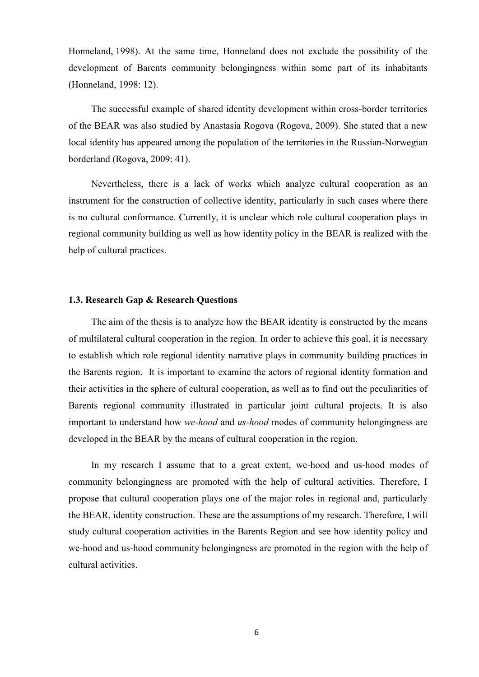Honneland, 1998). At the same time, Honneland does not exclude the possibility of the development of Barents community belongingness within some part of its inhabitants (Honneland, 1998: 12).

The successful example of shared identity development within cross-border territories of the BEAR was also studied by Anastasia Rogova (Rogova, 2009). She stated that a new local identity has appeared among the population of the territories in the Russian-Norwegian borderland (Rogova, 2009: 41).

Nevertheless, there is a lack of works which analyze cultural cooperation as an instrument for the construction of collective identity, particularly in such cases where there is no cultural conformance. Currently, it is unclear which role cultural cooperation plays in regional community building as well as how identity policy in the BEAR is realized with the help of cultural practices.

#### <span id="page-10-0"></span>**1.3. Research Gap & Research Questions**

The aim of the thesis is to analyze how the BEAR identity is constructed by the means of multilateral cultural cooperation in the region. In order to achieve this goal, it is necessary to establish which role regional identity narrative plays in community building practices in the Barents region. It is important to examine the actors of regional identity formation and their activities in the sphere of cultural cooperation, as well as to find out the peculiarities of Barents regional community illustrated in particular joint cultural projects. It is also important to understand how *we-hood* and *us-hood* modes of community belongingness are developed in the BEAR by the means of cultural cooperation in the region.

In my research I assume that to a great extent, we-hood and us-hood modes of community belongingness are promoted with the help of cultural activities. Therefore, I propose that cultural cooperation plays one of the major roles in regional and, particularly the BEAR, identity construction. These are the assumptions of my research. Therefore, I will study cultural cooperation activities in the Barents Region and see how identity policy and we-hood and us-hood community belongingness are promoted in the region with the help of cultural activities.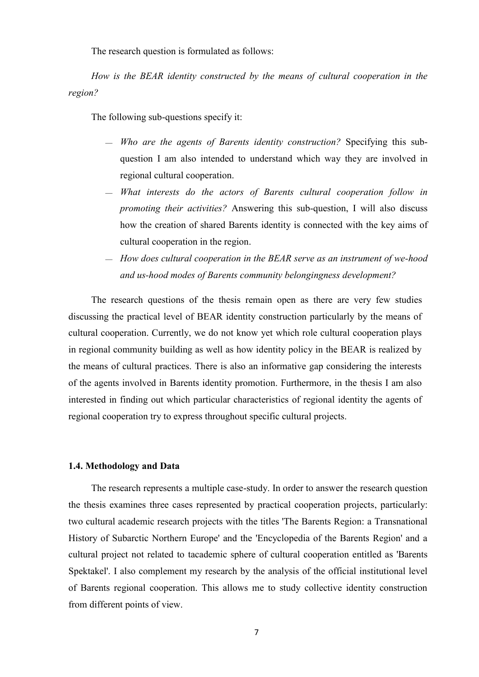The research question is formulated as follows:

*How is the BEAR identity constructed by the means of cultural cooperation in the region?* 

The following sub-questions specify it:

- *Who are the agents of Barents identity construction?* Specifying this subquestion I am also intended to understand which way they are involved in regional cultural cooperation.
- *What interests do the actors of Barents cultural cooperation follow in promoting their activities?* Answering this sub-question, I will also discuss how the creation of shared Barents identity is connected with the key aims of cultural cooperation in the region.
- *How does cultural cooperation in the BEAR serve as an instrument of we-hood and us-hood modes of Barents community belongingness development?*

The research questions of the thesis remain open as there are very few studies discussing the practical level of BEAR identity construction particularly by the means of cultural cooperation. Currently, we do not know yet which role cultural cooperation plays in regional community building as well as how identity policy in the BEAR is realized by the means of cultural practices. There is also an informative gap considering the interests of the agents involved in Barents identity promotion. Furthermore, in the thesis I am also interested in finding out which particular characteristics of regional identity the agents of regional cooperation try to express throughout specific cultural projects.

#### <span id="page-11-0"></span>**1.4. Methodology and Data**

The research represents a multiple case-study. In order to answer the research question the thesis examines three cases represented by practical cooperation projects, particularly: two cultural academic research projects with the titles 'The Barents Region: a Transnational History of Subarctic Northern Europe' and the 'Encyclopedia of the Barents Region' and a cultural project not related to tacademic sphere of cultural cooperation entitled as 'Barents Spektakel'. I also complement my research by the analysis of the official institutional level of Barents regional cooperation. This allows me to study collective identity construction from different points of view.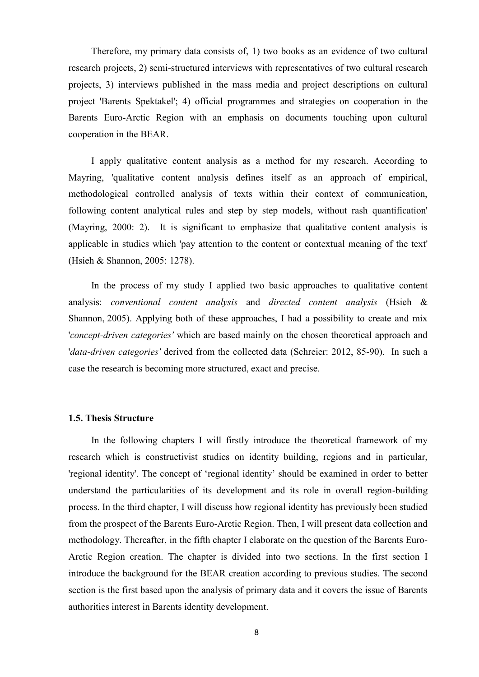Therefore, my primary data consists of, 1) two books as an evidence of two cultural research projects, 2) semi-structured interviews with representatives of two cultural research projects, 3) interviews published in the mass media and project descriptions on cultural project 'Barents Spektakel'; 4) official programmes and strategies on cooperation in the Barents Euro-Arctic Region with an emphasis on documents touching upon cultural cooperation in the BEAR.

I apply qualitative content analysis as a method for my research. According to Mayring, 'qualitative content analysis defines itself as an approach of empirical, methodological controlled analysis of texts within their context of communication, following content analytical rules and step by step models, without rash quantification' (Mayring, 2000: 2). It is significant to emphasize that qualitative content analysis is applicable in studies which 'pay attention to the content or contextual meaning of the text' (Hsieh & Shannon, 2005: 1278).

In the process of my study I applied two basic approaches to qualitative content analysis: *conventional content analysis* and *directed content analysis* (Hsieh & Shannon, 2005). Applying both of these approaches, I had a possibility to create and mix '*concept-driven categories'* which are based mainly on the chosen theoretical approach and '*data-driven categories'* derived from the collected data (Schreier: 2012, 85-90). In such a case the research is becoming more structured, exact and precise.

#### <span id="page-12-0"></span>**1.5. Thesis Structure**

In the following chapters I will firstly introduce the theoretical framework of my research which is constructivist studies on identity building, regions and in particular, 'regional identity'. The concept of "regional identity" should be examined in order to better understand the particularities of its development and its role in overall region-building process. In the third chapter, I will discuss how regional identity has previously been studied from the prospect of the Barents Euro-Arctic Region. Then, I will present data collection and methodology. Thereafter, in the fifth chapter I elaborate on the question of the Barents Euro-Arctic Region creation. The chapter is divided into two sections. In the first section I introduce the background for the BEAR creation according to previous studies. The second section is the first based upon the analysis of primary data and it covers the issue of Barents authorities interest in Barents identity development.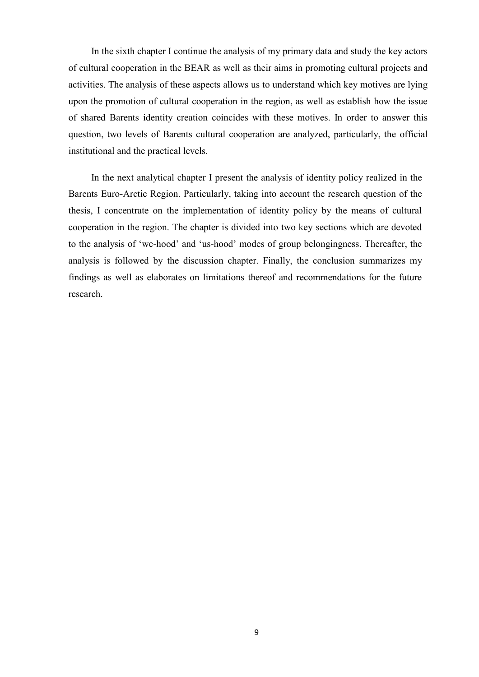In the sixth chapter I continue the analysis of my primary data and study the key actors of cultural cooperation in the BEAR as well as their aims in promoting cultural projects and activities. The analysis of these aspects allows us to understand which key motives are lying upon the promotion of cultural cooperation in the region, as well as establish how the issue of shared Barents identity creation coincides with these motives. In order to answer this question, two levels of Barents cultural cooperation are analyzed, particularly, the official institutional and the practical levels.

In the next analytical chapter I present the analysis of identity policy realized in the Barents Euro-Arctic Region. Particularly, taking into account the research question of the thesis, I concentrate on the implementation of identity policy by the means of cultural cooperation in the region. The chapter is divided into two key sections which are devoted to the analysis of "we-hood" and "us-hood" modes of group belongingness. Thereafter, the analysis is followed by the discussion chapter. Finally, the conclusion summarizes my findings as well as elaborates on limitations thereof and recommendations for the future research.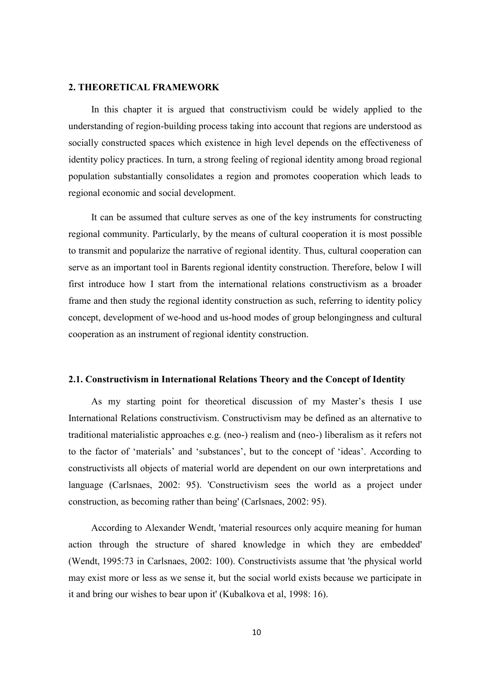#### <span id="page-14-0"></span>**2. THEORETICAL FRAMEWORK**

In this chapter it is argued that constructivism could be widely applied to the understanding of region-building process taking into account that regions are understood as socially constructed spaces which existence in high level depends on the effectiveness of identity policy practices. In turn, a strong feeling of regional identity among broad regional population substantially consolidates a region and promotes cooperation which leads to regional economic and social development.

It can be assumed that culture serves as one of the key instruments for constructing regional community. Particularly, by the means of cultural cooperation it is most possible to transmit and popularize the narrative of regional identity. Thus, cultural cooperation can serve as an important tool in Barents regional identity construction. Therefore, below I will first introduce how I start from the international relations constructivism as a broader frame and then study the regional identity construction as such, referring to identity policy concept, development of we-hood and us-hood modes of group belongingness and cultural cooperation as an instrument of regional identity construction.

#### <span id="page-14-1"></span>**2.1. Constructivism in International Relations Theory and the Сoncept of Identity**

As my starting point for theoretical discussion of my Master's thesis I use International Relations constructivism. Constructivism may be defined as an alternative to traditional materialistic approaches e.g. (neo-) realism and (neo-) liberalism as it refers not to the factor of 'materials' and 'substances', but to the concept of 'ideas'. According to constructivists all objects of material world are dependent on our own interpretations and language (Carlsnaes, 2002: 95). 'Constructivism sees the world as a project under construction, as becoming rather than being' (Carlsnaes, 2002: 95).

According to Alexander Wendt, 'material resources only acquire meaning for human action through the structure of shared knowledge in which they are embedded' (Wendt, 1995:73 in Carlsnaes, 2002: 100). Constructivists assume that 'the physical world may exist more or less as we sense it, but the social world exists because we participate in it and bring our wishes to bear upon it' (Kubalkova et al, 1998: 16).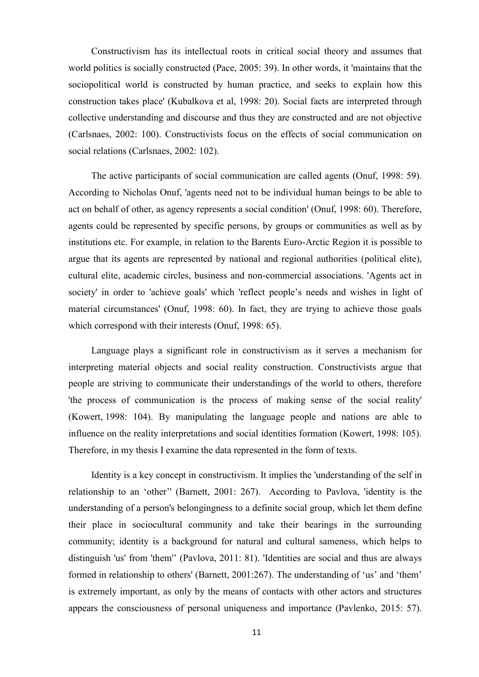Constructivism has its intellectual roots in critical social theory and assumes that world politics is socially constructed (Pace, 2005: 39). In other words, it 'maintains that the sociopolitical world is constructed by human practice, and seeks to explain how this construction takes place' (Kubalkova et al, 1998: 20). Social facts are interpreted through collective understanding and discourse and thus they are constructed and are not objective (Carlsnaes, 2002: 100). Constructivists focus on the effects of social communication on social relations (Carlsnaes, 2002: 102).

The active participants of social communication are called agents (Onuf, 1998: 59). According to Nicholas Onuf, 'agents need not to be individual human beings to be able to act on behalf of other, as agency represents a social condition' (Onuf, 1998: 60). Therefore, agents could be represented by specific persons, by groups or communities as well as by institutions etc. For example, in relation to the Barents Euro-Arctic Region it is possible to argue that its agents are represented by national and regional authorities (political elite), cultural elite, academic circles, business and non-commercial associations. 'Agents act in society' in order to 'achieve goals' which 'reflect people"s needs and wishes in light of material circumstances' (Onuf, 1998: 60). In fact, they are trying to achieve those goals which correspond with their interests (Onuf, 1998: 65).

Language plays a significant role in constructivism as it serves a mechanism for interpreting material objects and social reality construction. Constructivists argue that people are striving to communicate their understandings of the world to others, therefore 'the process of communication is the process of making sense of the social reality' (Kowert, 1998: 104). By manipulating the language people and nations are able to influence on the reality interpretations and social identities formation (Kowert, 1998: 105). Therefore, in my thesis I examine the data represented in the form of texts.

Identity is a key concept in constructivism. It implies the 'understanding of the self in relationship to an "other"' (Barnett, 2001: 267). According to Pavlova, 'identity is the understanding of a person's belongingness to a definite social group, which let them define their place in sociocultural community and take their bearings in the surrounding community; identity is a background for natural and cultural sameness, which helps to distinguish 'us' from 'them'' (Pavlova, 2011: 81). 'Identities are social and thus are always formed in relationship to others' (Barnett, 2001:267). The understanding of 'us' and 'them' is extremely important, as only by the means of contacts with other actors and structures appears the consciousness of personal uniqueness and importance (Pavlenko, 2015: 57).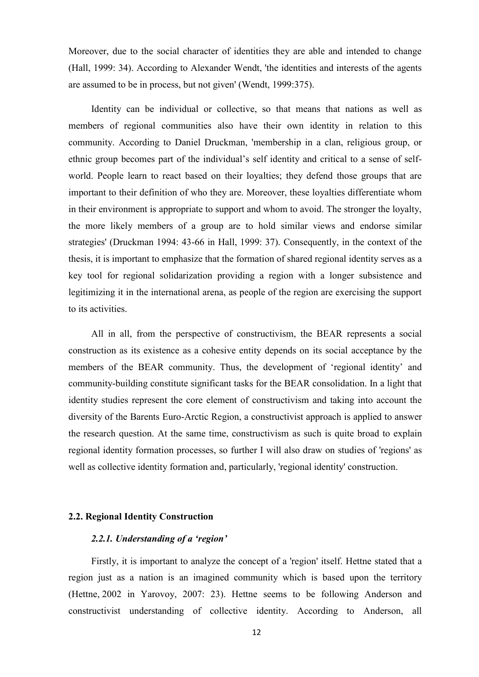Moreover, due to the social character of identities they are able and intended to change (Hall, 1999: 34). According to Alexander Wendt, 'the identities and interests of the agents are assumed to be in process, but not given' (Wendt, 1999:375).

Identity can be individual or collective, so that means that nations as well as members of regional communities also have their own identity in relation to this community. According to Daniel Druckman, 'membership in a clan, religious group, or ethnic group becomes part of the individual"s self identity and critical to a sense of selfworld. People learn to react based on their loyalties; they defend those groups that are important to their definition of who they are. Moreover, these loyalties differentiate whom in their environment is appropriate to support and whom to avoid. The stronger the loyalty, the more likely members of a group are to hold similar views and endorse similar strategies' (Druckman 1994: 43-66 in Hall, 1999: 37). Consequently, in the context of the thesis, it is important to emphasize that the formation of shared regional identity serves as a key tool for regional solidarization providing a region with a longer subsistence and legitimizing it in the international arena, as people of the region are exercising the support to its activities.

All in all, from the perspective of constructivism, the BEAR represents a social construction as its existence as a cohesive entity depends on its social acceptance by the members of the BEAR community. Thus, the development of "regional identity" and community-building constitute significant tasks for the BEAR consolidation. In a light that identity studies represent the core element of constructivism and taking into account the diversity of the Barents Euro-Arctic Region, a constructivist approach is applied to answer the research question. At the same time, constructivism as such is quite broad to explain regional identity formation processes, so further I will also draw on studies of 'regions' as well as collective identity formation and, particularly, 'regional identity' construction.

#### <span id="page-16-1"></span><span id="page-16-0"></span>**2.2. Regional Identity Construction**

#### *2.2.1. Understanding of a 'region'*

Firstly, it is important to analyze the concept of a 'region' itself. Hettne stated that a region just as a nation is an imagined community which is based upon the territory (Hettne, 2002 in Yarovoy, 2007: 23). Hettne seems to be following Anderson and constructivist understanding of collective identity. According to Anderson, all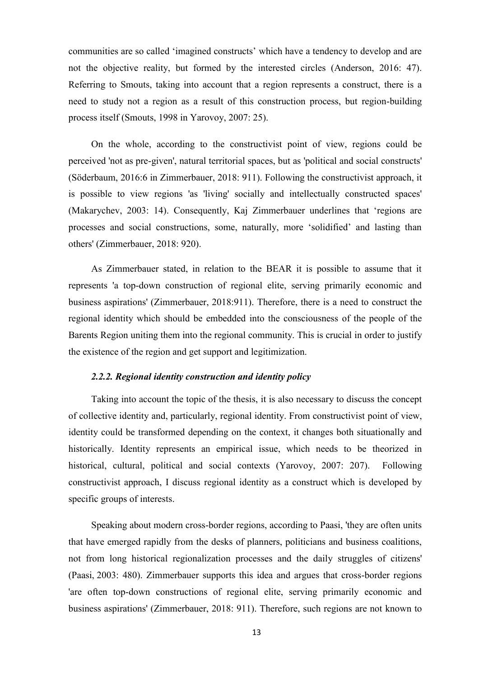communities are so called "imagined constructs" which have a tendency to develop and are not the objective reality, but formed by the interested circles (Anderson, 2016: 47). Referring to Smouts, taking into account that a region represents a construct, there is a need to study not a region as a result of this construction process, but region-building process itself (Smouts, 1998 in Yarovoy, 2007: 25).

On the whole, according to the constructivist point of view, regions could be perceived 'not as pre-given', natural territorial spaces, but as 'political and social constructs' (Söderbaum, 2016:6 in Zimmerbauer, 2018: 911). Following the constructivist approach, it is possible to view regions 'as 'living' socially and intellectually constructed spaces' (Makarychev, 2003: 14). Consequently, Kaj Zimmerbauer underlines that "regions are processes and social constructions, some, naturally, more "solidified" and lasting than others' (Zimmerbauer, 2018: 920).

As Zimmerbauer stated, in relation to the BEAR it is possible to assume that it represents 'a top-down construction of regional elite, serving primarily economic and business aspirations' (Zimmerbauer, 2018:911). Therefore, there is a need to construct the regional identity which should be embedded into the consciousness of the people of the Barents Region uniting them into the regional community. This is crucial in order to justify the existence of the region and get support and legitimization.

#### *2.2.2. Regional identity construction and identity policy*

<span id="page-17-0"></span>Taking into account the topic of the thesis, it is also necessary to discuss the concept of collective identity and, particularly, regional identity. From constructivist point of view, identity could be transformed depending on the context, it changes both situationally and historically. Identity represents an empirical issue, which needs to be theorized in historical, cultural, political and social contexts (Yarovoy, 2007: 207). Following constructivist approach, I discuss regional identity as a construct which is developed by specific groups of interests.

Speaking about modern cross-border regions, according to Paasi, 'they are often units that have emerged rapidly from the desks of planners, politicians and business coalitions, not from long historical regionalization processes and the daily struggles of citizens' (Paasi, 2003: 480). Zimmerbauer supports this idea and argues that cross-border regions 'are often top-down constructions of regional elite, serving primarily economic and business aspirations' (Zimmerbauer, 2018: 911). Therefore, such regions are not known to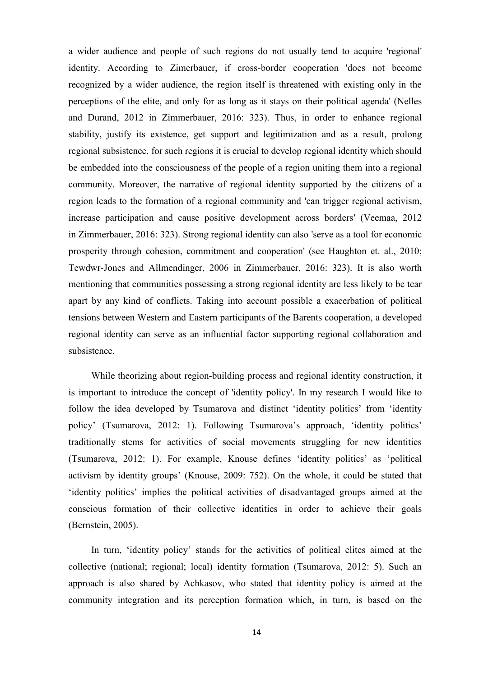a wider audience and people of such regions do not usually tend to acquire 'regional' identity. According to Zimerbauer, if cross-border cooperation 'does not become recognized by a wider audience, the region itself is threatened with existing only in the perceptions of the elite, and only for as long as it stays on their political agenda' (Nelles and Durand, 2012 in Zimmerbauer, 2016: 323). Thus, in order to enhance regional stability, justify its existence, get support and legitimization and as a result, prolong regional subsistence, for such regions it is crucial to develop regional identity which should be embedded into the consciousness of the people of a region uniting them into a regional community. Moreover, the narrative of regional identity supported by the citizens of a region leads to the formation of a regional community and 'can trigger regional activism, increase participation and cause positive development across borders' (Veemaa, 2012 in Zimmerbauer, 2016: 323). Strong regional identity can also 'serve as a tool for economic prosperity through cohesion, commitment and cooperation' (see Haughton et. al., 2010; Tewdwr-Jones and Allmendinger, 2006 in Zimmerbauer, 2016: 323). It is also worth mentioning that communities possessing a strong regional identity are less likely to be tear apart by any kind of conflicts. Taking into account possible a exacerbation of political tensions between Western and Eastern participants of the Barents cooperation, a developed regional identity can serve as an influential factor supporting regional collaboration and subsistence.

While theorizing about region-building process and regional identity construction, it is important to introduce the concept of 'identity policy'. In my research I would like to follow the idea developed by Tsumarova and distinct 'identity politics' from 'identity policy' (Tsumarova, 2012: 1). Following Tsumarova's approach, 'identity politics' traditionally stems for activities of social movements struggling for new identities (Tsumarova, 2012: 1). For example, Knouse defines "identity politics" as "political activism by identity groups" (Knouse, 2009: 752). On the whole, it could be stated that "identity politics" implies the political activities of disadvantaged groups aimed at the conscious formation of their collective identities in order to achieve their goals (Bernstein, 2005).

In turn, "identity policy" stands for the activities of political elites aimed at the collective (national; regional; local) identity formation (Tsumarova, 2012: 5). Such an approach is also shared by Achkasov, who stated that identity policy is aimed at the community integration and its perception formation which, in turn, is based on the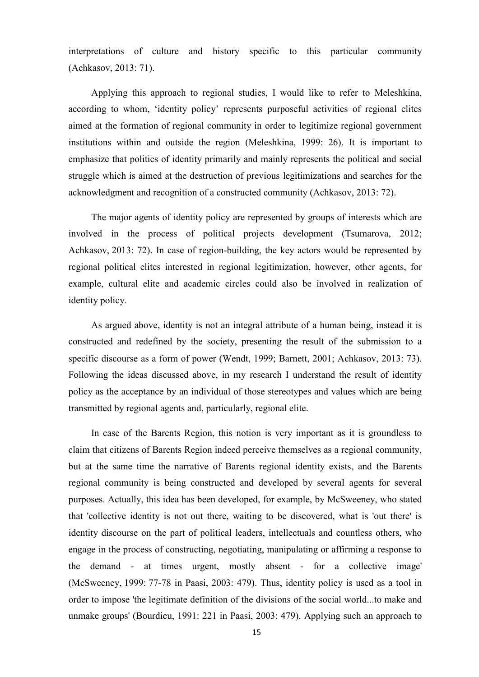interpretations of culture and history specific to this particular community (Achkasov, 2013: 71).

Applying this approach to regional studies, I would like to refer to Meleshkina, according to whom, "identity policy" represents purposeful activities of regional elites aimed at the formation of regional community in order to legitimize regional government institutions within and outside the region (Meleshkina, 1999: 26). It is important to emphasize that politics of identity primarily and mainly represents the political and social struggle which is aimed at the destruction of previous legitimizations and searches for the acknowledgment and recognition of a constructed community (Achkasov, 2013: 72).

The major agents of identity policy are represented by groups of interests which are involved in the process of political projects development (Tsumarova, 2012; Achkasov, 2013: 72). In case of region-building, the key actors would be represented by regional political elites interested in regional legitimization, however, other agents, for example, cultural elite and academic circles could also be involved in realization of identity policy.

As argued above, identity is not an integral attribute of a human being, instead it is constructed and redefined by the society, presenting the result of the submission to a specific discourse as a form of power (Wendt, 1999; Barnett, 2001; Achkasov, 2013: 73). Following the ideas discussed above, in my research I understand the result of identity policy as the acceptance by an individual of those stereotypes and values which are being transmitted by regional agents and, particularly, regional elite.

In case of the Barents Region, this notion is very important as it is groundless to claim that citizens of Barents Region indeed perceive themselves as a regional community, but at the same time the narrative of Barents regional identity exists, and the Barents regional community is being constructed and developed by several agents for several purposes. Actually, this idea has been developed, for example, by McSweeney, who stated that 'collective identity is not out there, waiting to be discovered, what is 'out there' is identity discourse on the part of political leaders, intellectuals and countless others, who engage in the process of constructing, negotiating, manipulating or affirming a response to the demand - at times urgent, mostly absent - for a collective image' (McSweeney, 1999: 77-78 in Paasi, 2003: 479). Thus, identity policy is used as a tool in order to impose 'the legitimate definition of the divisions of the social world...to make and unmake groups' (Bourdieu, 1991: 221 in Paasi, 2003: 479). Applying such an approach to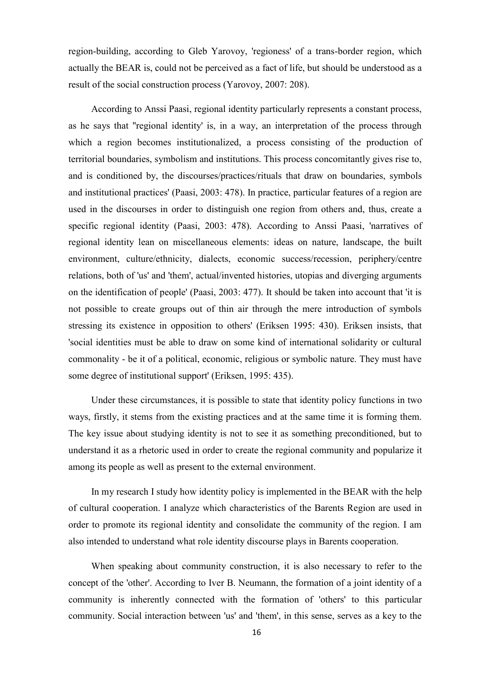region-building, according to Gleb Yarovoy, 'regioness' of a trans-border region, which actually the BEAR is, could not be perceived as a fact of life, but should be understood as a result of the social construction process (Yarovoy, 2007: 208).

According to Anssi Paasi, regional identity particularly represents a constant process, as he says that ''regional identity' is, in a way, an interpretation of the process through which a region becomes institutionalized, a process consisting of the production of territorial boundaries, symbolism and institutions. This process concomitantly gives rise to, and is conditioned by, the discourses/practices/rituals that draw on boundaries, symbols and institutional practices' (Paasi, 2003: 478). In practice, particular features of a region are used in the discourses in order to distinguish one region from others and, thus, create a specific regional identity (Paasi, 2003: 478). According to Anssi Paasi, 'narratives of regional identity lean on miscellaneous elements: ideas on nature, landscape, the built environment, culture/ethnicity, dialects, economic success/recession, periphery/centre relations, both of 'us' and 'them', actual/invented histories, utopias and diverging arguments on the identification of people' (Paasi, 2003: 477). It should be taken into account that 'it is not possible to create groups out of thin air through the mere introduction of symbols stressing its existence in opposition to others' (Eriksen 1995: 430). Eriksen insists, that 'social identities must be able to draw on some kind of international solidarity or cultural commonality - be it of a political, economic, religious or symbolic nature. They must have some degree of institutional support' (Eriksen, 1995: 435).

Under these circumstances, it is possible to state that identity policy functions in two ways, firstly, it stems from the existing practices and at the same time it is forming them. The key issue about studying identity is not to see it as something preconditioned, but to understand it as a rhetoric used in order to create the regional community and popularize it among its people as well as present to the external environment.

In my research I study how identity policy is implemented in the BEAR with the help of cultural cooperation. I analyze which characteristics of the Barents Region are used in order to promote its regional identity and consolidate the community of the region. I am also intended to understand what role identity discourse plays in Barents cooperation.

When speaking about community construction, it is also necessary to refer to the concept of the 'other'. According to Iver B. Neumann, the formation of a joint identity of a community is inherently connected with the formation of 'others' to this particular community. Social interaction between 'us' and 'them', in this sense, serves as a key to the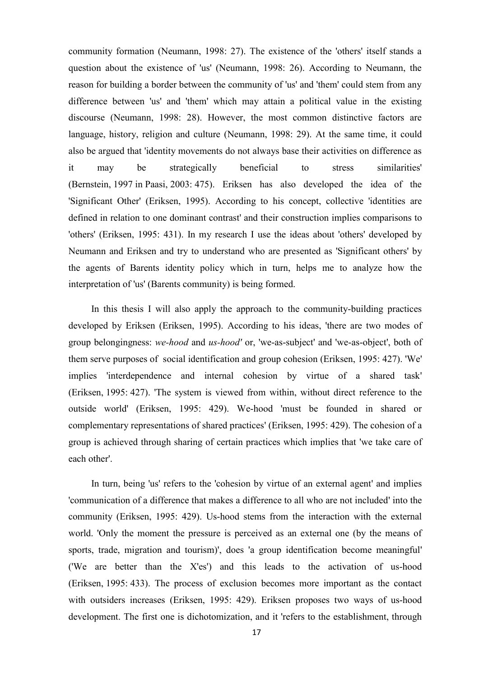community formation (Neumann, 1998: 27). The existence of the 'others' itself stands a question about the existence of 'us' (Neumann, 1998: 26). According to Neumann, the reason for building a border between the community of 'us' and 'them' could stem from any difference between 'us' and 'them' which may attain a political value in the existing discourse (Neumann, 1998: 28). However, the most common distinctive factors are language, history, religion and culture (Neumann, 1998: 29). At the same time, it could also be argued that 'identity movements do not always base their activities on difference as it may be strategically beneficial to stress similarities' (Bernstein, 1997 in Paasi, 2003: 475). Eriksen has also developed the idea of the 'Significant Other' (Eriksen, 1995). According to his concept, collective 'identities are defined in relation to one dominant contrast' and their construction implies comparisons to 'others' (Eriksen, 1995: 431). In my research I use the ideas about 'others' developed by Neumann and Eriksen and try to understand who are presented as 'Significant others' by the agents of Barents identity policy which in turn, helps me to analyze how the interpretation of 'us' (Barents community) is being formed.

In this thesis I will also apply the approach to the community-building practices developed by Eriksen (Eriksen, 1995). According to his ideas, 'there are two modes of group belongingness: *we-hood* and *us-hood'* or, 'we-as-subject' and 'we-as-object', both of them serve purposes of social identification and group cohesion (Eriksen, 1995: 427). 'We' implies 'interdependence and internal cohesion by virtue of a shared task' (Eriksen, 1995: 427). 'The system is viewed from within, without direct reference to the outside world' (Eriksen, 1995: 429). We-hood 'must be founded in shared or complementary representations of shared practices' (Eriksen, 1995: 429). The cohesion of a group is achieved through sharing of certain practices which implies that 'we take care of each other'.

In turn, being 'us' refers to the 'cohesion by virtue of an external agent' and implies 'communication of a difference that makes a difference to all who are not included' into the community (Eriksen, 1995: 429). Us-hood stems from the interaction with the external world. 'Only the moment the pressure is perceived as an external one (by the means of sports, trade, migration and tourism)', does 'a group identification become meaningful' ('We are better than the X'es') and this leads to the activation of us-hood (Eriksen, 1995: 433). The process of exclusion becomes more important as the contact with outsiders increases (Eriksen, 1995: 429). Eriksen proposes two ways of us-hood development. The first one is dichotomization, and it 'refers to the establishment, through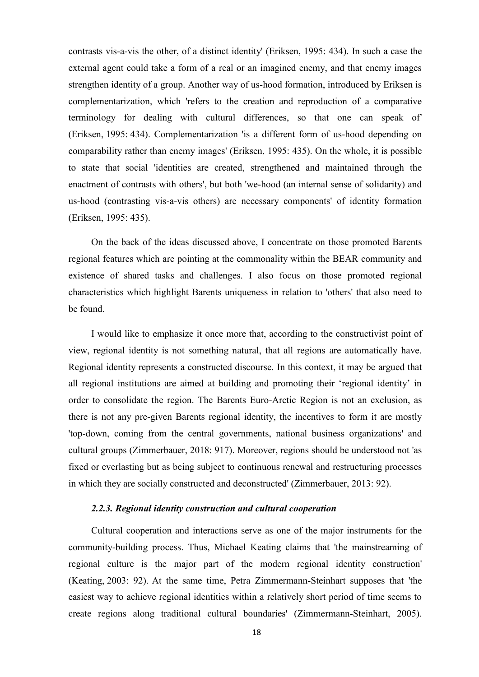contrasts vis-a-vis the other, of a distinct identity' (Eriksen, 1995: 434). In such a case the external agent could take a form of a real or an imagined enemy, and that enemy images strengthen identity of a group. Another way of us-hood formation, introduced by Eriksen is complementarization, which 'refers to the creation and reproduction of a comparative terminology for dealing with cultural differences, so that one can speak of' (Eriksen, 1995: 434). Complementarization 'is a different form of us-hood depending on comparability rather than enemy images' (Eriksen, 1995: 435). On the whole, it is possible to state that social 'identities are created, strengthened and maintained through the enactment of contrasts with others', but both 'we-hood (an internal sense of solidarity) and us-hood (contrasting vis-a-vis others) are necessary components' of identity formation (Eriksen, 1995: 435).

On the back of the ideas discussed above, I concentrate on those promoted Barents regional features which are pointing at the commonality within the BEAR community and existence of shared tasks and challenges. I also focus on those promoted regional characteristics which highlight Barents uniqueness in relation to 'others' that also need to be found.

I would like to emphasize it once more that, according to the constructivist point of view, regional identity is not something natural, that all regions are automatically have. Regional identity represents a constructed discourse. In this context, it may be argued that all regional institutions are aimed at building and promoting their "regional identity" in order to consolidate the region. The Barents Euro-Arctic Region is not an exclusion, as there is not any pre-given Barents regional identity, the incentives to form it are mostly 'top-down, coming from the central governments, national business organizations' and cultural groups (Zimmerbauer, 2018: 917). Moreover, regions should be understood not 'as fixed or everlasting but as being subject to continuous renewal and restructuring processes in which they are socially constructed and deconstructed' (Zimmerbauer, 2013: 92).

#### *2.2.3. Regional identity construction and cultural cooperation*

<span id="page-22-0"></span>Cultural cooperation and interactions serve as one of the major instruments for the community-building process. Thus, Michael Keating claims that 'the mainstreaming of regional culture is the major part of the modern regional identity construction' (Keating, 2003: 92). At the same time, Petra Zimmermann-Steinhart supposes that 'the easiest way to achieve regional identities within a relatively short period of time seems to create regions along traditional cultural boundaries' (Zimmermann-Steinhart, 2005).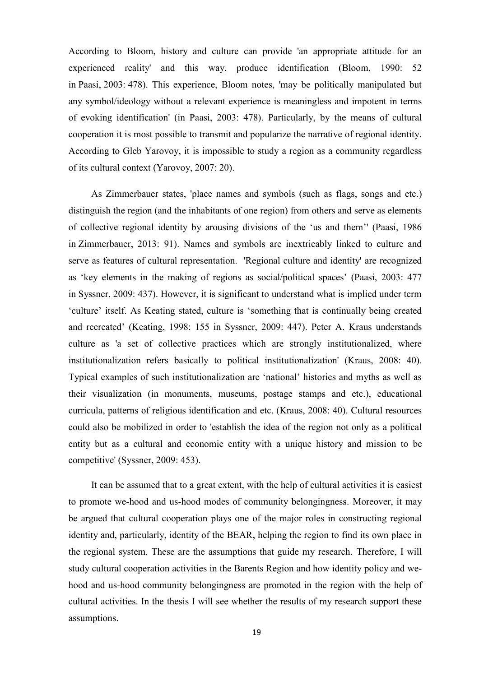According to Bloom, history and culture can provide 'an appropriate attitude for an experienced reality' and this way, produce identification (Bloom, 1990: 52 in Paasi, 2003: 478). This experience, Bloom notes, 'may be politically manipulated but any symbol/ideology without a relevant experience is meaningless and impotent in terms of evoking identification' (in Paasi, 2003: 478). Particularly, by the means of cultural cooperation it is most possible to transmit and popularize the narrative of regional identity. According to Gleb Yarovoy, it is impossible to study a region as a community regardless of its cultural context (Yarovoy, 2007: 20).

As Zimmerbauer states, 'place names and symbols (such as flags, songs and etc.) distinguish the region (and the inhabitants of one region) from others and serve as elements of collective regional identity by arousing divisions of the "us and them"' (Paasi, 1986 in Zimmerbauer, 2013: 91). Names and symbols are inextricably linked to culture and serve as features of cultural representation. 'Regional culture and identity' are recognized as "key elements in the making of regions as social/political spaces" (Paasi, 2003: 477 in Syssner, 2009: 437). However, it is significant to understand what is implied under term "culture" itself. As Keating stated, culture is "something that is continually being created and recreated" (Keating, 1998: 155 in Syssner, 2009: 447). Peter A. Kraus understands culture as 'a set of collective practices which are strongly institutionalized, where institutionalization refers basically to political institutionalization' (Kraus, 2008: 40). Typical examples of such institutionalization are "national" histories and myths as well as their visualization (in monuments, museums, postage stamps and etc.), educational curricula, patterns of religious identification and etc. (Kraus, 2008: 40). Cultural resources could also be mobilized in order to 'establish the idea of the region not only as a political entity but as a cultural and economic entity with a unique history and mission to be competitive' (Syssner, 2009: 453).

It can be assumed that to a great extent, with the help of cultural activities it is easiest to promote we-hood and us-hood modes of community belongingness. Moreover, it may be argued that cultural cooperation plays one of the major roles in constructing regional identity and, particularly, identity of the BEAR, helping the region to find its own place in the regional system. These are the assumptions that guide my research. Therefore, I will study cultural cooperation activities in the Barents Region and how identity policy and wehood and us-hood community belongingness are promoted in the region with the help of cultural activities. In the thesis I will see whether the results of my research support these assumptions.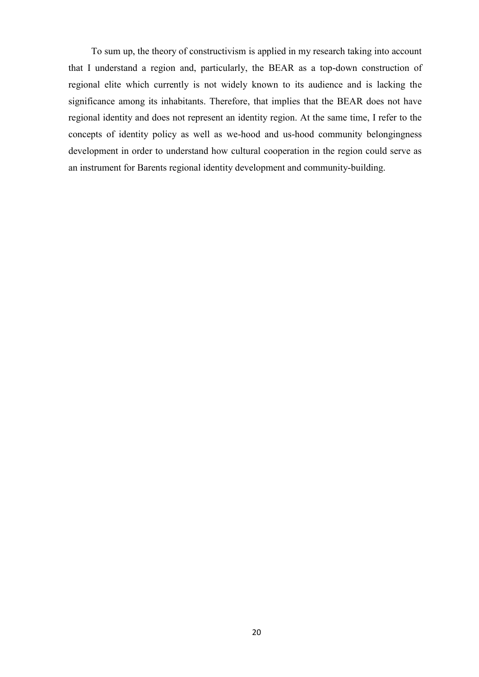To sum up, the theory of constructivism is applied in my research taking into account that I understand a region and, particularly, the BEAR as a top-down construction of regional elite which currently is not widely known to its audience and is lacking the significance among its inhabitants. Therefore, that implies that the BEAR does not have regional identity and does not represent an identity region. At the same time, I refer to the concepts of identity policy as well as we-hood and us-hood community belongingness development in order to understand how cultural cooperation in the region could serve as an instrument for Barents regional identity development and community-building.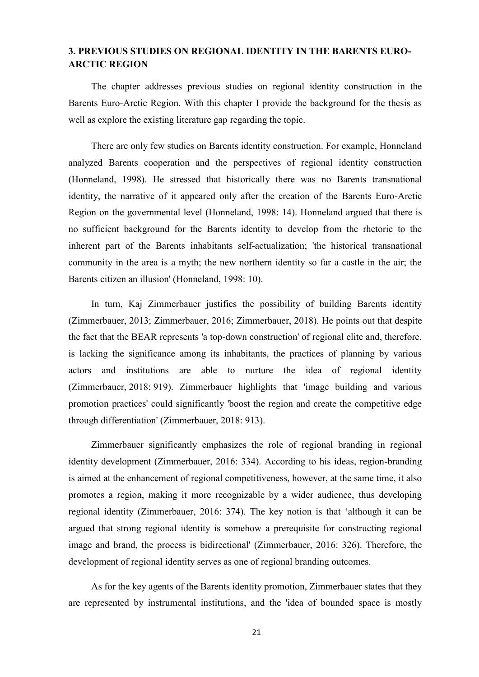### <span id="page-25-0"></span>**3. PREVIOUS STUDIES ON REGIONAL IDENTITY IN THE BARENTS EURO-ARCTIC REGION**

The chapter addresses previous studies on regional identity construction in the Barents Euro-Arctic Region. With this chapter I provide the background for the thesis as well as explore the existing literature gap regarding the topic.

There are only few studies on Barents identity construction. For example, Honneland analyzed Barents cooperation and the perspectives of regional identity construction (Honneland, 1998). He stressed that historically there was no Barents transnational identity, the narrative of it appeared only after the creation of the Barents Euro-Arctic Region on the governmental level (Honneland, 1998: 14). Honneland argued that there is no sufficient background for the Barents identity to develop from the rhetoric to the inherent part of the Barents inhabitants self-actualization; 'the historical transnational community in the area is a myth; the new northern identity so far a castle in the air; the Barents citizen an illusion' (Honneland, 1998: 10).

In turn, Kaj Zimmerbauer justifies the possibility of building Barents identity (Zimmerbauer, 2013; Zimmerbauer, 2016; Zimmerbauer, 2018). He points out that despite the fact that the BEAR represents 'a top-down construction' of regional elite and, therefore, is lacking the significance among its inhabitants, the practices of planning by various actors and institutions are able to nurture the idea of regional identity (Zimmerbauer, 2018: 919). Zimmerbauer highlights that 'image building and various promotion practices' could significantly 'boost the region and create the competitive edge through differentiation' (Zimmerbauer, 2018: 913).

Zimmerbauer significantly emphasizes the role of regional branding in regional identity development (Zimmerbauer, 2016: 334). According to his ideas, region-branding is aimed at the enhancement of regional competitiveness, however, at the same time, it also promotes a region, making it more recognizable by a wider audience, thus developing regional identity (Zimmerbauer, 2016: 374). The key notion is that "although it can be argued that strong regional identity is somehow a prerequisite for constructing regional image and brand, the process is bidirectional' (Zimmerbauer, 2016: 326). Therefore, the development of regional identity serves as one of regional branding outcomes.

As for the key agents of the Barents identity promotion, Zimmerbauer states that they are represented by instrumental institutions, and the 'idea of bounded space is mostly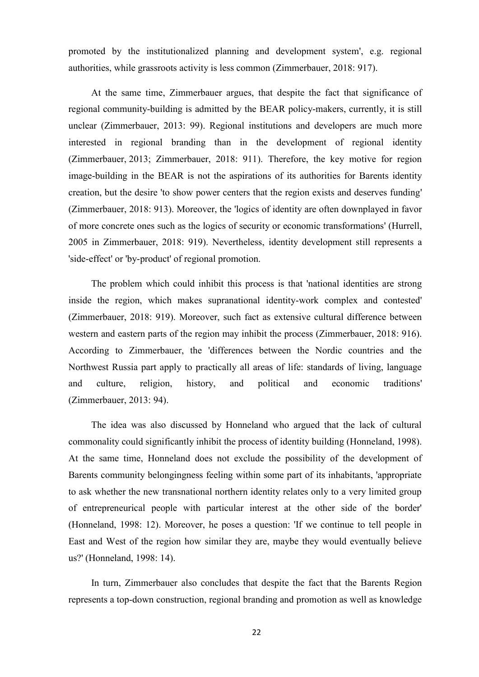promoted by the institutionalized planning and development system', e.g. regional authorities, while grassroots activity is less common (Zimmerbauer, 2018: 917).

At the same time, Zimmerbauer argues, that despite the fact that significance of regional community-building is admitted by the BEAR policy-makers, currently, it is still unclear (Zimmerbauer, 2013: 99). Regional institutions and developers are much more interested in regional branding than in the development of regional identity (Zimmerbauer, 2013; Zimmerbauer, 2018: 911). Therefore, the key motive for region image-building in the BEAR is not the aspirations of its authorities for Barents identity creation, but the desire 'to show power centers that the region exists and deserves funding' (Zimmerbauer, 2018: 913). Moreover, the 'logics of identity are often downplayed in favor of more concrete ones such as the logics of security or economic transformations' (Hurrell, 2005 in Zimmerbauer, 2018: 919). Nevertheless, identity development still represents a 'side-effect' or 'by-product' of regional promotion.

The problem which could inhibit this process is that 'national identities are strong inside the region, which makes supranational identity-work complex and contested' (Zimmerbauer, 2018: 919). Moreover, such fact as extensive cultural difference between western and eastern parts of the region may inhibit the process (Zimmerbauer, 2018: 916). According to Zimmerbauer, the 'differences between the Nordic countries and the Northwest Russia part apply to practically all areas of life: standards of living, language and culture, religion, history, and political and economic traditions' (Zimmerbauer, 2013: 94).

The idea was also discussed by Honneland who argued that the lack of cultural commonality could significantly inhibit the process of identity building (Honneland, 1998). At the same time, Honneland does not exclude the possibility of the development of Barents community belongingness feeling within some part of its inhabitants, 'appropriate to ask whether the new transnational northern identity relates only to a very limited group of entrepreneurical people with particular interest at the other side of the border' (Honneland, 1998: 12). Moreover, he poses a question: 'If we continue to tell people in East and West of the region how similar they are, maybe they would eventually believe us?' (Honneland, 1998: 14).

In turn, Zimmerbauer also concludes that despite the fact that the Barents Region represents a top-down construction, regional branding and promotion as well as knowledge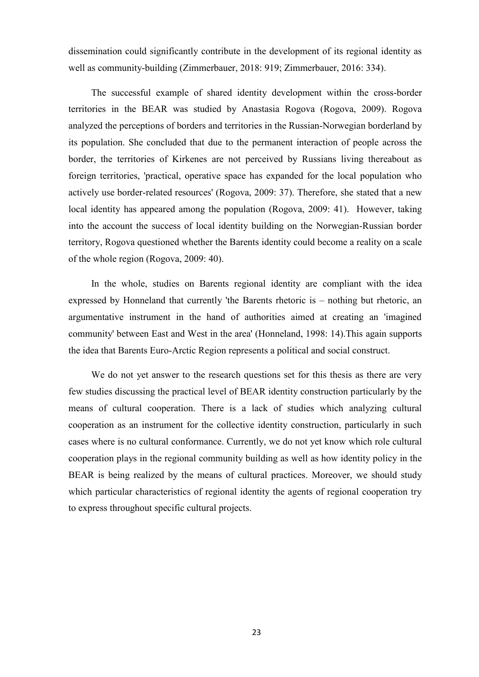dissemination could significantly contribute in the development of its regional identity as well as community-building (Zimmerbauer, 2018: 919; Zimmerbauer, 2016: 334).

The successful example of shared identity development within the cross-border territories in the BEAR was studied by Anastasia Rogova (Rogova, 2009). Rogova analyzed the perceptions of borders and territories in the Russian-Norwegian borderland by its population. She concluded that due to the permanent interaction of people across the border, the territories of Kirkenes are not perceived by Russians living thereabout as foreign territories, 'practical, operative space has expanded for the local population who actively use border-related resources' (Rogova, 2009: 37). Therefore, she stated that a new local identity has appeared among the population (Rogova, 2009: 41). However, taking into the account the success of local identity building on the Norwegian-Russian border territory, Rogova questioned whether the Barents identity could become a reality on a scale of the whole region (Rogova, 2009: 40).

In the whole, studies on Barents regional identity are compliant with the idea expressed by Honneland that currently 'the Barents rhetoric is – nothing but rhetoric, an argumentative instrument in the hand of authorities aimed at creating an 'imagined community' between East and West in the area' (Honneland, 1998: 14).This again supports the idea that Barents Euro-Arctic Region represents a political and social construct.

We do not yet answer to the research questions set for this thesis as there are very few studies discussing the practical level of BEAR identity construction particularly by the means of cultural cooperation. There is a lack of studies which analyzing cultural cooperation as an instrument for the collective identity construction, particularly in such cases where is no cultural conformance. Currently, we do not yet know which role cultural cooperation plays in the regional community building as well as how identity policy in the BEAR is being realized by the means of cultural practices. Moreover, we should study which particular characteristics of regional identity the agents of regional cooperation try to express throughout specific cultural projects.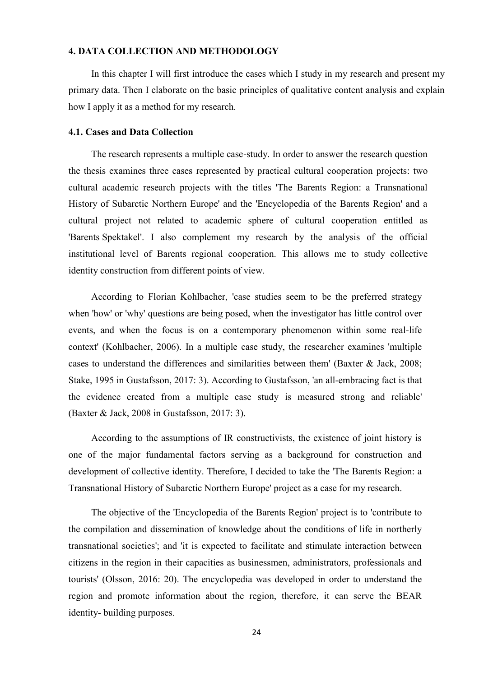#### <span id="page-28-0"></span>**4. DATA COLLECTION AND METHODOLOGY**

In this chapter I will first introduce the cases which I study in my research and present my primary data. Then I elaborate on the basic principles of qualitative content analysis and explain how I apply it as a method for my research.

#### <span id="page-28-1"></span>**4.1. Cases and Data Collection**

The research represents a multiple case-study. In order to answer the research question the thesis examines three cases represented by practical cultural cooperation projects: two cultural academic research projects with the titles 'The Barents Region: a Transnational History of Subarctic Northern Europe' and the 'Encyclopedia of the Barents Region' and a cultural project not related to academic sphere of cultural cooperation entitled as 'Barents Spektakel'. I also complement my research by the analysis of the official institutional level of Barents regional cooperation. This allows me to study collective identity construction from different points of view.

According to Florian Kohlbacher, 'case studies seem to be the preferred strategy when 'how' or 'why' questions are being posed, when the investigator has little control over events, and when the focus is on a contemporary phenomenon within some real-life context' (Kohlbacher, 2006). In a multiple case study, the researcher examines 'multiple cases to understand the differences and similarities between them' (Baxter & Jack, 2008; Stake, 1995 in Gustafsson, 2017: 3). According to Gustafsson, 'an all-embracing fact is that the evidence created from a multiple case study is measured strong and reliable' (Baxter & Jack, 2008 in Gustafsson, 2017: 3).

According to the assumptions of IR constructivists, the existence of joint history is one of the major fundamental factors serving as a background for construction and development of collective identity. Therefore, I decided to take the 'The Barents Region: a Transnational History of Subarctic Northern Europe' project as a case for my research.

The objective of the 'Encyclopedia of the Barents Region' project is to 'contribute to the compilation and dissemination of knowledge about the conditions of life in northerly transnational societies'; and 'it is expected to facilitate and stimulate interaction between citizens in the region in their capacities as businessmen, administrators, professionals and tourists' (Olsson, 2016: 20). The encyclopedia was developed in order to understand the region and promote information about the region, therefore, it can serve the BEAR identity- building purposes.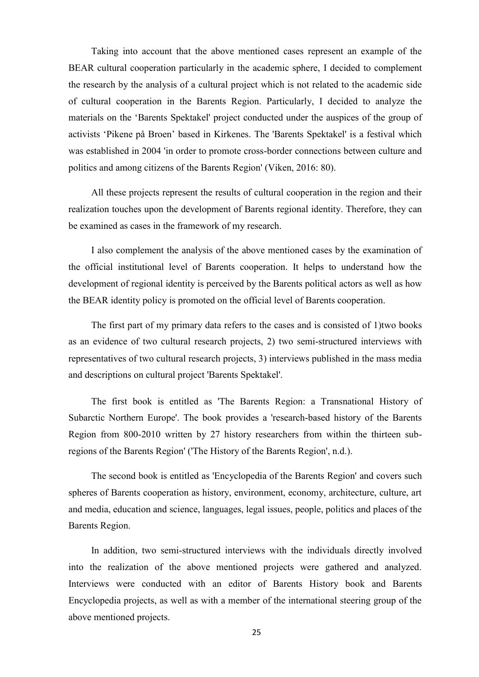Taking into account that the above mentioned cases represent an example of the BEAR cultural cooperation particularly in the academic sphere, I decided to complement the research by the analysis of a cultural project which is not related to the academic side of cultural cooperation in the Barents Region. Particularly, I decided to analyze the materials on the "Barents Spektakel' project conducted under the auspices of the group of activists "Pikene på Broen" based in Kirkenes. The 'Barents Spektakel' is a festival which was established in 2004 'in order to promote cross-border connections between culture and politics and among citizens of the Barents Region' (Viken, 2016: 80).

All these projects represent the results of cultural cooperation in the region and their realization touches upon the development of Barents regional identity. Therefore, they can be examined as cases in the framework of my research.

I also complement the analysis of the above mentioned cases by the examination of the official institutional level of Barents cooperation. It helps to understand how the development of regional identity is perceived by the Barents political actors as well as how the BEAR identity policy is promoted on the official level of Barents cooperation.

The first part of my primary data refers to the cases and is consisted of 1)two books as an evidence of two cultural research projects, 2) two semi-structured interviews with representatives of two cultural research projects, 3) interviews published in the mass media and descriptions on cultural project 'Barents Spektakel'.

The first book is entitled as 'The Barents Region: a Transnational History of Subarctic Northern Europe'. The book provides a 'research-based history of the Barents Region from 800-2010 written by 27 history researchers from within the thirteen subregions of the Barents Region' ('The History of the Barents Region', n.d.).

The second book is entitled as 'Encyclopedia of the Barents Region' and covers such spheres of Barents cooperation as history, environment, economy, architecture, culture, art and media, education and science, languages, legal issues, people, politics and places of the Barents Region.

In addition, two semi-structured interviews with the individuals directly involved into the realization of the above mentioned projects were gathered and analyzed. Interviews were conducted with an editor of Barents History book and Barents Encyclopedia projects, as well as with a member of the international steering group of the above mentioned projects.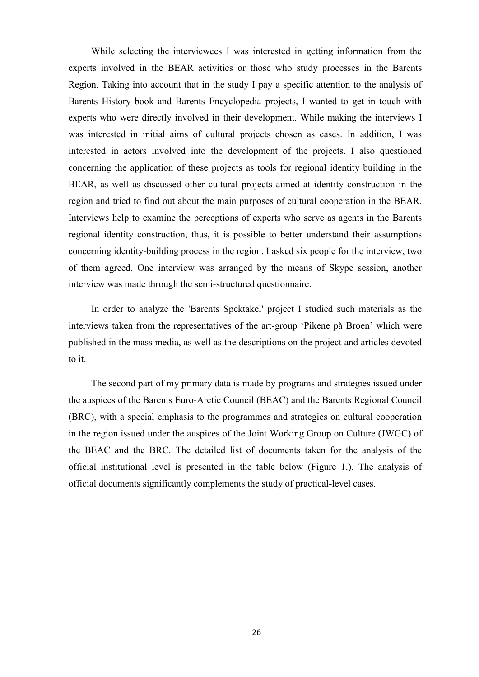While selecting the interviewees I was interested in getting information from the experts involved in the BEAR activities or those who study processes in the Barents Region. Taking into account that in the study I pay a specific attention to the analysis of Barents History book and Barents Encyclopedia projects, I wanted to get in touch with experts who were directly involved in their development. While making the interviews I was interested in initial aims of cultural projects chosen as cases. In addition, I was interested in actors involved into the development of the projects. I also questioned concerning the application of these projects as tools for regional identity building in the BEAR, as well as discussed other cultural projects aimed at identity construction in the region and tried to find out about the main purposes of cultural cooperation in the BEAR. Interviews help to examine the perceptions of experts who serve as agents in the Barents regional identity construction, thus, it is possible to better understand their assumptions concerning identity-building process in the region. I asked six people for the interview, two of them agreed. One interview was arranged by the means of Skype session, another interview was made through the semi-structured questionnaire.

In order to analyze the 'Barents Spektakel' project I studied such materials as the interviews taken from the representatives of the art-group "Pikene på Broen" which were published in the mass media, as well as the descriptions on the project and articles devoted to it.

The second part of my primary data is made by programs and strategies issued under the auspices of the Barents Euro-Arctic Council (BEAC) and the Barents Regional Council (BRC), with a special emphasis to the programmes and strategies on cultural cooperation in the region issued under the auspices of the Joint Working Group on Culture (JWGC) of the BEAC and the BRC. The detailed list of documents taken for the analysis of the official institutional level is presented in the table below (Figure 1.). The analysis of official documents significantly complements the study of practical-level cases.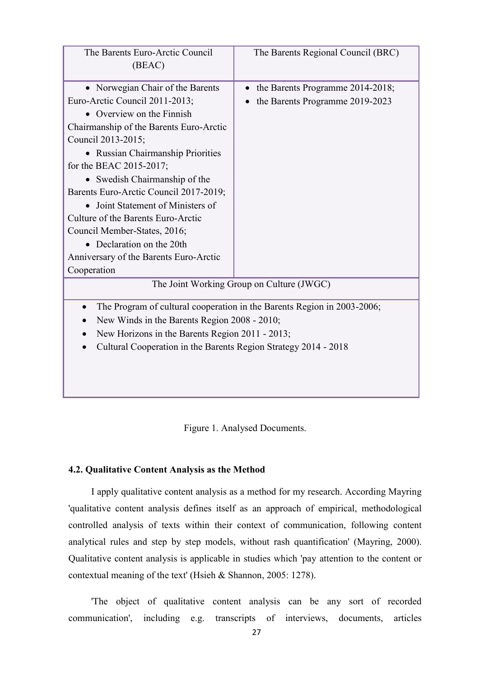| The Barents Euro-Arctic Council                                                      | The Barents Regional Council (BRC) |  |
|--------------------------------------------------------------------------------------|------------------------------------|--|
| (BEAC)                                                                               |                                    |  |
|                                                                                      |                                    |  |
| • Norwegian Chair of the Barents                                                     | the Barents Programme 2014-2018;   |  |
| Euro-Arctic Council 2011-2013;                                                       | the Barents Programme 2019-2023    |  |
| • Overview on the Finnish                                                            |                                    |  |
| Chairmanship of the Barents Euro-Arctic                                              |                                    |  |
| Council 2013-2015;                                                                   |                                    |  |
| • Russian Chairmanship Priorities                                                    |                                    |  |
| for the BEAC 2015-2017;                                                              |                                    |  |
| • Swedish Chairmanship of the                                                        |                                    |  |
| Barents Euro-Arctic Council 2017-2019;                                               |                                    |  |
| • Joint Statement of Ministers of                                                    |                                    |  |
| Culture of the Barents Euro-Arctic                                                   |                                    |  |
| Council Member-States, 2016;                                                         |                                    |  |
| • Declaration on the 20th                                                            |                                    |  |
| Anniversary of the Barents Euro-Arctic                                               |                                    |  |
| Cooperation                                                                          |                                    |  |
| The Joint Working Group on Culture (JWGC)                                            |                                    |  |
| The Program of cultural cooperation in the Barents Region in 2003-2006;<br>$\bullet$ |                                    |  |
| New Winds in the Barents Region 2008 - 2010;                                         |                                    |  |
| New Horizons in the Barents Region 2011 - 2013;                                      |                                    |  |
| Cultural Cooperation in the Barents Region Strategy 2014 - 2018                      |                                    |  |
|                                                                                      |                                    |  |
|                                                                                      |                                    |  |
|                                                                                      |                                    |  |
|                                                                                      |                                    |  |

Figure 1. Analysed Documents.

#### <span id="page-31-0"></span>**4.2. Qualitative Content Analysis as the Method**

I apply qualitative content analysis as a method for my research. According Mayring 'qualitative content analysis defines itself as an approach of empirical, methodological controlled analysis of texts within their context of communication, following content analytical rules and step by step models, without rash quantification' (Mayring, 2000). Qualitative content analysis is applicable in studies which 'pay attention to the content or contextual meaning of the text' (Hsieh & Shannon, 2005: 1278).

'The object of qualitative content analysis can be any sort of recorded communication', including e.g. transcripts of interviews, documents, articles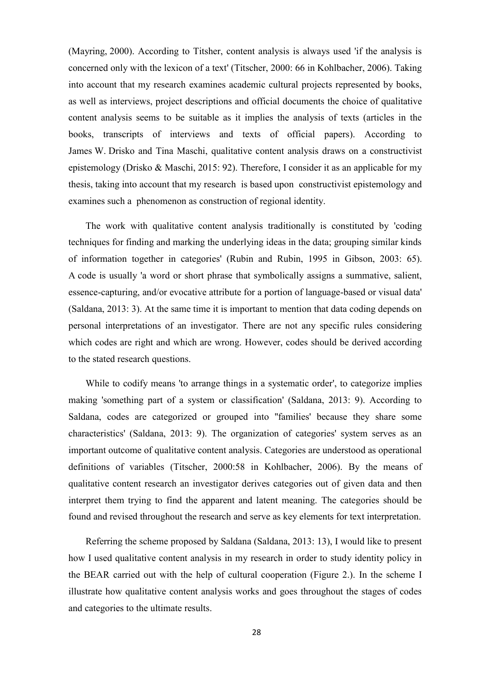(Mayring, 2000). According to Titsher, content analysis is always used 'if the analysis is concerned only with the lexicon of a text' (Titscher, 2000: 66 in Kohlbacher, 2006). Taking into account that my research examines academic cultural projects represented by books, as well as interviews, project descriptions and official documents the choice of qualitative content analysis seems to be suitable as it implies the analysis of texts (articles in the books, transcripts of interviews and texts of official papers). According to James W. Drisko and Tina Maschi, qualitative content analysis draws on a constructivist epistemology (Drisko & Maschi, 2015: 92). Therefore, I consider it as an applicable for my thesis, taking into account that my research is based upon constructivist epistemology and examines such a phenomenon as construction of regional identity.

The work with qualitative content analysis traditionally is constituted by 'coding techniques for finding and marking the underlying ideas in the data; grouping similar kinds of information together in categories' (Rubin and Rubin, 1995 in Gibson, 2003: 65). A code is usually 'a word or short phrase that symbolically assigns a summative, salient, essence-capturing, and/or evocative attribute for a portion of language-based or visual data' (Saldana, 2013: 3). At the same time it is important to mention that data coding depends on personal interpretations of an investigator. There are not any specific rules considering which codes are right and which are wrong. However, codes should be derived according to the stated research questions.

While to codify means 'to arrange things in a systematic order', to categorize implies making 'something part of a system or classification' (Saldana, 2013: 9). According to Saldana, codes are categorized or grouped into ''families' because they share some characteristics' (Saldana, 2013: 9). The organization of categories' system serves as an important outcome of qualitative content analysis. Categories are understood as operational definitions of variables (Titscher, 2000:58 in Kohlbacher, 2006). By the means of qualitative content research an investigator derives categories out of given data and then interpret them trying to find the apparent and latent meaning. The categories should be found and revised throughout the research and serve as key elements for text interpretation.

Referring the scheme proposed by Saldana (Saldana, 2013: 13), I would like to present how I used qualitative content analysis in my research in order to study identity policy in the BEAR carried out with the help of cultural cooperation (Figure 2.). In the scheme I illustrate how qualitative content analysis works and goes throughout the stages of codes and categories to the ultimate results.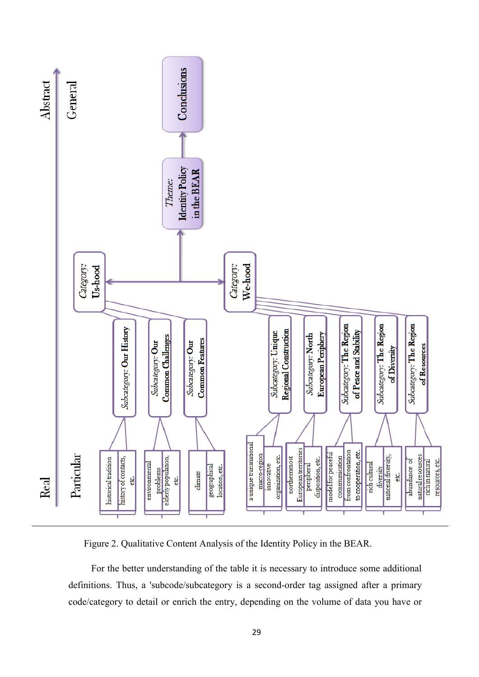

Figure 2. Qualitative Content Analysis of the Identity Policy in the BEAR.

For the better understanding of the table it is necessary to introduce some additional definitions. Thus, a 'subcode/subcategory is a second-order tag assigned after a primary code/category to detail or enrich the entry, depending on the volume of data you have or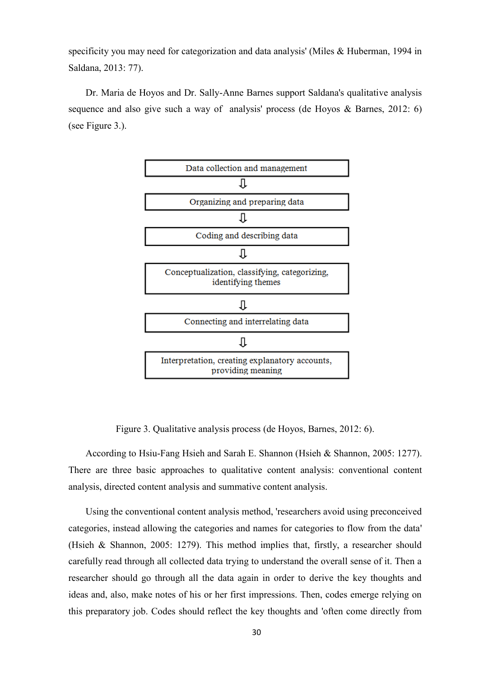specificity you may need for categorization and data analysis' (Miles & Huberman, 1994 in Saldana, 2013: 77).

Dr. Maria de Hoyos and Dr. Sally-Anne Barnes support Saldana's qualitative analysis sequence and also give such a way of analysis' process (de Hoyos & Barnes, 2012: 6) (see Figure 3.).



Figure 3. Qualitative analysis process (de Hoyos, Barnes, 2012: 6).

According to Hsiu-Fang Hsieh and Sarah E. Shannon (Hsieh & Shannon, 2005: 1277). There are three basic approaches to qualitative content analysis: conventional content analysis, directed content analysis and summative content analysis.

Using the conventional content analysis method, 'researchers avoid using preconceived categories, instead allowing the categories and names for categories to flow from the data' (Hsieh & Shannon, 2005: 1279). This method implies that, firstly, a researcher should carefully read through all collected data trying to understand the overall sense of it. Then a researcher should go through all the data again in order to derive the key thoughts and ideas and, also, make notes of his or her first impressions. Then, codes emerge relying on this preparatory job. Codes should reflect the key thoughts and 'often come directly from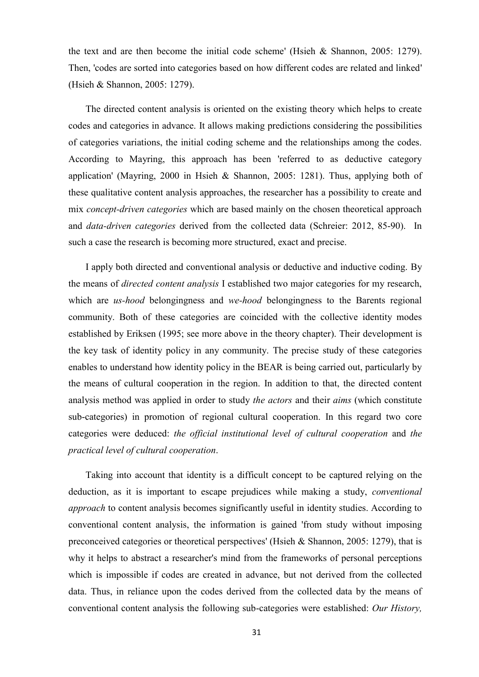the text and are then become the initial code scheme' (Hsieh & Shannon, 2005: 1279). Then, 'codes are sorted into categories based on how different codes are related and linked' (Hsieh & Shannon, 2005: 1279).

The directed content analysis is oriented on the existing theory which helps to create codes and categories in advance. It allows making predictions considering the possibilities of categories variations, the initial coding scheme and the relationships among the codes. According to Mayring, this approach has been 'referred to as deductive category application' (Mayring, 2000 in Hsieh & Shannon, 2005: 1281). Thus, applying both of these qualitative content analysis approaches, the researcher has a possibility to create and mix *concept-driven categories* which are based mainly on the chosen theoretical approach and *data-driven categories* derived from the collected data (Schreier: 2012, 85-90). In such a case the research is becoming more structured, exact and precise.

I apply both directed and conventional analysis or deductive and inductive coding. By the means of *directed content analysis* I established two major categories for my research, which are *us-hood* belongingness and *we-hood* belongingness to the Barents regional community. Both of these categories are coincided with the collective identity modes established by Eriksen (1995; see more above in the theory chapter). Their development is the key task of identity policy in any community. The precise study of these categories enables to understand how identity policy in the BEAR is being carried out, particularly by the means of cultural cooperation in the region. In addition to that, the directed content analysis method was applied in order to study *the actors* and their *aims* (which constitute sub-categories) in promotion of regional cultural cooperation. In this regard two core categories were deduced: *the official institutional level of cultural cooperation* and *the practical level of cultural cooperation*.

Taking into account that identity is a difficult concept to be captured relying on the deduction, as it is important to escape prejudices while making a study, *conventional approach* to content analysis becomes significantly useful in identity studies. According to conventional content analysis, the information is gained 'from study without imposing preconceived categories or theoretical perspectives' (Hsieh & Shannon, 2005: 1279), that is why it helps to abstract a researcher's mind from the frameworks of personal perceptions which is impossible if codes are created in advance, but not derived from the collected data. Thus, in reliance upon the codes derived from the collected data by the means of conventional content analysis the following sub-categories were established: *Our History,*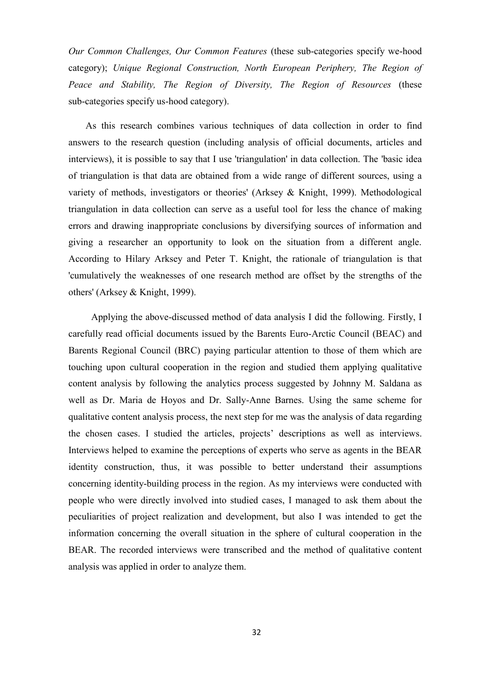*Our Common Challenges, Our Common Features* (these sub-categories specify we-hood category); *Unique Regional Construction, North European Periphery, The Region of Peace and Stability, The Region of Diversity, The Region of Resources* (these sub-categories specify us-hood category).

As this research combines various techniques of data collection in order to find answers to the research question (including analysis of official documents, articles and interviews), it is possible to say that I use 'triangulation' in data collection. The 'basic idea of triangulation is that data are obtained from a wide range of different sources, using a variety of methods, investigators or theories' (Arksey & Knight, 1999). Methodological triangulation in data collection can serve as a useful tool for less the chance of making errors and drawing inappropriate conclusions by diversifying sources of information and giving a researcher an opportunity to look on the situation from a different angle. According to Hilary Arksey and Peter T. Knight, the rationale of triangulation is that 'cumulatively the weaknesses of one research method are offset by the strengths of the others' (Arksey & Knight, 1999).

Applying the above-discussed method of data analysis I did the following. Firstly, I carefully read official documents issued by the Barents Euro-Arctic Council (BEAC) and Barents Regional Council (BRC) paying particular attention to those of them which are touching upon cultural cooperation in the region and studied them applying qualitative content analysis by following the analytics process suggested by Johnny M. Saldana as well as Dr. Maria de Hoyos and Dr. Sally-Anne Barnes. Using the same scheme for qualitative content analysis process, the next step for me was the analysis of data regarding the chosen cases. I studied the articles, projects' descriptions as well as interviews. Interviews helped to examine the perceptions of experts who serve as agents in the BEAR identity construction, thus, it was possible to better understand their assumptions concerning identity-building process in the region. As my interviews were conducted with people who were directly involved into studied cases, I managed to ask them about the peculiarities of project realization and development, but also I was intended to get the information concerning the overall situation in the sphere of cultural cooperation in the BEAR. The recorded interviews were transcribed and the method of qualitative content analysis was applied in order to analyze them.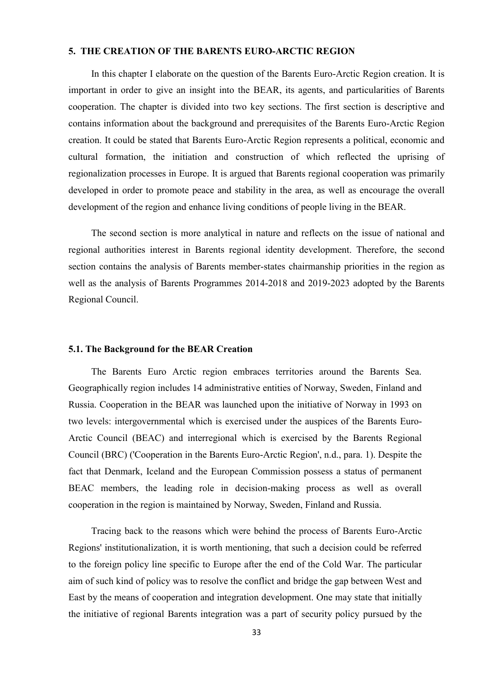# **5. THE CREATION OF THE BARENTS EURO-ARCTIC REGION**

In this chapter I elaborate on the question of the Barents Euro-Arctic Region creation. It is important in order to give an insight into the BEAR, its agents, and particularities of Barents cooperation. The chapter is divided into two key sections. The first section is descriptive and contains information about the background and prerequisites of the Barents Euro-Arctic Region creation. It could be stated that Barents Euro-Arctic Region represents a political, economic and cultural formation, the initiation and construction of which reflected the uprising of regionalization processes in Europe. It is argued that Barents regional cooperation was primarily developed in order to promote peace and stability in the area, as well as encourage the overall development of the region and enhance living conditions of people living in the BEAR.

The second section is more analytical in nature and reflects on the issue of national and regional authorities interest in Barents regional identity development. Therefore, the second section contains the analysis of Barents member-states chairmanship priorities in the region as well as the analysis of Barents Programmes 2014-2018 and 2019-2023 adopted by the Barents Regional Council.

#### **5.1. The Background for the BEAR Creation**

The Barents Euro Arctic region embraces territories around the Barents Sea. Geographically region includes 14 administrative entities of Norway, Sweden, Finland and Russia. Cooperation in the BEAR was launched upon the initiative of Norway in 1993 on two levels: intergovernmental which is exercised under the auspices of the Barents Euro-Arctic Council (BEAC) and interregional which is exercised by the Barents Regional Council (BRC) ('Cooperation in the Barents Euro-Arctic Region', n.d., para. 1). Despite the fact that Denmark, Iceland and the European Commission possess a status of permanent BEAC members, the leading role in decision-making process as well as overall cooperation in the region is maintained by Norway, Sweden, Finland and Russia.

Tracing back to the reasons which were behind the process of Barents Euro-Arctic Regions' institutionalization, it is worth mentioning, that such a decision could be referred to the foreign policy line specific to Europe after the end of the Cold War. The particular aim of such kind of policy was to resolve the conflict and bridge the gap between West and East by the means of cooperation and integration development. One may state that initially the initiative of regional Barents integration was a part of security policy pursued by the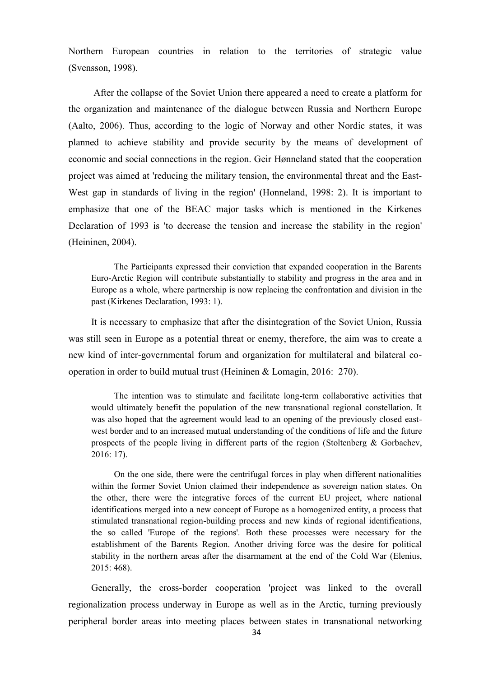Northern European countries in relation to the territories of strategic value (Svensson, 1998).

After the collapse of the Soviet Union there appeared a need to create a platform for the organization and maintenance of the dialogue between Russia and Northern Europe (Aalto, 2006). Thus, according to the logic of Norway and other Nordic states, it was planned to achieve stability and provide security by the means of development of economic and social connections in the region. Geir Hønneland stated that the cooperation project was aimed at 'reducing the military tension, the environmental threat and the East-West gap in standards of living in the region' (Honneland, 1998: 2). It is important to emphasize that one of the BEAC major tasks which is mentioned in the Kirkenes Declaration of 1993 is 'to decrease the tension and increase the stability in the region' (Heininen, 2004).

The Participants expressed their conviction that expanded cooperation in the Barents Euro-Arctic Region will contribute substantially to stability and progress in the area and in Europe as a whole, where partnership is now replacing the confrontation and division in the past (Kirkenes Declaration, 1993: 1).

It is necessary to emphasize that after the disintegration of the Soviet Union, Russia was still seen in Europe as a potential threat or enemy, therefore, the aim was to create a new kind of inter-governmental forum and organization for multilateral and bilateral cooperation in order to build mutual trust (Heininen & Lomagin, 2016: 270).

The intention was to stimulate and facilitate long-term collaborative activities that would ultimately benefit the population of the new transnational regional constellation. It was also hoped that the agreement would lead to an opening of the previously closed eastwest border and to an increased mutual understanding of the conditions of life and the future prospects of the people living in different parts of the region (Stoltenberg & Gorbachev, 2016: 17).

On the one side, there were the centrifugal forces in play when different nationalities within the former Soviet Union claimed their independence as sovereign nation states. On the other, there were the integrative forces of the current EU project, where national identifications merged into a new concept of Europe as a homogenized entity, a process that stimulated transnational region-building process and new kinds of regional identifications, the so called 'Europe of the regions'. Both these processes were necessary for the establishment of the Barents Region. Another driving force was the desire for political stability in the northern areas after the disarmament at the end of the Cold War (Elenius, 2015: 468).

Generally, the cross-border cooperation 'project was linked to the overall regionalization process underway in Europe as well as in the Arctic, turning previously peripheral border areas into meeting places between states in transnational networking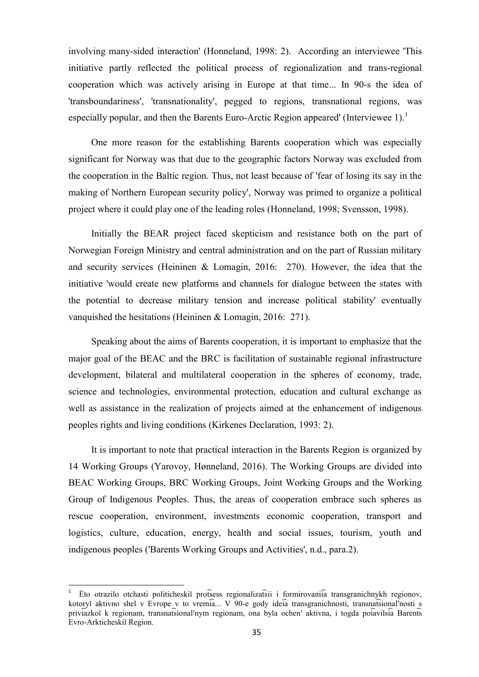involving many-sided interaction' (Honneland, 1998: 2). According an interviewee 'This initiative partly reflected the political process of regionalization and trans-regional cooperation which was actively arising in Europe at that time... In 90-s the idea of 'transboundariness', 'transnationality', pegged to regions, transnational regions, was especially popular, and then the Barents Euro-Arctic Region appeared' (Interviewee 1).<sup>1</sup>

One more reason for the establishing Barents cooperation which was especially significant for Norway was that due to the geographic factors Norway was excluded from the cooperation in the Baltic region. Thus, not least because of 'fear of losing its say in the making of Northern European security policy', Norway was primed to organize a political project where it could play one of the leading roles (Honneland, 1998; Svensson, 1998).

Initially the BEAR project faced skepticism and resistance both on the part of Norwegian Foreign Ministry and central administration and on the part of Russian military and security services (Heininen & Lomagin, 2016: 270). However, the idea that the initiative 'would create new platforms and channels for dialogue between the states with the potential to decrease military tension and increase political stability' eventually vanquished the hesitations (Heininen & Lomagin, 2016: 271).

Speaking about the aims of Barents cooperation, it is important to emphasize that the major goal of the BEAC and the BRC is facilitation of sustainable regional infrastructure development, bilateral and multilateral cooperation in the spheres of economy, trade, science and technologies, environmental protection, education and cultural exchange as well as assistance in the realization of projects aimed at the enhancement of indigenous peoples rights and living conditions (Kirkenes Declaration, 1993: 2).

It is important to note that practical interaction in the Barents Region is organized by 14 Working Groups (Yarovoy, Hønneland, 2016). The Working Groups are divided into BEAC Working Groups, BRC Working Groups, Joint Working Groups and the Working Group of Indigenous Peoples. Thus, the areas of cooperation embrace such spheres as rescue cooperation, environment, investments economic cooperation, transport and logistics, culture, education, energy, health and social issues, tourism, youth and indigenous peoples ('Barents Working Groups and Activities', n.d., para.2).

**.** 

<sup>1</sup> Eto otrazilo otchasti politicheski profsess regionalizatsii i formirovani ia transgranichnykh regionov, kotory aktivno shel v Evrope v to vremia... V 90-e gody ideia transgranichnosti, transnatsional nosti s priviazko k regionam, transnatsional'nym regionam, ona byla ochen' aktivna, i togda poiavilsia Barents Evro-Arkticheskiĭ Region.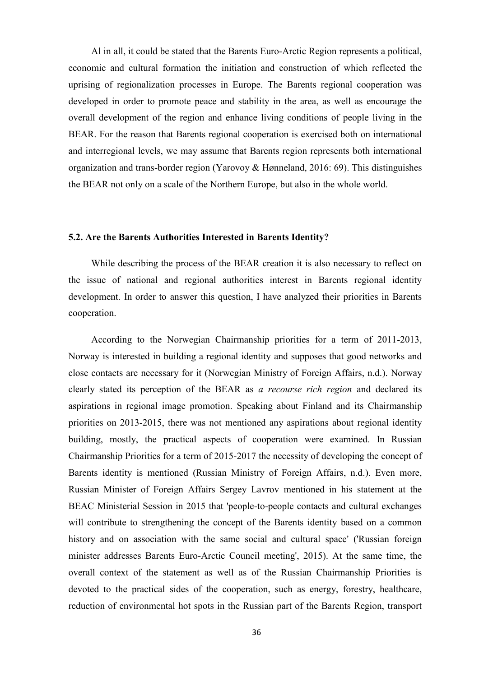Al in all, it could be stated that the Barents Euro-Arctic Region represents a political, economic and cultural formation the initiation and construction of which reflected the uprising of regionalization processes in Europe. The Barents regional cooperation was developed in order to promote peace and stability in the area, as well as encourage the overall development of the region and enhance living conditions of people living in the BEAR. For the reason that Barents regional cooperation is exercised both on international and interregional levels, we may assume that Barents region represents both international organization and trans-border region (Yarovoy & Hønneland, 2016: 69). This distinguishes the BEAR not only on a scale of the Northern Europe, but also in the whole world.

#### **5.2. Are the Barents Authorities Interested in Barents Identity?**

While describing the process of the BEAR creation it is also necessary to reflect on the issue of national and regional authorities interest in Barents regional identity development. In order to answer this question, I have analyzed their priorities in Barents cooperation.

According to the Norwegian Chairmanship priorities for a term of 2011-2013, Norway is interested in building a regional identity and supposes that good networks and close contacts are necessary for it (Norwegian Ministry of Foreign Affairs, n.d.). Norway clearly stated its perception of the BEAR as *a recourse rich region* and declared its aspirations in regional image promotion. Speaking about Finland and its Chairmanship priorities on 2013-2015, there was not mentioned any aspirations about regional identity building, mostly, the practical aspects of cooperation were examined. In Russian Chairmanship Priorities for a term of 2015-2017 the necessity of developing the concept of Barents identity is mentioned (Russian Ministry of Foreign Affairs, n.d.). Even more, Russian Minister of Foreign Affairs Sergey Lavrov mentioned in his statement at the BEAC Ministerial Session in 2015 that 'people-to-people contacts and cultural exchanges will contribute to strengthening the concept of the Barents identity based on a common history and on association with the same social and cultural space' ('Russian foreign minister addresses Barents Euro-Arctic Council meeting', 2015). At the same time, the overall context of the statement as well as of the Russian Chairmanship Priorities is devoted to the practical sides of the cooperation, such as energy, forestry, healthcare, reduction of environmental hot spots in the Russian part of the Barents Region, transport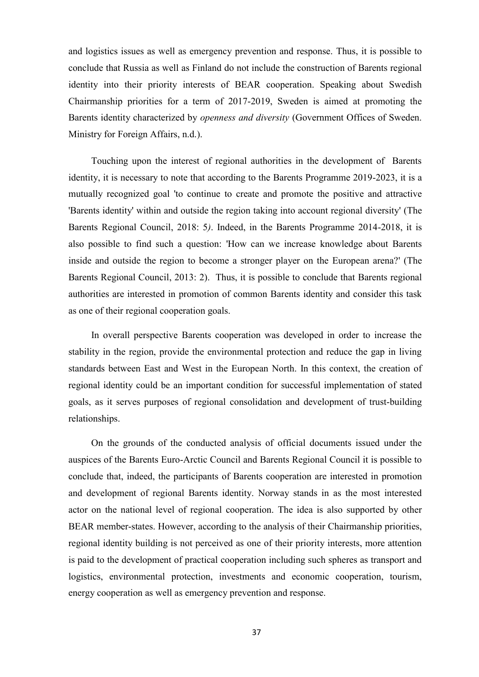and logistics issues as well as emergency prevention and response. Thus, it is possible to conclude that Russia as well as Finland do not include the construction of Barents regional identity into their priority interests of BEAR cooperation. Speaking about Swedish Chairmanship priorities for a term of 2017-2019, Sweden is aimed at promoting the Barents identity characterized by *openness and diversity* (Government Offices of Sweden. Ministry for Foreign Affairs, n.d.).

Touching upon the interest of regional authorities in the development of Barents identity, it is necessary to note that according to the Barents Programme 2019-2023, it is a mutually recognized goal 'to continue to create and promote the positive and attractive 'Barents identity' within and outside the region taking into account regional diversity' (The Barents Regional Council, 2018: 5*)*. Indeed, in the Barents Programme 2014-2018, it is also possible to find such a question: 'How can we increase knowledge about Barents inside and outside the region to become a stronger player on the European arena?' (The Barents Regional Council, 2013: 2). Thus, it is possible to conclude that Barents regional authorities are interested in promotion of common Barents identity and consider this task as one of their regional cooperation goals.

In overall perspective Barents cooperation was developed in order to increase the stability in the region, provide the environmental protection and reduce the gap in living standards between East and West in the European North. In this context, the creation of regional identity could be an important condition for successful implementation of stated goals, as it serves purposes of regional consolidation and development of trust-building relationships.

On the grounds of the conducted analysis of official documents issued under the auspices of the Barents Euro-Arctic Council and Barents Regional Council it is possible to conclude that, indeed, the participants of Barents cooperation are interested in promotion and development of regional Barents identity. Norway stands in as the most interested actor on the national level of regional cooperation. The idea is also supported by other BEAR member-states. However, according to the analysis of their Chairmanship priorities, regional identity building is not perceived as one of their priority interests, more attention is paid to the development of practical cooperation including such spheres as transport and logistics, environmental protection, investments and economic cooperation, tourism, energy cooperation as well as emergency prevention and response.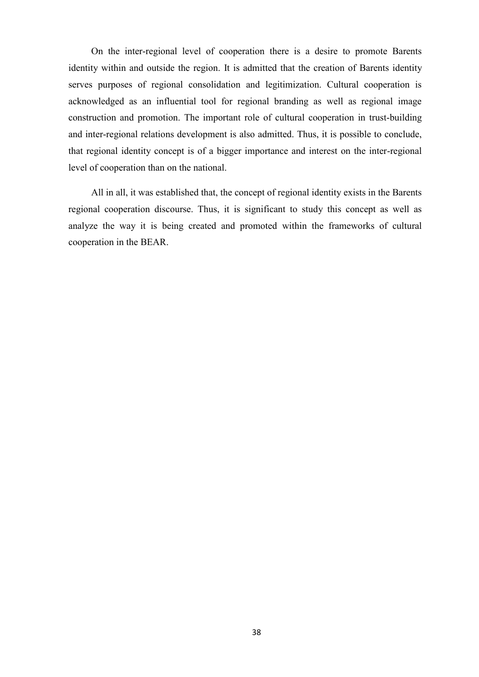On the inter-regional level of cooperation there is a desire to promote Barents identity within and outside the region. It is admitted that the creation of Barents identity serves purposes of regional consolidation and legitimization. Cultural cooperation is acknowledged as an influential tool for regional branding as well as regional image construction and promotion. The important role of cultural cooperation in trust-building and inter-regional relations development is also admitted. Thus, it is possible to conclude, that regional identity concept is of a bigger importance and interest on the inter-regional level of cooperation than on the national.

All in all, it was established that, the concept of regional identity exists in the Barents regional cooperation discourse. Thus, it is significant to study this concept as well as analyze the way it is being created and promoted within the frameworks of cultural cooperation in the BEAR.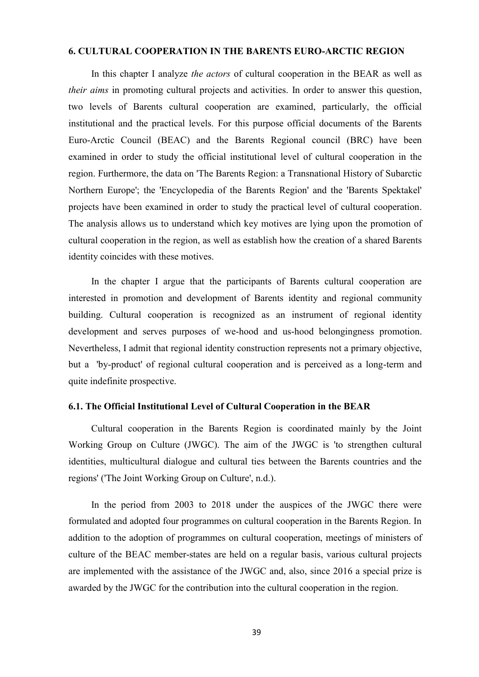# **6. CULTURAL COOPERATION IN THE BARENTS EURO-ARCTIC REGION**

In this chapter I analyze *the actors* of cultural cooperation in the BEAR as well as *their aims* in promoting cultural projects and activities. In order to answer this question, two levels of Barents cultural cooperation are examined, particularly, the official institutional and the practical levels. For this purpose official documents of the Barents Euro-Arctic Council (BEAC) and the Barents Regional council (BRC) have been examined in order to study the official institutional level of cultural cooperation in the region. Furthermore, the data on 'The Barents Region: a Transnational History of Subarctic Northern Europe'; the 'Encyclopedia of the Barents Region' and the 'Barents Spektakel' projects have been examined in order to study the practical level of cultural cooperation. The analysis allows us to understand which key motives are lying upon the promotion of cultural cooperation in the region, as well as establish how the creation of a shared Barents identity coincides with these motives.

In the chapter I argue that the participants of Barents cultural cooperation are interested in promotion and development of Barents identity and regional community building. Cultural cooperation is recognized as an instrument of regional identity development and serves purposes of we-hood and us-hood belongingness promotion. Nevertheless, I admit that regional identity construction represents not a primary objective, but a 'by-product' of regional cultural cooperation and is perceived as a long-term and quite indefinite prospective.

### **6.1. The Official Institutional Level of Cultural Cooperation in the BEAR**

Cultural cooperation in the Barents Region is coordinated mainly by the Joint Working Group on Culture (JWGC). The aim of the JWGC is 'to strengthen cultural identities, multicultural dialogue and cultural ties between the Barents countries and the regions' ('The Joint Working Group on Culture', n.d.).

In the period from 2003 to 2018 under the auspices of the JWGC there were formulated and adopted four programmes on cultural cooperation in the Barents Region. In addition to the adoption of programmes on cultural cooperation, meetings of ministers of culture of the BEAC member-states are held on a regular basis, various cultural projects are implemented with the assistance of the JWGC and, also, since 2016 a special prize is awarded by the JWGC for the contribution into the cultural cooperation in the region.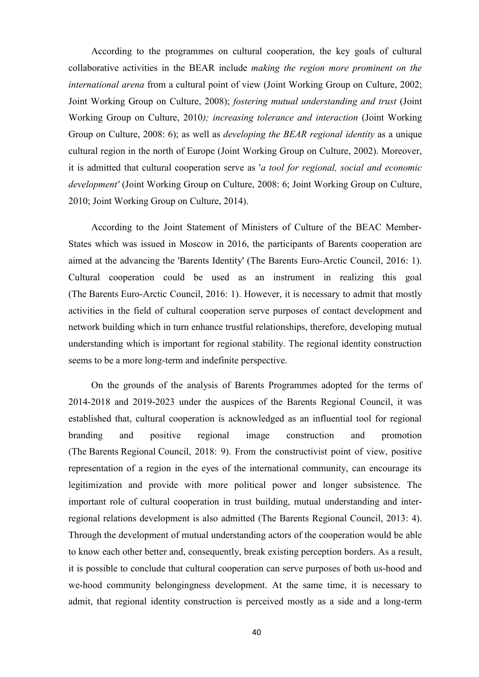According to the programmes on cultural cooperation, the key goals of cultural collaborative activities in the BEAR include *making the region more prominent on the international arena* from a cultural point of view (Joint Working Group on Culture, 2002; Joint Working Group on Culture, 2008); *fostering mutual understanding and trust* (Joint Working Group on Culture, 2010*); increasing tolerance and interaction* (Joint Working Group on Culture, 2008: 6); as well as *developing the BEAR regional identity* as a unique cultural region in the north of Europe (Joint Working Group on Culture, 2002). Moreover, it is admitted that cultural cooperation serve as '*a tool for regional, social and economic development'* (Joint Working Group on Culture, 2008: 6; Joint Working Group on Culture, 2010; Joint Working Group on Culture, 2014).

According to the Joint Statement of Ministers of Culture of the BEAC Member-States which was issued in Moscow in 2016, the participants of Barents cooperation are aimed at the advancing the 'Barents Identity' (The Barents Euro-Arctic Council, 2016: 1). Cultural cooperation could be used as an instrument in realizing this goal (The Barents Euro-Arctic Council, 2016: 1). However, it is necessary to admit that mostly activities in the field of cultural cooperation serve purposes of contact development and network building which in turn enhance trustful relationships, therefore, developing mutual understanding which is important for regional stability. The regional identity construction seems to be a more long-term and indefinite perspective.

On the grounds of the analysis of Barents Programmes adopted for the terms of 2014-2018 and 2019-2023 under the auspices of the Barents Regional Council, it was established that, cultural cooperation is acknowledged as an influential tool for regional branding and positive regional image construction and promotion (The Barents Regional Council, 2018: 9). From the constructivist point of view, positive representation of a region in the eyes of the international community, can encourage its legitimization and provide with more political power and longer subsistence. The important role of cultural cooperation in trust building, mutual understanding and interregional relations development is also admitted (The Barents Regional Council, 2013: 4). Through the development of mutual understanding actors of the cooperation would be able to know each other better and, consequently, break existing perception borders. As a result, it is possible to conclude that cultural cooperation can serve purposes of both us-hood and we-hood community belongingness development. At the same time, it is necessary to admit, that regional identity construction is perceived mostly as a side and a long-term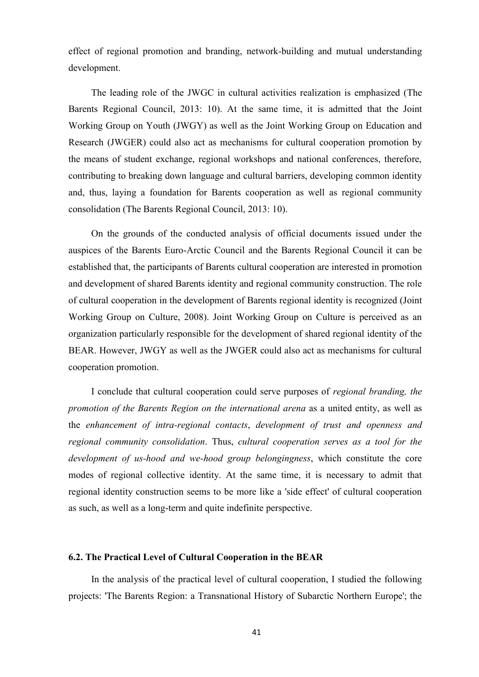effect of regional promotion and branding, network-building and mutual understanding development.

The leading role of the JWGC in cultural activities realization is emphasized (The Barents Regional Council, 2013: 10). At the same time, it is admitted that the Joint Working Group on Youth (JWGY) as well as the Joint Working Group on Education and Research (JWGER) could also act as mechanisms for cultural cooperation promotion by the means of student exchange, regional workshops and national conferences, therefore, contributing to breaking down language and cultural barriers, developing common identity and, thus, laying a foundation for Barents cooperation as well as regional community consolidation (The Barents Regional Council, 2013: 10).

On the grounds of the conducted analysis of official documents issued under the auspices of the Barents Euro-Arctic Council and the Barents Regional Council it can be established that, the participants of Barents cultural cooperation are interested in promotion and development of shared Barents identity and regional community construction. The role of cultural cooperation in the development of Barents regional identity is recognized (Joint Working Group on Culture, 2008). Joint Working Group on Culture is perceived as an organization particularly responsible for the development of shared regional identity of the BEAR. However, JWGY as well as the JWGER could also act as mechanisms for cultural cooperation promotion.

I conclude that cultural cooperation could serve purposes of *regional branding, the promotion of the Barents Region on the international arena* as a united entity, as well as the *enhancement of intra-regional contacts*, *development of trust and openness and regional community consolidation*. Thus, *cultural cooperation serves as a tool for the development of us-hood and we-hood group belongingness*, which constitute the core modes of regional collective identity. At the same time, it is necessary to admit that regional identity construction seems to be more like a 'side effect' of cultural cooperation as such, as well as a long-term and quite indefinite perspective.

### **6.2. The Practical Level of Cultural Cooperation in the BEAR**

In the analysis of the practical level of cultural cooperation, I studied the following projects: 'The Barents Region: a Transnational History of Subarctic Northern Europe'; the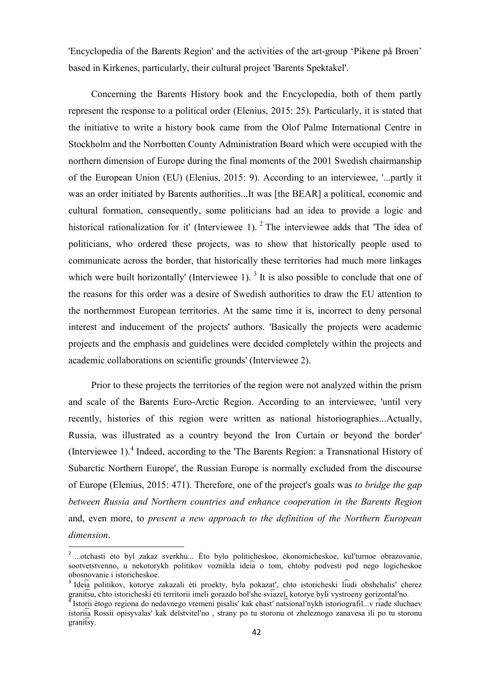'Encyclopedia of the Barents Region' and the activities of the art-group "Pikene på Broen" based in Kirkenes, particularly, their cultural project 'Barents Spektakel'.

Concerning the Barents History book and the Encyclopedia, both of them partly represent the response to a political order (Elenius, 2015: 25). Particularly, it is stated that the initiative to write a history book came from the Olof Palme International Centre in Stockholm and the Norrbotten County Administration Board which were occupied with the northern dimension of Europe during the final moments of the 2001 Swedish chairmanship of the European Union (EU) (Elenius, 2015: 9). According to an interviewee, '...partly it was an order initiated by Barents authorities...It was [the BEAR] a political, economic and cultural formation, consequently, some politicians had an idea to provide a logic and historical rationalization for it' (Interviewee 1).  $2$  The interviewee adds that 'The idea of politicians, who ordered these projects, was to show that historically people used to communicate across the border, that historically these territories had much more linkages which were built horizontally' (Interviewee 1).<sup>3</sup> It is also possible to conclude that one of the reasons for this order was a desire of Swedish authorities to draw the EU attention to the northernmost European territories. At the same time it is, incorrect to deny personal interest and inducement of the projects' authors. 'Basically the projects were academic projects and the emphasis and guidelines were decided completely within the projects and academic collaborations on scientific grounds' (Interviewee 2).

Prior to these projects the territories of the region were not analyzed within the prism and scale of the Barents Euro-Arctic Region. According to an interviewee, 'until very recently, histories of this region were written as national historiographies...Actually, Russia, was illustrated as a country beyond the Iron Curtain or beyond the border' (Interviewee 1).<sup>4</sup> Indeed, according to the 'The Barents Region: a Transnational History of Subarctic Northern Europe', the Russian Europe is normally excluded from the discourse of Europe (Elenius, 2015: 471). Therefore, one of the project's goals was *to bridge the gap between Russia and Northern countries and enhance cooperation in the Barents Region* and, even more, to *present a new approach to the definition of the Northern European dimension*.

wa matasti ėto byl zakaz sverkhu... Ėto bylo politicheskoe, ėkonomicheskoe, kul'turnoe obrazovanie, sootvetstvenno, u nekotorykh politikov voznikla ideia o tom, chtoby podvesti pod nego logicheskoe obosnovanie i istoricheskoe.

<sup>&</sup>lt;sup>3</sup> Ideia politikov, kotorye zakazali ėti proekty, byla pokazat', chto istoricheski liudi obshchalis' cherez granitsu, chto istoricheski ėti territorii imeli gorazdo bol'she sviazeĭ, kotorye byli vystroeny gorizontal'no.

<sup>4</sup> Istorii ėtogo regiona do nedavnego vremeni pisalis' kak chast' natsional'nykh istoriografii...v riade sluchaev istoriia Rossii opisyvalas' kak de stvitel'no, strany po tu storonu ot zheleznogo zanavesa ili po tu storonu granitsy.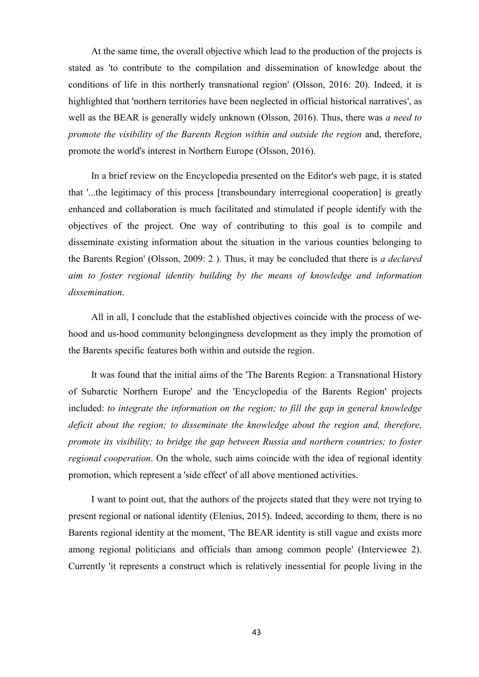At the same time, the overall objective which lead to the production of the projects is stated as 'to contribute to the compilation and dissemination of knowledge about the conditions of life in this northerly transnational region' (Olsson, 2016: 20). Indeed, it is highlighted that 'northern territories have been neglected in official historical narratives', as well as the BEAR is generally widely unknown (Olsson, 2016). Thus, there was *a need to promote the visibility of the Barents Region within and outside the region* and, therefore, promote the world's interest in Northern Europe (Olsson, 2016).

In a brief review on the Encyclopedia presented on the Editor's web page, it is stated that '...the legitimacy of this process [transboundary interregional cooperation] is greatly enhanced and collaboration is much facilitated and stimulated if people identify with the objectives of the project. One way of contributing to this goal is to compile and disseminate existing information about the situation in the various counties belonging to the Barents Region' (Olsson, 2009: 2 ). Thus, it may be concluded that there is *a declared aim to foster regional identity building by the means of knowledge and information dissemination*.

All in all, I conclude that the established objectives coincide with the process of wehood and us-hood community belongingness development as they imply the promotion of the Barents specific features both within and outside the region.

It was found that the initial aims of the 'The Barents Region: a Transnational History of Subarctic Northern Europe' and the 'Encyclopedia of the Barents Region' projects included: *to integrate the information on the region; to fill the gap in general knowledge deficit about the region; to disseminate the knowledge about the region and, therefore, promote its visibility; to bridge the gap between Russia and northern countries; to foster regional cooperation*. On the whole, such aims coincide with the idea of regional identity promotion, which represent a 'side effect' of all above mentioned activities.

I want to point out, that the authors of the projects stated that they were not trying to present regional or national identity (Elenius, 2015). Indeed, according to them, there is no Barents regional identity at the moment, 'The BEAR identity is still vague and exists more among regional politicians and officials than among common people' (Interviewee 2). Currently 'it represents a construct which is relatively inessential for people living in the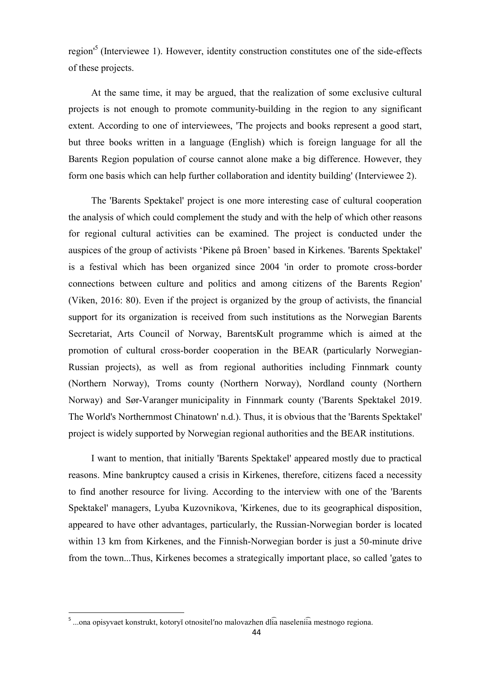region<sup>15</sup> (Interviewee 1). However, identity construction constitutes one of the side-effects of these projects.

At the same time, it may be argued, that the realization of some exclusive cultural projects is not enough to promote community-building in the region to any significant extent. According to one of interviewees, 'The projects and books represent a good start, but three books written in a language (English) which is foreign language for all the Barents Region population of course cannot alone make a big difference. However, they form one basis which can help further collaboration and identity building' (Interviewee 2).

The 'Barents Spektakel' project is one more interesting case of cultural cooperation the analysis of which could complement the study and with the help of which other reasons for regional cultural activities can be examined. The project is conducted under the auspices of the group of activists "Pikene på Broen" based in Kirkenes. 'Barents Spektakel' is a festival which has been organized since 2004 'in order to promote cross-border connections between culture and politics and among citizens of the Barents Region' (Viken, 2016: 80). Even if the project is organized by the group of activists, the financial support for its organization is received from such institutions as the Norwegian Barents Secretariat, Arts Council of Norway, BarentsKult programme which is aimed at the promotion of cultural cross-border cooperation in the BEAR (particularly Norwegian-Russian projects), as well as from regional authorities including Finnmark county (Northern Norway), Troms county (Northern Norway), Nordland county (Northern Norway) and Sør-Varanger municipality in Finnmark county ('Barents Spektakel 2019. The World's Northernmost Chinatown' n.d.). Thus, it is obvious that the 'Barents Spektakel' project is widely supported by Norwegian regional authorities and the BEAR institutions.

I want to mention, that initially 'Barents Spektakel' appeared mostly due to practical reasons. Mine bankruptcy caused a crisis in Kirkenes, therefore, citizens faced a necessity to find another resource for living. According to the interview with one of the 'Barents Spektakel' managers, Lyuba Kuzovnikova, 'Kirkenes, due to its geographical disposition, appeared to have other advantages, particularly, the Russian-Norwegian border is located within 13 km from Kirkenes, and the Finnish-Norwegian border is just a 50-minute drive from the town...Thus, Kirkenes becomes a strategically important place, so called 'gates to

**.** 

<sup>&</sup>lt;sup>5</sup> ...ona opisyvaet konstrukt, kotoryĭ otnositel'no malovazhen dlia naseleniia mestnogo regiona.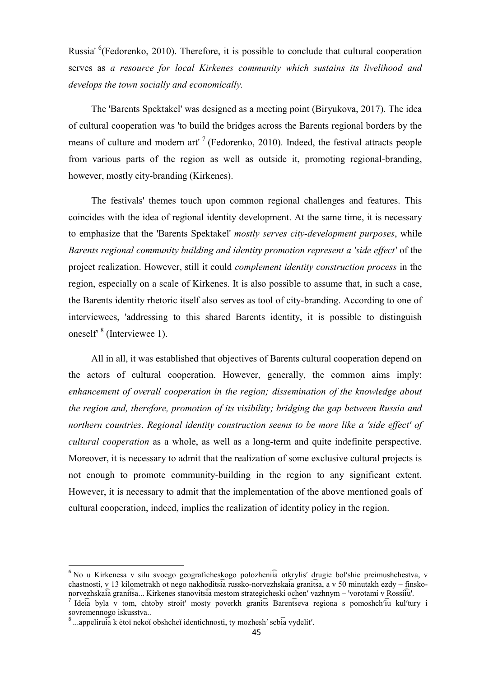Russia' <sup>6</sup>(Fedorenko, 2010). Therefore, it is possible to conclude that cultural cooperation serves as *a resource for local Kirkenes community which sustains its livelihood and develops the town socially and economically.*

The 'Barents Spektakel' was designed as a meeting point (Biryukova, 2017). The idea of cultural cooperation was 'to build the bridges across the Barents regional borders by the means of culture and modern art'<sup>7</sup> (Fedorenko, 2010). Indeed, the festival attracts people from various parts of the region as well as outside it, promoting regional-branding, however, mostly city-branding (Kirkenes).

The festivals' themes touch upon common regional challenges and features. This coincides with the idea of regional identity development. At the same time, it is necessary to emphasize that the 'Barents Spektakel' *mostly serves city-development purposes*, while *Barents regional community building and identity promotion represent a 'side effect'* of the project realization. However, still it could *complement identity construction process* in the region, especially on a scale of Kirkenes. It is also possible to assume that, in such a case, the Barents identity rhetoric itself also serves as tool of city-branding. According to one of interviewees, 'addressing to this shared Barents identity, it is possible to distinguish oneself<sup>8</sup> (Interviewee 1).

All in all, it was established that objectives of Barents cultural cooperation depend on the actors of cultural cooperation. However, generally, the common aims imply: *enhancement of overall cooperation in the region; dissemination of the knowledge about the region and, therefore, promotion of its visibility; bridging the gap between Russia and northern countries*. *Regional identity construction seems to be more like a 'side effect' of cultural cooperation* as a whole, as well as a long-term and quite indefinite perspective. Moreover, it is necessary to admit that the realization of some exclusive cultural projects is not enough to promote community-building in the region to any significant extent. However, it is necessary to admit that the implementation of the above mentioned goals of cultural cooperation, indeed, implies the realization of identity policy in the region.

 $\overline{\phantom{a}}$ 

<sup>&</sup>lt;sup>6</sup> No u Kirkenesa v silu svoego geograficheskogo polozheniia otkrylis' drugie bol'shie preimushchestva, v chastnosti, v 13 kilometrakh ot nego nakhoditsia russko-norvezhska ia grani $\overline{1}$ sa, a v 50 minutakh ezdy – finskonorvezhskajā granitsa... Kirkenes stanovitsia mestom strategicheski ochen' vazhnym – 'vorotami v Rossiiu'.

<sup>7</sup> Ideia byla v tom, chtoby stroit' mosty poverkh granits Barentseva regiona s pomoshch'iu kul'tury i sovremennogo iskusstva..

 $^8$  ...appelirui $\overline{\hat{a}}$  k ėto neko obshche i identichnosti, ty mozhesh' sebi $\overline{\hat{a}}$  vydelit'.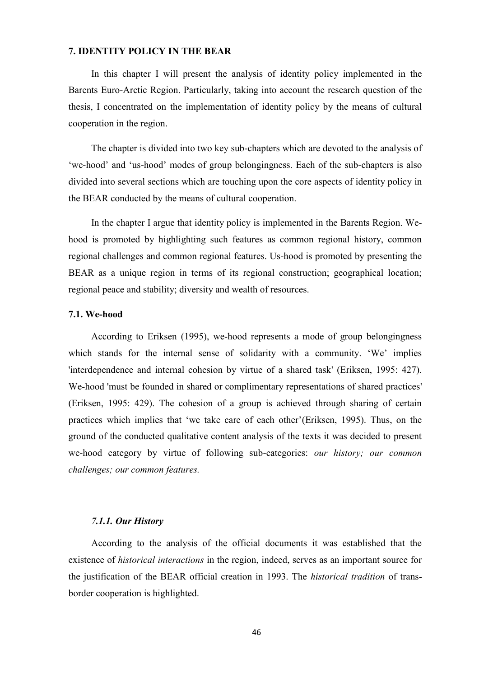# **7. IDENTITY POLICY IN THE BEAR**

In this chapter I will present the analysis of identity policy implemented in the Barents Euro-Arctic Region. Particularly, taking into account the research question of the thesis, I concentrated on the implementation of identity policy by the means of cultural cooperation in the region.

The chapter is divided into two key sub-chapters which are devoted to the analysis of "we-hood" and "us-hood" modes of group belongingness. Each of the sub-chapters is also divided into several sections which are touching upon the core aspects of identity policy in the BEAR conducted by the means of cultural cooperation.

In the chapter I argue that identity policy is implemented in the Barents Region. Wehood is promoted by highlighting such features as common regional history, common regional challenges and common regional features. Us-hood is promoted by presenting the BEAR as a unique region in terms of its regional construction; geographical location; regional peace and stability; diversity and wealth of resources.

### **7.1. We-hood**

According to Eriksen (1995), we-hood represents a mode of group belongingness which stands for the internal sense of solidarity with a community. 'We' implies 'interdependence and internal cohesion by virtue of a shared task' (Eriksen, 1995: 427). We-hood 'must be founded in shared or complimentary representations of shared practices' (Eriksen, 1995: 429). The cohesion of a group is achieved through sharing of certain practices which implies that "we take care of each other"(Eriksen, 1995). Thus, on the ground of the conducted qualitative content analysis of the texts it was decided to present we-hood category by virtue of following sub-categories: *our history; our common challenges; our common features.*

## *7.1.1. Our History*

According to the analysis of the official documents it was established that the existence of *historical interactions* in the region, indeed, serves as an important source for the justification of the BEAR official creation in 1993. The *historical tradition* of transborder cooperation is highlighted.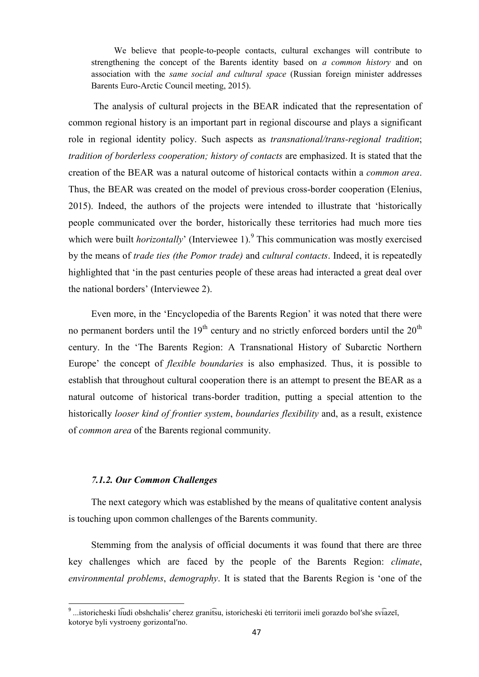We believe that people-to-people contacts, cultural exchanges will contribute to strengthening the concept of the Barents identity based on *a common history* and on association with the *same social and cultural space* (Russian foreign minister addresses Barents Euro-Arctic Council meeting, 2015).

The analysis of cultural projects in the BEAR indicated that the representation of common regional history is an important part in regional discourse and plays a significant role in regional identity policy. Such aspects as *transnational/trans-regional tradition*; *tradition of borderless cooperation; history of contacts* are emphasized. It is stated that the creation of the BEAR was a natural outcome of historical contacts within a *common area*. Thus, the BEAR was created on the model of previous cross-border cooperation (Elenius, 2015). Indeed, the authors of the projects were intended to illustrate that "historically people communicated over the border, historically these territories had much more ties which were built *horizontally*' (Interviewee 1).<sup>9</sup> This communication was mostly exercised by the means of *trade ties (the Pomor trade)* and *cultural contacts*. Indeed, it is repeatedly highlighted that "in the past centuries people of these areas had interacted a great deal over the national borders" (Interviewee 2).

Even more, in the 'Encyclopedia of the Barents Region' it was noted that there were no permanent borders until the  $19<sup>th</sup>$  century and no strictly enforced borders until the  $20<sup>th</sup>$ century. In the "The Barents Region: A Transnational History of Subarctic Northern Europe" the concept of *flexible boundaries* is also emphasized. Thus, it is possible to establish that throughout cultural cooperation there is an attempt to present the BEAR as a natural outcome of historical trans-border tradition, putting a special attention to the historically *looser kind of frontier system*, *boundaries flexibility* and, as a result, existence of *common area* of the Barents regional community.

# *7.1.2. Our Common Challenges*

The next category which was established by the means of qualitative content analysis is touching upon common challenges of the Barents community.

Stemming from the analysis of official documents it was found that there are three key challenges which are faced by the people of the Barents Region: *climate*, *environmental problems*, *demography*. It is stated that the Barents Region is "one of the

<sup>&</sup>lt;u>a metas.</u><br><sup>9</sup> ...istoricheski liūdi obshchalis' cherez granitsu, istoricheski ėti territorii imeli gorazdo bol'she sviazeĭ, kotorye byli vystroeny gorizontal'no.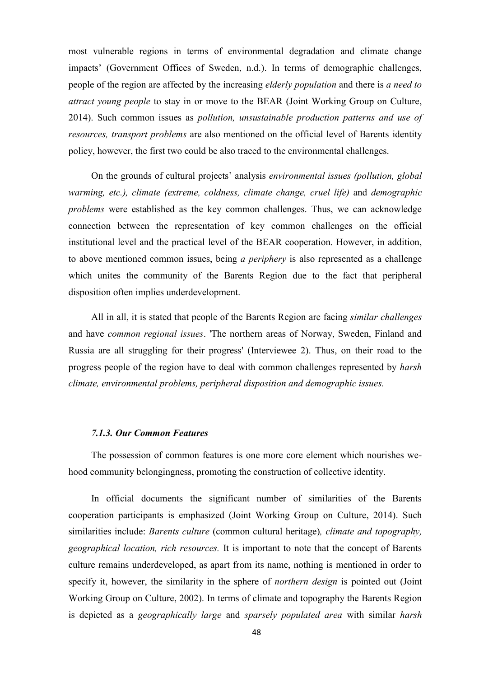most vulnerable regions in terms of environmental degradation and climate change impacts" (Government Offices of Sweden, n.d.). In terms of demographic challenges, people of the region are affected by the increasing *elderly population* and there is *a need to attract young people* to stay in or move to the BEAR (Joint Working Group on Culture, 2014). Such common issues as *pollution, unsustainable production patterns and use of resources, transport problems* are also mentioned on the official level of Barents identity policy, however, the first two could be also traced to the environmental challenges.

On the grounds of cultural projects" analysis *environmental issues (pollution, global warming, etc.), climate (extreme, coldness, climate change, cruel life)* and *demographic problems* were established as the key common challenges. Thus, we can acknowledge connection between the representation of key common challenges on the official institutional level and the practical level of the BEAR cooperation. However, in addition, to above mentioned common issues, being *a periphery* is also represented as a challenge which unites the community of the Barents Region due to the fact that peripheral disposition often implies underdevelopment.

All in all, it is stated that people of the Barents Region are facing *similar challenges* and have *common regional issues*. 'The northern areas of Norway, Sweden, Finland and Russia are all struggling for their progress' (Interviewee 2). Thus, on their road to the progress people of the region have to deal with common challenges represented by *harsh climate, environmental problems, peripheral disposition and demographic issues.*

#### *7.1.3. Our Common Features*

The possession of common features is one more core element which nourishes wehood community belongingness, promoting the construction of collective identity.

In official documents the significant number of similarities of the Barents cooperation participants is emphasized (Joint Working Group on Culture, 2014). Such similarities include: *Barents culture* (common cultural heritage)*, climate and topography, geographical location, rich resources.* It is important to note that the concept of Barents culture remains underdeveloped, as apart from its name, nothing is mentioned in order to specify it, however, the similarity in the sphere of *northern design* is pointed out (Joint Working Group on Culture, 2002). In terms of climate and topography the Barents Region is depicted as a *geographically large* and *sparsely populated area* with similar *harsh*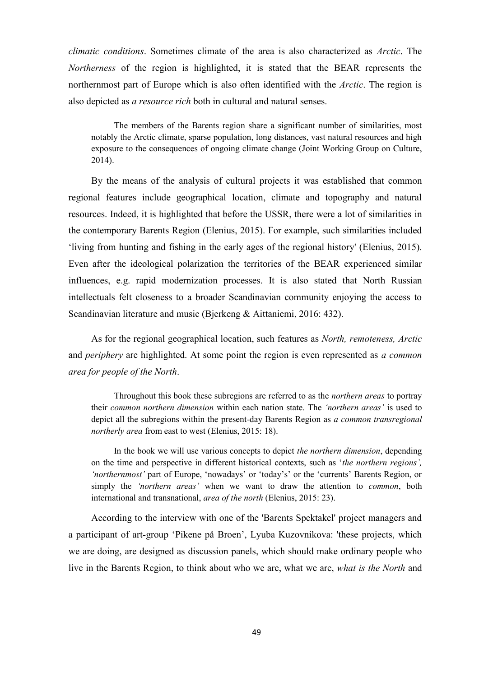*climatic conditions*. Sometimes climate of the area is also characterized as *Arctic*. The *Northerness* of the region is highlighted, it is stated that the BEAR represents the northernmost part of Europe which is also often identified with the *Arctic*. The region is also depicted as *a resource rich* both in cultural and natural senses.

The members of the Barents region share a significant number of similarities, most notably the Arctic climate, sparse population, long distances, vast natural resources and high exposure to the consequences of ongoing climate change (Joint Working Group on Culture, 2014).

By the means of the analysis of cultural projects it was established that common regional features include geographical location, climate and topography and natural resources. Indeed, it is highlighted that before the USSR, there were a lot of similarities in the contemporary Barents Region (Elenius, 2015). For example, such similarities included "living from hunting and fishing in the early ages of the regional history' (Elenius, 2015). Even after the ideological polarization the territories of the BEAR experienced similar influences, e.g. rapid modernization processes. It is also stated that North Russian intellectuals felt closeness to a broader Scandinavian community enjoying the access to Scandinavian literature and music (Bjerkeng & Aittaniemi, 2016: 432).

As for the regional geographical location, such features as *North, remoteness, Arctic*  and *periphery* are highlighted. At some point the region is even represented as *a common area for people of the North*.

Throughout this book these subregions are referred to as the *northern areas* to portray their *common northern dimension* within each nation state. The *‗northern areas'* is used to depict all the subregions within the present-day Barents Region as *a common transregional northerly area* from east to west (Elenius, 2015: 18).

In the book we will use various concepts to depict *the northern dimension*, depending on the time and perspective in different historical contexts, such as "*the northern regions',*  'northernmost' part of Europe, 'nowadays' or 'today's' or the 'currents' Barents Region, or simply the *‗northern areas'* when we want to draw the attention to *common*, both international and transnational, *area of the north* (Elenius, 2015: 23).

According to the interview with one of the 'Barents Spektakel' project managers and a participant of art-group "Pikene på Broen", Lyuba Kuzovnikova: 'these projects, which we are doing, are designed as discussion panels, which should make ordinary people who live in the Barents Region, to think about who we are, what we are, *what is the North* and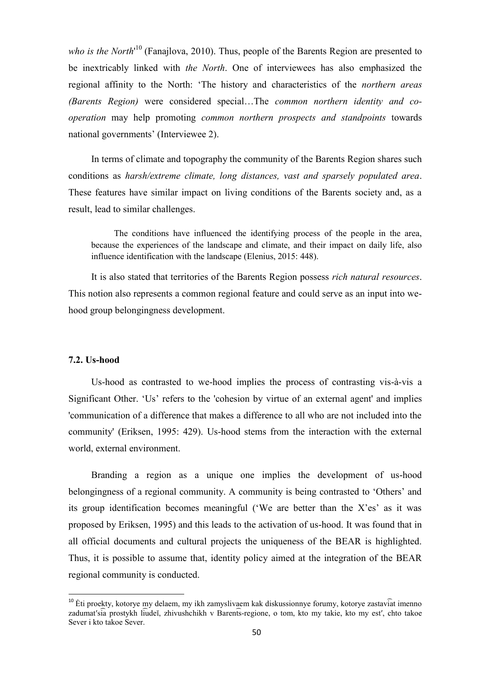who is the North<sup>10</sup> (Fanajlova, 2010). Thus, people of the Barents Region are presented to be inextricably linked with *the North*. One of interviewees has also emphasized the regional affinity to the North: "The history and characteristics of the *northern areas (Barents Region)* were considered special…The *common northern identity and cooperation* may help promoting *common northern prospects and standpoints* towards national governments' (Interviewee 2).

In terms of climate and topography the community of the Barents Region shares such conditions as *harsh/extreme climate, long distances, vast and sparsely populated area*. These features have similar impact on living conditions of the Barents society and, as a result, lead to similar challenges.

The conditions have influenced the identifying process of the people in the area, because the experiences of the landscape and climate, and their impact on daily life, also influence identification with the landscape (Elenius, 2015: 448).

It is also stated that territories of the Barents Region possess *rich natural resources*. This notion also represents a common regional feature and could serve as an input into wehood group belongingness development.

#### **7.2. Us-hood**

 $\overline{\phantom{a}}$ 

Us-hood as contrasted to we-hood implies the process of contrasting vis-à-vis a Significant Other. 'Us' refers to the 'cohesion by virtue of an external agent' and implies 'communication of a difference that makes a difference to all who are not included into the community' (Eriksen, 1995: 429). Us-hood stems from the interaction with the external world, external environment.

Branding a region as a unique one implies the development of us-hood belongingness of a regional community. A community is being contrasted to "Others" and its group identification becomes meaningful ('We are better than the  $X$ 'es' as it was proposed by Eriksen, 1995) and this leads to the activation of us-hood. It was found that in all official documents and cultural projects the uniqueness of the BEAR is highlighted. Thus, it is possible to assume that, identity policy aimed at the integration of the BEAR regional community is conducted.

 $10$  Eti proekty, kotorye my delaem, my ikh zamyslivaem kak diskussionnye forumy, kotorye zastaviat imenno zadumat'sia prostykh liudeĭ, zhivushchikh v Barents-regione, o tom, kto my takie, kto my est', chto takoe Sever i kto takoe Sever.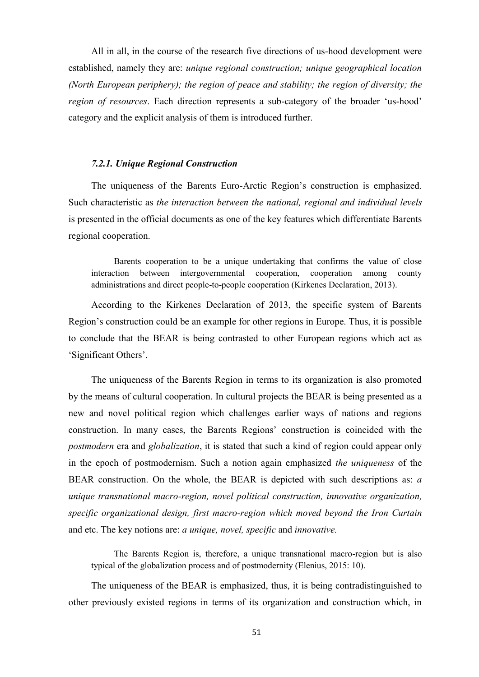All in all, in the course of the research five directions of us-hood development were established, namely they are: *unique regional construction; unique geographical location (North European periphery); the region of peace and stability; the region of diversity; the region of resources*. Each direction represents a sub-category of the broader 'us-hood' category and the explicit analysis of them is introduced further.

### *7.2.1. Unique Regional Construction*

The uniqueness of the Barents Euro-Arctic Region"s construction is emphasized. Such characteristic as *the interaction between the national, regional and individual levels* is presented in the official documents as one of the key features which differentiate Barents regional cooperation.

Barents cooperation to be a unique undertaking that confirms the value of close interaction between intergovernmental cooperation, cooperation among county administrations and direct people-to-people cooperation (Kirkenes Declaration, 2013).

According to the Kirkenes Declaration of 2013, the specific system of Barents Region"s construction could be an example for other regions in Europe. Thus, it is possible to conclude that the BEAR is being contrasted to other European regions which act as "Significant Others".

The uniqueness of the Barents Region in terms to its organization is also promoted by the means of cultural cooperation. In cultural projects the BEAR is being presented as a new and novel political region which challenges earlier ways of nations and regions construction. In many cases, the Barents Regions" construction is coincided with the *postmodern* era and *globalization*, it is stated that such a kind of region could appear only in the epoch of postmodernism. Such a notion again emphasized *the uniqueness* of the BEAR construction. On the whole, the BEAR is depicted with such descriptions as: *a unique transnational macro-region, novel political construction, innovative organization, specific organizational design, first macro-region which moved beyond the Iron Curtain* and etc. The key notions are: *a unique, novel, specific* and *innovative.*

The Barents Region is, therefore, a unique transnational macro-region but is also typical of the globalization process and of postmodernity (Elenius, 2015: 10).

The uniqueness of the BEAR is emphasized, thus, it is being contradistinguished to other previously existed regions in terms of its organization and construction which, in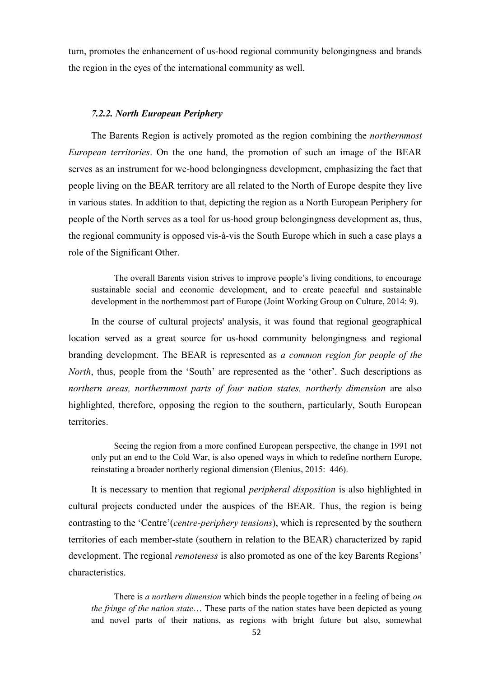turn, promotes the enhancement of us-hood regional community belongingness and brands the region in the eyes of the international community as well.

### *7.2.2. North European Periphery*

The Barents Region is actively promoted as the region combining the *northernmost European territories*. On the one hand, the promotion of such an image of the BEAR serves as an instrument for we-hood belongingness development, emphasizing the fact that people living on the BEAR territory are all related to the North of Europe despite they live in various states. In addition to that, depicting the region as a North European Periphery for people of the North serves as a tool for us-hood group belongingness development as, thus, the regional community is opposed vis-à-vis the South Europe which in such a case plays a role of the Significant Other.

The overall Barents vision strives to improve people"s living conditions, to encourage sustainable social and economic development, and to create peaceful and sustainable development in the northernmost part of Europe (Joint Working Group on Culture, 2014: 9).

In the course of cultural projects' analysis, it was found that regional geographical location served as a great source for us-hood community belongingness and regional branding development. The BEAR is represented as *a common region for people of the North*, thus, people from the 'South' are represented as the 'other'. Such descriptions as *northern areas, northernmost parts of four nation states, northerly dimension* are also highlighted, therefore, opposing the region to the southern, particularly, South European territories.

Seeing the region from a more confined European perspective, the change in 1991 not only put an end to the Cold War, is also opened ways in which to redefine northern Europe, reinstating a broader northerly regional dimension (Elenius, 2015: 446).

It is necessary to mention that regional *peripheral disposition* is also highlighted in cultural projects conducted under the auspices of the BEAR. Thus, the region is being contrasting to the 'Centre'(*centre-periphery tensions*), which is represented by the southern territories of each member-state (southern in relation to the BEAR) characterized by rapid development. The regional *remoteness* is also promoted as one of the key Barents Regions" characteristics.

There is *a northern dimension* which binds the people together in a feeling of being *on the fringe of the nation state*… These parts of the nation states have been depicted as young and novel parts of their nations, as regions with bright future but also, somewhat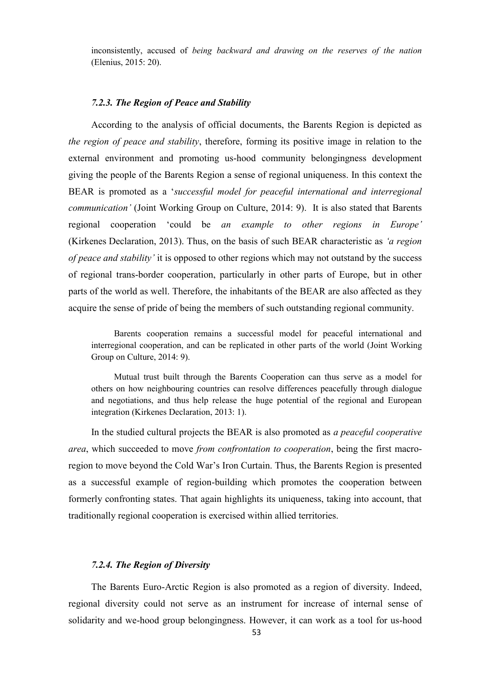inconsistently, accused of *being backward and drawing on the reserves of the nation* (Elenius, 2015: 20).

## *7.2.3. The Region of Peace and Stability*

According to the analysis of official documents, the Barents Region is depicted as *the region of peace and stability*, therefore, forming its positive image in relation to the external environment and promoting us-hood community belongingness development giving the people of the Barents Region a sense of regional uniqueness. In this context the BEAR is promoted as a "*successful model for peaceful international and interregional communication'* (Joint Working Group on Culture, 2014: 9). It is also stated that Barents regional cooperation "could be *an example to other regions in Europe'* (Kirkenes Declaration, 2013). Thus, on the basis of such BEAR characteristic as *‗a region of peace and stability'* it is opposed to other regions which may not outstand by the success of regional trans-border cooperation, particularly in other parts of Europe, but in other parts of the world as well. Therefore, the inhabitants of the BEAR are also affected as they acquire the sense of pride of being the members of such outstanding regional community.

Barents cooperation remains a successful model for peaceful international and interregional cooperation, and can be replicated in other parts of the world (Joint Working Group on Culture, 2014: 9).

Mutual trust built through the Barents Cooperation can thus serve as a model for others on how neighbouring countries can resolve differences peacefully through dialogue and negotiations, and thus help release the huge potential of the regional and European integration (Kirkenes Declaration, 2013: 1).

In the studied cultural projects the BEAR is also promoted as *a peaceful cooperative area*, which succeeded to move *from confrontation to cooperation*, being the first macroregion to move beyond the Cold War"s Iron Curtain. Thus, the Barents Region is presented as a successful example of region-building which promotes the cooperation between formerly confronting states. That again highlights its uniqueness, taking into account, that traditionally regional cooperation is exercised within allied territories.

### *7.2.4. The Region of Diversity*

The Barents Euro-Arctic Region is also promoted as a region of diversity. Indeed, regional diversity could not serve as an instrument for increase of internal sense of solidarity and we-hood group belongingness. However, it can work as a tool for us-hood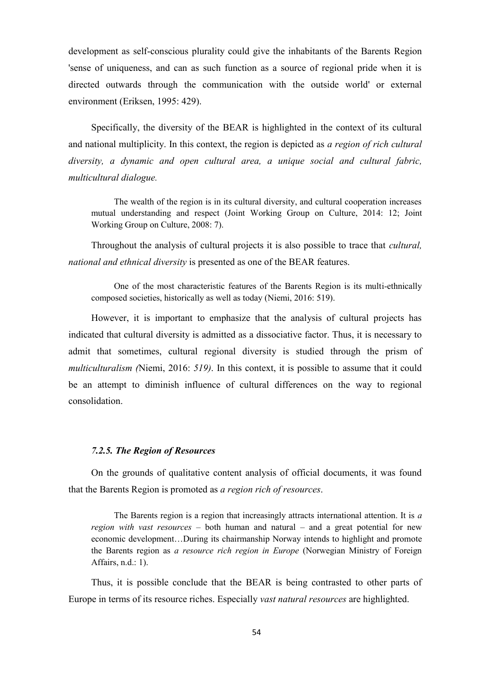development as self-conscious plurality could give the inhabitants of the Barents Region 'sense of uniqueness, and can as such function as a source of regional pride when it is directed outwards through the communication with the outside world' or external environment (Eriksen, 1995: 429).

Specifically, the diversity of the BEAR is highlighted in the context of its cultural and national multiplicity. In this context, the region is depicted as *a region of rich cultural diversity, a dynamic and open cultural area, a unique social and cultural fabric, multicultural dialogue.*

The wealth of the region is in its cultural diversity, and cultural cooperation increases mutual understanding and respect (Joint Working Group on Culture, 2014: 12; Joint Working Group on Culture, 2008: 7).

Throughout the analysis of cultural projects it is also possible to trace that *cultural, national and ethnical diversity* is presented as one of the BEAR features.

One of the most characteristic features of the Barents Region is its multi-ethnically composed societies, historically as well as today (Niemi, 2016: 519).

However, it is important to emphasize that the analysis of cultural projects has indicated that cultural diversity is admitted as a dissociative factor. Thus, it is necessary to admit that sometimes, cultural regional diversity is studied through the prism of *multiculturalism (*Niemi, 2016: *519)*. In this context, it is possible to assume that it could be an attempt to diminish influence of cultural differences on the way to regional consolidation.

#### *7.2.5. The Region of Resources*

On the grounds of qualitative content analysis of official documents, it was found that the Barents Region is promoted as *a region rich of resources*.

The Barents region is a region that increasingly attracts international attention. It is *a region with vast resources* – both human and natural – and a great potential for new economic development…During its chairmanship Norway intends to highlight and promote the Barents region as *a resource rich region in Europe* (Norwegian Ministry of Foreign Affairs, n.d.: 1).

Thus, it is possible conclude that the BEAR is being contrasted to other parts of Europe in terms of its resource riches. Especially *vast natural resources* are highlighted.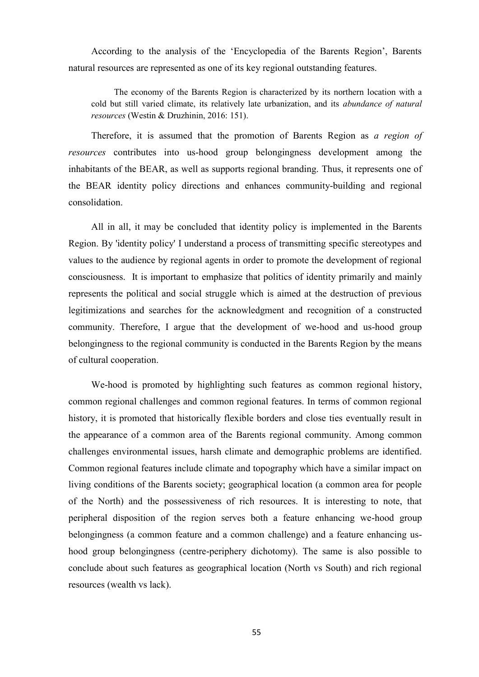According to the analysis of the "Encyclopedia of the Barents Region", Barents natural resources are represented as one of its key regional outstanding features.

The economy of the Barents Region is characterized by its northern location with a cold but still varied climate, its relatively late urbanization, and its *abundance of natural resources* (Westin & Druzhinin, 2016: 151).

Therefore, it is assumed that the promotion of Barents Region as *a region of resources* contributes into us-hood group belongingness development among the inhabitants of the BEAR, as well as supports regional branding. Thus, it represents one of the BEAR identity policy directions and enhances community-building and regional consolidation.

All in all, it may be concluded that identity policy is implemented in the Barents Region. By 'identity policy' I understand a process of transmitting specific stereotypes and values to the audience by regional agents in order to promote the development of regional consciousness. It is important to emphasize that politics of identity primarily and mainly represents the political and social struggle which is aimed at the destruction of previous legitimizations and searches for the acknowledgment and recognition of a constructed community. Therefore, I argue that the development of we-hood and us-hood group belongingness to the regional community is conducted in the Barents Region by the means of cultural cooperation.

We-hood is promoted by highlighting such features as common regional history, common regional challenges and common regional features. In terms of common regional history, it is promoted that historically flexible borders and close ties eventually result in the appearance of a common area of the Barents regional community. Among common challenges environmental issues, harsh climate and demographic problems are identified. Common regional features include climate and topography which have a similar impact on living conditions of the Barents society; geographical location (a common area for people of the North) and the possessiveness of rich resources. It is interesting to note, that peripheral disposition of the region serves both a feature enhancing we-hood group belongingness (a common feature and a common challenge) and a feature enhancing ushood group belongingness (centre-periphery dichotomy). The same is also possible to conclude about such features as geographical location (North vs South) and rich regional resources (wealth vs lack).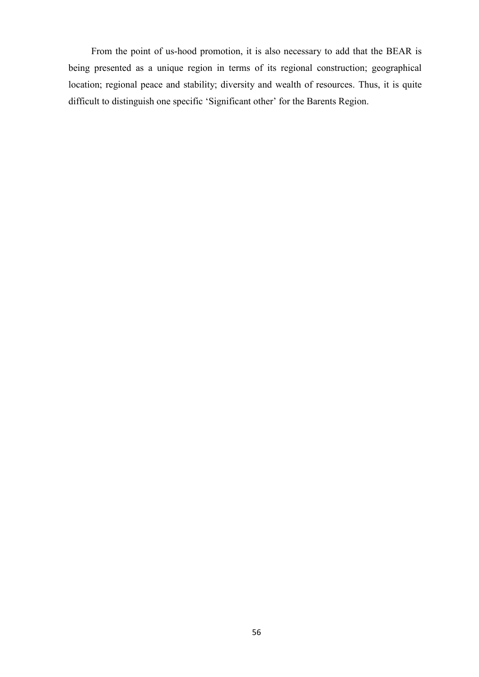From the point of us-hood promotion, it is also necessary to add that the BEAR is being presented as a unique region in terms of its regional construction; geographical location; regional peace and stability; diversity and wealth of resources. Thus, it is quite difficult to distinguish one specific 'Significant other' for the Barents Region.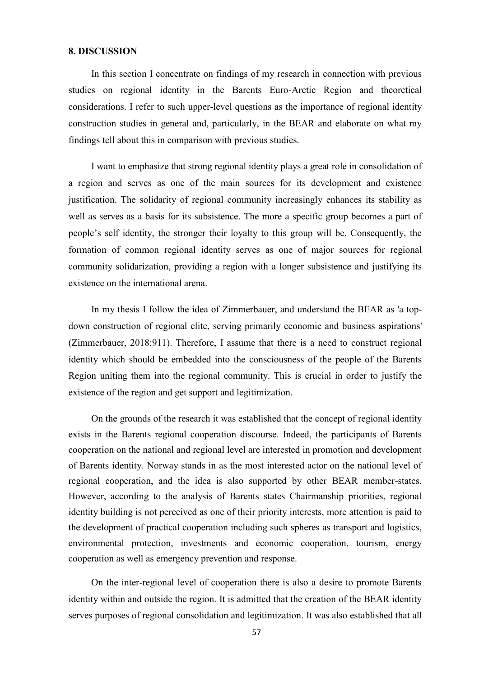## **8. DISCUSSION**

In this section I concentrate on findings of my research in connection with previous studies on regional identity in the Barents Euro-Arctic Region and theoretical considerations. I refer to such upper-level questions as the importance of regional identity construction studies in general and, particularly, in the BEAR and elaborate on what my findings tell about this in comparison with previous studies.

I want to emphasize that strong regional identity plays a great role in consolidation of a region and serves as one of the main sources for its development and existence justification. The solidarity of regional community increasingly enhances its stability as well as serves as a basis for its subsistence. The more a specific group becomes a part of people"s self identity, the stronger their loyalty to this group will be. Consequently, the formation of common regional identity serves as one of major sources for regional community solidarization, providing a region with a longer subsistence and justifying its existence on the international arena.

In my thesis I follow the idea of Zimmerbauer, and understand the BEAR as 'a topdown construction of regional elite, serving primarily economic and business aspirations' (Zimmerbauer, 2018:911). Therefore, I assume that there is a need to construct regional identity which should be embedded into the consciousness of the people of the Barents Region uniting them into the regional community. This is crucial in order to justify the existence of the region and get support and legitimization.

On the grounds of the research it was established that the concept of regional identity exists in the Barents regional cooperation discourse. Indeed, the participants of Barents cooperation on the national and regional level are interested in promotion and development of Barents identity. Norway stands in as the most interested actor on the national level of regional cooperation, and the idea is also supported by other BEAR member-states. However, according to the analysis of Barents states Chairmanship priorities, regional identity building is not perceived as one of their priority interests, more attention is paid to the development of practical cooperation including such spheres as transport and logistics, environmental protection, investments and economic cooperation, tourism, energy cooperation as well as emergency prevention and response.

On the inter-regional level of cooperation there is also a desire to promote Barents identity within and outside the region. It is admitted that the creation of the BEAR identity serves purposes of regional consolidation and legitimization. It was also established that all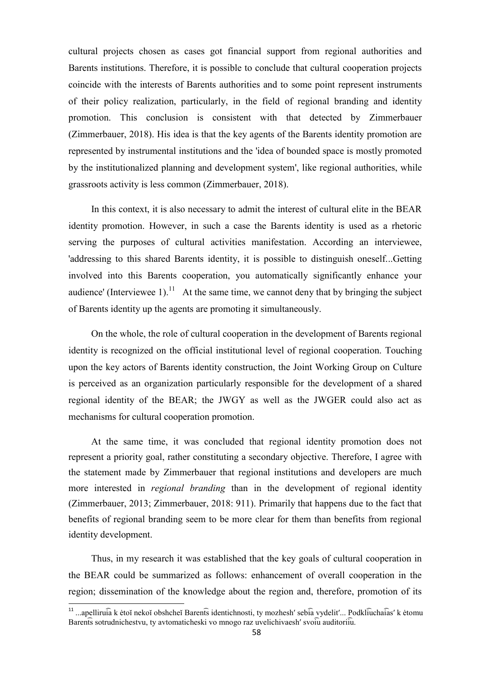cultural projects chosen as cases got financial support from regional authorities and Barents institutions. Therefore, it is possible to conclude that cultural cooperation projects coincide with the interests of Barents authorities and to some point represent instruments of their policy realization, particularly, in the field of regional branding and identity promotion. This conclusion is consistent with that detected by Zimmerbauer (Zimmerbauer, 2018). His idea is that the key agents of the Barents identity promotion are represented by instrumental institutions and the 'idea of bounded space is mostly promoted by the institutionalized planning and development system', like regional authorities, while grassroots activity is less common (Zimmerbauer, 2018).

In this context, it is also necessary to admit the interest of cultural elite in the BEAR identity promotion. However, in such a case the Barents identity is used as a rhetoric serving the purposes of cultural activities manifestation. According an interviewee, 'addressing to this shared Barents identity, it is possible to distinguish oneself...Getting involved into this Barents cooperation, you automatically significantly enhance your audience' (Interviewee 1).<sup>11</sup> At the same time, we cannot deny that by bringing the subject of Barents identity up the agents are promoting it simultaneously.

On the whole, the role of cultural cooperation in the development of Barents regional identity is recognized on the official institutional level of regional cooperation. Touching upon the key actors of Barents identity construction, the Joint Working Group on Culture is perceived as an organization particularly responsible for the development of a shared regional identity of the BEAR; the JWGY as well as the JWGER could also act as mechanisms for cultural cooperation promotion.

At the same time, it was concluded that regional identity promotion does not represent a priority goal, rather constituting a secondary objective. Therefore, I agree with the statement made by Zimmerbauer that regional institutions and developers are much more interested in *regional branding* than in the development of regional identity (Zimmerbauer, 2013; Zimmerbauer, 2018: 911). Primarily that happens due to the fact that benefits of regional branding seem to be more clear for them than benefits from regional identity development.

Thus, in my research it was established that the key goals of cultural cooperation in the BEAR could be summarized as follows: enhancement of overall cooperation in the region; dissemination of the knowledge about the region and, therefore, promotion of its

 11 ...apelliru ia k ėto neko obshche Baren ts identichnosti, ty mozhesh seb ia vydelit ... Podkl iucha ias k ėtomu Barents sotrudnichestvu, ty avtomaticheski vo mnogo raz uvelichivaesh' svoiu auditoriiu.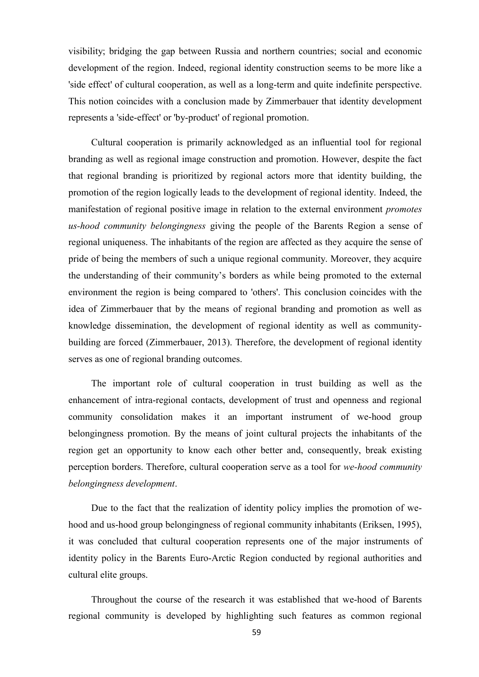visibility; bridging the gap between Russia and northern countries; social and economic development of the region. Indeed, regional identity construction seems to be more like a 'side effect' of cultural cooperation, as well as a long-term and quite indefinite perspective. This notion coincides with a conclusion made by Zimmerbauer that identity development represents a 'side-effect' or 'by-product' of regional promotion.

Cultural cooperation is primarily acknowledged as an influential tool for regional branding as well as regional image construction and promotion. However, despite the fact that regional branding is prioritized by regional actors more that identity building, the promotion of the region logically leads to the development of regional identity. Indeed, the manifestation of regional positive image in relation to the external environment *promotes us-hood community belongingness* giving the people of the Barents Region a sense of regional uniqueness. The inhabitants of the region are affected as they acquire the sense of pride of being the members of such a unique regional community. Moreover, they acquire the understanding of their community"s borders as while being promoted to the external environment the region is being compared to 'others'. This conclusion coincides with the idea of Zimmerbauer that by the means of regional branding and promotion as well as knowledge dissemination, the development of regional identity as well as communitybuilding are forced (Zimmerbauer, 2013). Therefore, the development of regional identity serves as one of regional branding outcomes.

The important role of cultural cooperation in trust building as well as the enhancement of intra-regional contacts, development of trust and openness and regional community consolidation makes it an important instrument of we-hood group belongingness promotion. By the means of joint cultural projects the inhabitants of the region get an opportunity to know each other better and, consequently, break existing perception borders. Therefore, cultural cooperation serve as a tool for *we-hood community belongingness development*.

Due to the fact that the realization of identity policy implies the promotion of wehood and us-hood group belongingness of regional community inhabitants (Eriksen, 1995), it was concluded that cultural cooperation represents one of the major instruments of identity policy in the Barents Euro-Arctic Region conducted by regional authorities and cultural elite groups.

Throughout the course of the research it was established that we-hood of Barents regional community is developed by highlighting such features as common regional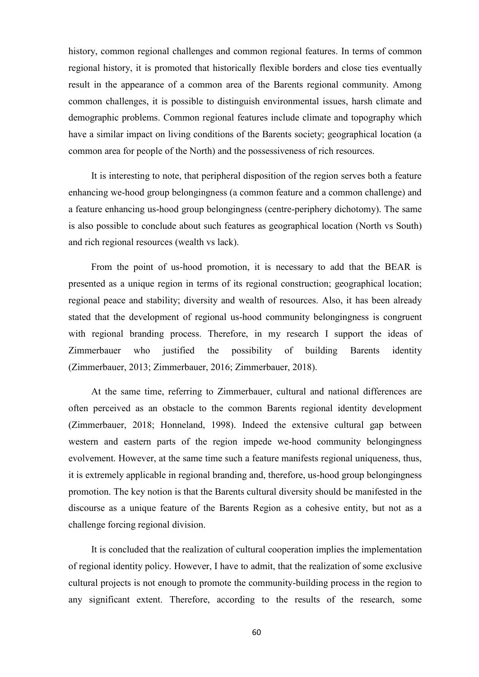history, common regional challenges and common regional features. In terms of common regional history, it is promoted that historically flexible borders and close ties eventually result in the appearance of a common area of the Barents regional community. Among common challenges, it is possible to distinguish environmental issues, harsh climate and demographic problems. Common regional features include climate and topography which have a similar impact on living conditions of the Barents society; geographical location (a common area for people of the North) and the possessiveness of rich resources.

It is interesting to note, that peripheral disposition of the region serves both a feature enhancing we-hood group belongingness (a common feature and a common challenge) and a feature enhancing us-hood group belongingness (centre-periphery dichotomy). The same is also possible to conclude about such features as geographical location (North vs South) and rich regional resources (wealth vs lack).

From the point of us-hood promotion, it is necessary to add that the BEAR is presented as a unique region in terms of its regional construction; geographical location; regional peace and stability; diversity and wealth of resources. Also, it has been already stated that the development of regional us-hood community belongingness is congruent with regional branding process. Therefore, in my research I support the ideas of Zimmerbauer who justified the possibility of building Barents identity (Zimmerbauer, 2013; Zimmerbauer, 2016; Zimmerbauer, 2018).

At the same time, referring to Zimmerbauer, cultural and national differences are often perceived as an obstacle to the common Barents regional identity development (Zimmerbauer, 2018; Honneland, 1998). Indeed the extensive cultural gap between western and eastern parts of the region impede we-hood community belongingness evolvement. However, at the same time such a feature manifests regional uniqueness, thus, it is extremely applicable in regional branding and, therefore, us-hood group belongingness promotion. The key notion is that the Barents cultural diversity should be manifested in the discourse as a unique feature of the Barents Region as a cohesive entity, but not as a challenge forcing regional division.

It is concluded that the realization of cultural cooperation implies the implementation of regional identity policy. However, I have to admit, that the realization of some exclusive cultural projects is not enough to promote the community-building process in the region to any significant extent. Therefore, according to the results of the research, some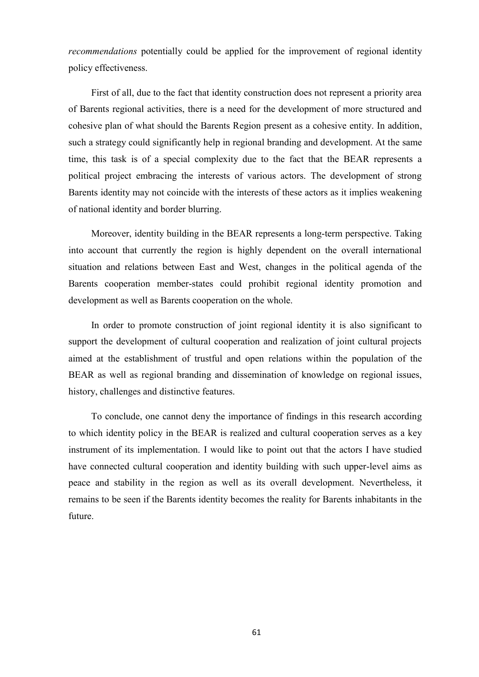*recommendations* potentially could be applied for the improvement of regional identity policy effectiveness.

First of all, due to the fact that identity construction does not represent a priority area of Barents regional activities, there is a need for the development of more structured and cohesive plan of what should the Barents Region present as a cohesive entity. In addition, such a strategy could significantly help in regional branding and development. At the same time, this task is of a special complexity due to the fact that the BEAR represents a political project embracing the interests of various actors. The development of strong Barents identity may not coincide with the interests of these actors as it implies weakening of national identity and border blurring.

Moreover, identity building in the BEAR represents a long-term perspective. Taking into account that currently the region is highly dependent on the overall international situation and relations between East and West, changes in the political agenda of the Barents cooperation member-states could prohibit regional identity promotion and development as well as Barents cooperation on the whole.

In order to promote construction of joint regional identity it is also significant to support the development of cultural cooperation and realization of joint cultural projects aimed at the establishment of trustful and open relations within the population of the BEAR as well as regional branding and dissemination of knowledge on regional issues, history, challenges and distinctive features.

To conclude, one cannot deny the importance of findings in this research according to which identity policy in the BEAR is realized and cultural cooperation serves as a key instrument of its implementation. I would like to point out that the actors I have studied have connected cultural cooperation and identity building with such upper-level aims as peace and stability in the region as well as its overall development. Nevertheless, it remains to be seen if the Barents identity becomes the reality for Barents inhabitants in the future.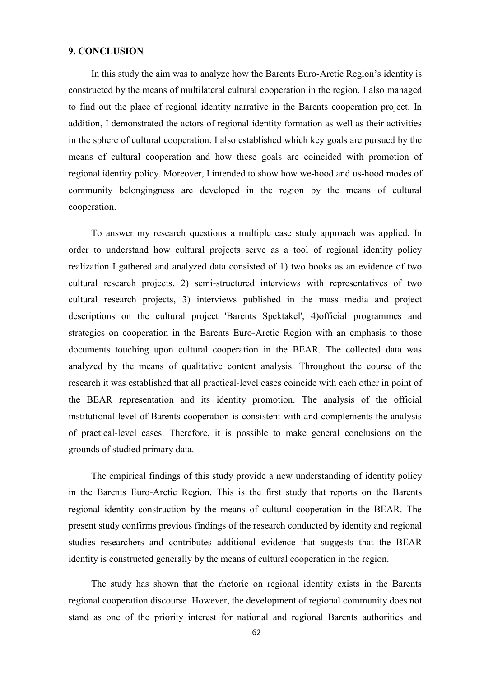## **9. CONCLUSION**

In this study the aim was to analyze how the Barents Euro-Arctic Region"s identity is constructed by the means of multilateral cultural cooperation in the region. I also managed to find out the place of regional identity narrative in the Barents cooperation project. In addition, I demonstrated the actors of regional identity formation as well as their activities in the sphere of cultural cooperation. I also established which key goals are pursued by the means of cultural cooperation and how these goals are coincided with promotion of regional identity policy. Moreover, I intended to show how we-hood and us-hood modes of community belongingness are developed in the region by the means of cultural cooperation.

To answer my research questions a multiple case study approach was applied. In order to understand how cultural projects serve as a tool of regional identity policy realization I gathered and analyzed data consisted of 1) two books as an evidence of two cultural research projects, 2) semi-structured interviews with representatives of two cultural research projects, 3) interviews published in the mass media and project descriptions on the cultural project 'Barents Spektakel', 4)official programmes and strategies on cooperation in the Barents Euro-Arctic Region with an emphasis to those documents touching upon cultural cooperation in the BEAR. The collected data was analyzed by the means of qualitative content analysis. Throughout the course of the research it was established that all practical-level cases coincide with each other in point of the BEAR representation and its identity promotion. The analysis of the official institutional level of Barents cooperation is consistent with and complements the analysis of practical-level cases. Therefore, it is possible to make general conclusions on the grounds of studied primary data.

The empirical findings of this study provide a new understanding of identity policy in the Barents Euro-Arctic Region. This is the first study that reports on the Barents regional identity construction by the means of cultural cooperation in the BEAR. The present study confirms previous findings of the research conducted by identity and regional studies researchers and contributes additional evidence that suggests that the BEAR identity is constructed generally by the means of cultural cooperation in the region.

The study has shown that the rhetoric on regional identity exists in the Barents regional cooperation discourse. However, the development of regional community does not stand as one of the priority interest for national and regional Barents authorities and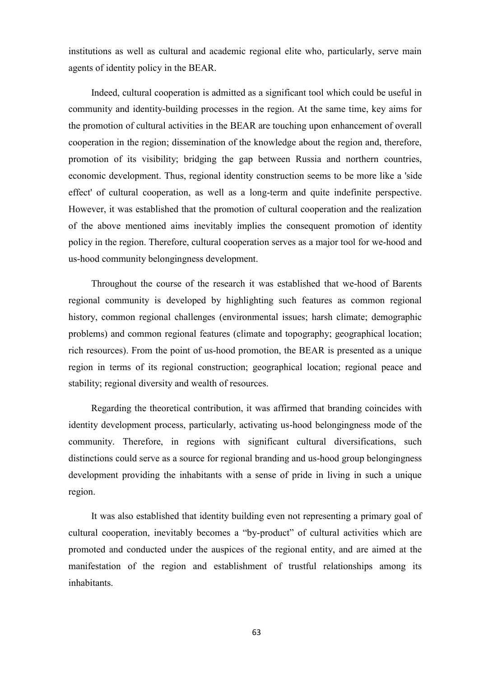institutions as well as cultural and academic regional elite who, particularly, serve main agents of identity policy in the BEAR.

Indeed, cultural cooperation is admitted as a significant tool which could be useful in community and identity-building processes in the region. At the same time, key aims for the promotion of cultural activities in the BEAR are touching upon enhancement of overall cooperation in the region; dissemination of the knowledge about the region and, therefore, promotion of its visibility; bridging the gap between Russia and northern countries, economic development. Thus, regional identity construction seems to be more like a 'side effect' of cultural cooperation, as well as a long-term and quite indefinite perspective. However, it was established that the promotion of cultural cooperation and the realization of the above mentioned aims inevitably implies the consequent promotion of identity policy in the region. Therefore, cultural cooperation serves as a major tool for we-hood and us-hood community belongingness development.

Throughout the course of the research it was established that we-hood of Barents regional community is developed by highlighting such features as common regional history, common regional challenges (environmental issues; harsh climate; demographic problems) and common regional features (climate and topography; geographical location; rich resources). From the point of us-hood promotion, the BEAR is presented as a unique region in terms of its regional construction; geographical location; regional peace and stability; regional diversity and wealth of resources.

Regarding the theoretical contribution, it was affirmed that branding coincides with identity development process, particularly, activating us-hood belongingness mode of the community. Therefore, in regions with significant cultural diversifications, such distinctions could serve as a source for regional branding and us-hood group belongingness development providing the inhabitants with a sense of pride in living in such a unique region.

It was also established that identity building even not representing a primary goal of cultural cooperation, inevitably becomes a "by-product" of cultural activities which are promoted and conducted under the auspices of the regional entity, and are aimed at the manifestation of the region and establishment of trustful relationships among its inhabitants.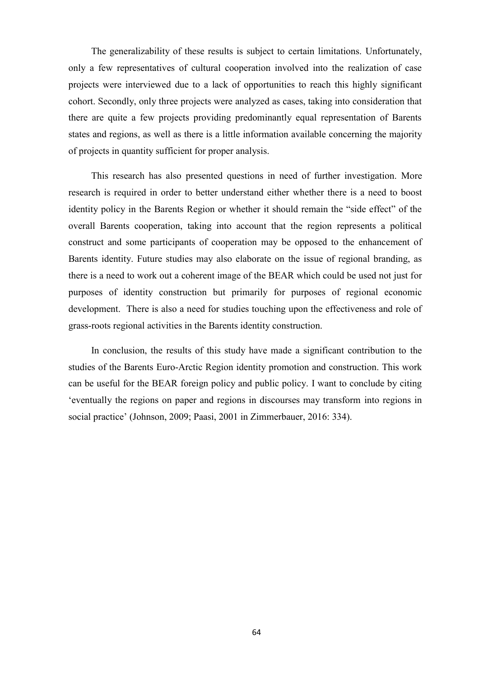The generalizability of these results is subject to certain limitations. Unfortunately, only a few representatives of cultural cooperation involved into the realization of case projects were interviewed due to a lack of opportunities to reach this highly significant cohort. Secondly, only three projects were analyzed as cases, taking into consideration that there are quite a few projects providing predominantly equal representation of Barents states and regions, as well as there is a little information available concerning the majority of projects in quantity sufficient for proper analysis.

This research has also presented questions in need of further investigation. More research is required in order to better understand either whether there is a need to boost identity policy in the Barents Region or whether it should remain the "side effect" of the overall Barents cooperation, taking into account that the region represents a political construct and some participants of cooperation may be opposed to the enhancement of Barents identity. Future studies may also elaborate on the issue of regional branding, as there is a need to work out a coherent image of the BEAR which could be used not just for purposes of identity construction but primarily for purposes of regional economic development. There is also a need for studies touching upon the effectiveness and role of grass-roots regional activities in the Barents identity construction.

In conclusion, the results of this study have made a significant contribution to the studies of the Barents Euro-Arctic Region identity promotion and construction. This work can be useful for the BEAR foreign policy and public policy. I want to conclude by citing "eventually the regions on paper and regions in discourses may transform into regions in social practice" (Johnson, 2009; Paasi, 2001 in Zimmerbauer, 2016: 334).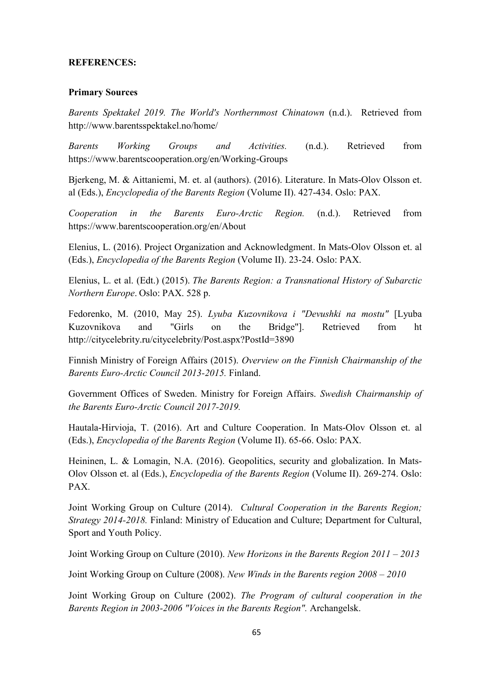# **REFERENCES:**

## **Primary Sources**

*Barents Spektakel 2019. The World's Northernmost Chinatown* (n.d.). Retrieved from http://www.barentsspektakel.no/home/

*Barents Working Groups and Activities.* (n.d.). Retrieved from https://www.barentscooperation.org/en/Working-Groups

Bjerkeng, M. & Aittaniemi, M. et. al (authors). (2016). Literature. In Mats-Olov Olsson et. al (Eds.), *Encyclopedia of the Barents Region* (Volume II). 427-434. Oslo: PAX.

*Cooperation in the Barents Euro-Arctic Region.* (n.d.). Retrieved from https://www.barentscooperation.org/en/About

Elenius, L. (2016). Project Organization and Acknowledgment. In Mats-Olov Olsson et. al (Eds.), *Encyclopedia of the Barents Region* (Volume II). 23-24. Oslo: PAX.

Elenius, L. et al. (Edt.) (2015). *The Barents Region: a Transnational History of Subarctic Northern Europe*. Oslo: PAX. 528 p.

Fedorenko, M. (2010, May 25). *Lyuba Kuzovnikova i "Devushki na mostu"* [Lyuba Kuzovnikova and "Girls on the Bridge"]. Retrieved from ht http://citycelebrity.ru/citycelebrity/Post.aspx?PostId=3890

Finnish Ministry of Foreign Affairs (2015). *Overview on the Finnish Chairmanship of the Barents Euro-Arctic Council 2013-2015.* Finland.

Government Offices of Sweden. Ministry for Foreign Affairs. *Swedish Chairmanship of the Barents Euro-Arctic Council 2017-2019.*

Hautala-Hirvioja, T. (2016). Art and Culture Cooperation. In Mats-Olov Olsson et. al (Eds.), *Encyclopedia of the Barents Region* (Volume II). 65-66. Oslo: PAX.

Heininen, L. & Lomagin, N.A. (2016). Geopolitics, security and globalization. In Mats-Olov Olsson et. al (Eds.), *Encyclopedia of the Barents Region* (Volume II). 269-274. Oslo: PAX.

Joint Working Group on Culture (2014). *Cultural Cooperation in the Barents Region; Strategy 2014-2018.* Finland: Ministry of Education and Culture; Department for Cultural, Sport and Youth Policy.

Joint Working Group on Culture (2010). *New Horizons in the Barents Region 2011 – 2013*

Joint Working Group on Culture (2008). *New Winds in the Barents region 2008 – 2010*

Joint Working Group on Culture (2002). *The Program of cultural cooperation in the Barents Region in 2003-2006 "Voices in the Barents Region".* Archangelsk.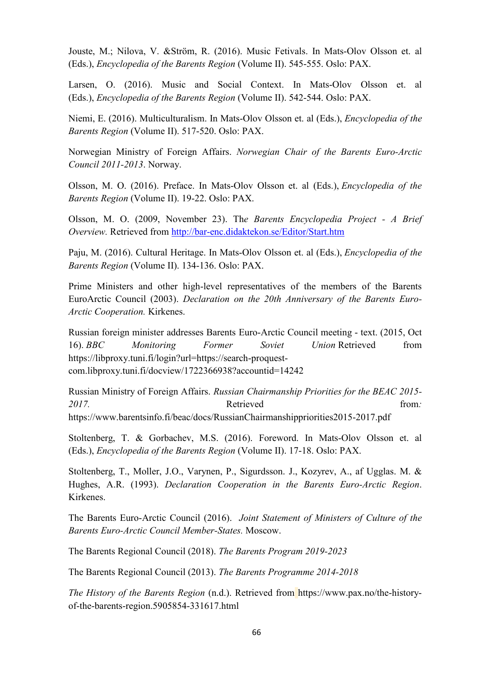Jouste, M.; Nilova, V. &Ström, R. (2016). Music Fetivals. In Mats-Olov Olsson et. al (Eds.), *Encyclopedia of the Barents Region* (Volume II). 545-555. Oslo: PAX.

Larsen, O. (2016). Music and Social Context. In Mats-Olov Olsson et. al (Eds.), *Encyclopedia of the Barents Region* (Volume II). 542-544. Oslo: PAX.

Niemi, E. (2016). Multiculturalism. In Mats-Olov Olsson et. al (Eds.), *Encyclopedia of the Barents Region* (Volume II). 517-520. Oslo: PAX.

Norwegian Ministry of Foreign Affairs. *Norwegian Chair of the Barents Euro-Arctic Council 2011-2013*. Norway.

Olsson, M. O. (2016). Preface. In Mats-Olov Olsson et. al (Eds.), *Encyclopedia of the Barents Region* (Volume II). 19-22. Oslo: PAX.

Olsson, M. O. (2009, November 23). Th*e Barents Encyclopedia Project - A Brief Overview.* Retrieved from<http://bar-enc.didaktekon.se/Editor/Start.htm>

Paju, M. (2016). Cultural Heritage. In Mats-Olov Olsson et. al (Eds.), *Encyclopedia of the Barents Region* (Volume II). 134-136. Oslo: PAX.

Prime Ministers and other high-level representatives of the members of the Barents EuroArctic Council (2003). *Declaration on the 20th Anniversary of the Barents Euro-Arctic Cooperation.* Kirkenes.

Russian foreign minister addresses Barents Euro-Arctic Council meeting - text. (2015, Oct 16). *BBC Monitoring Former Soviet Union* Retrieved from https://libproxy.tuni.fi/login?url=https://search-proquestcom.libproxy.tuni.fi/docview/1722366938?accountid=14242

Russian Ministry of Foreign Affairs. *Russian Chairmanship Priorities for the BEAC 2015-* 2017. **Retrieved** from: https://www.barentsinfo.fi/beac/docs/RussianChairmanshippriorities2015-2017.pdf

Stoltenberg, T. & Gorbachev, M.S. (2016). Foreword. In Mats-Olov Olsson et. al (Eds.), *Encyclopedia of the Barents Region* (Volume II). 17-18. Oslo: PAX.

Stoltenberg, T., Moller, J.O., Varynen, P., Sigurdsson. J., Kozyrev, A., af Ugglas. M. & Hughes, A.R. (1993). *Declaration Cooperation in the Barents Euro-Arctic Region*. Kirkenes.

The Barents Euro-Arctic Council (2016). *Joint Statement of Ministers of Culture of the Barents Euro-Arctic Council Member-States.* Moscow.

The Barents Regional Council (2018). *The Barents Program 2019-2023*

The Barents Regional Council (2013). *The Barents Programme 2014-2018*

*The History of the Barents Region* (n.d.). Retrieved from https://www.pax.no/the-historyof-the-barents-region.5905854-331617.html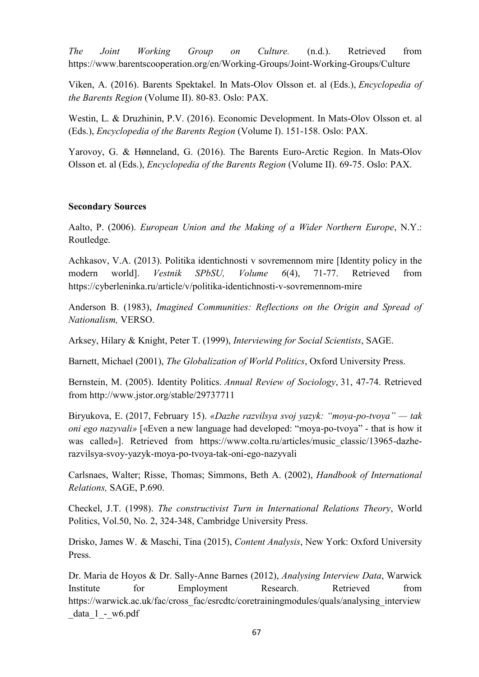*The Joint Working Group on Culture.* (n.d.). Retrieved from https://www.barentscooperation.org/en/Working-Groups/Joint-Working-Groups/Culture

Viken, A. (2016). Barents Spektakel. In Mats-Olov Olsson et. al (Eds.), *Encyclopedia of the Barents Region* (Volume II). 80-83. Oslo: PAX.

Westin, L. & Druzhinin, P.V. (2016). Economic Development. In Mats-Olov Olsson et. al (Eds.), *Encyclopedia of the Barents Region* (Volume I). 151-158. Oslo: PAX.

Yarovoy, G. & Hønneland, G. (2016). The Barents Euro-Arctic Region. In Mats-Olov Olsson et. al (Eds.), *Encyclopedia of the Barents Region* (Volume II). 69-75. Oslo: PAX.

# **Secondary Sources**

Aalto, P. (2006). *European Union and the Making of a Wider Northern Europe*, N.Y.: Routledge.

Achkasov, V.A. (2013). Politika identichnosti v sovremennom mire [Identity policy in the modern world]. *Vestnik SPbSU, Volume 6*(4), 71-77. Retrieved from https://cyberleninka.ru/article/v/politika-identichnosti-v-sovremennom-mire

Anderson B. (1983), *Imagined Communities: Reflections on the Origin and Spread of Nationalism,* VERSO.

Arksey, Hilary & Knight, Peter T. (1999), *Interviewing for Social Scientists*, SAGE.

Barnett, Michael (2001), *The Globalization of World Politics*, Oxford University Press.

Bernstein, M. (2005). Identity Politics. *Annual Review of Sociology*, 31, 47-74. Retrieved from http://www.jstor.org/stable/29737711

Biryukova, E. (2017, February 15). *«Dazhe razvilsya svoj yazyk: "moya-po-tvoya" — tak oni ego nazyvali»* [«Even a new language had developed: "moya-po-tvoya" - that is how it was called»]. Retrieved from https://www.colta.ru/articles/music classic/13965-dazherazvilsya-svoy-yazyk-moya-po-tvoya-tak-oni-ego-nazyvali

Carlsnaes, Walter; Risse, Thomas; Simmons, Beth A. (2002), *Handbook of International Relations,* SAGE, P.690.

Checkel, J.T. (1998). *The constructivist Turn in International Relations Theory*, World Politics, Vol.50, No. 2, 324-348, Cambridge University Press.

Drisko, James W. & Maschi, Tina (2015), *Content Analysis*, New York: Oxford University Press.

Dr. Maria de Hoyos & Dr. Sally-Anne Barnes (2012), *Analysing Interview Data*, Warwick Institute for Employment Research. Retrieved from https://warwick.ac.uk/fac/cross\_fac/esrcdtc/coretrainingmodules/quals/analysing\_interview data 1 - w6.pdf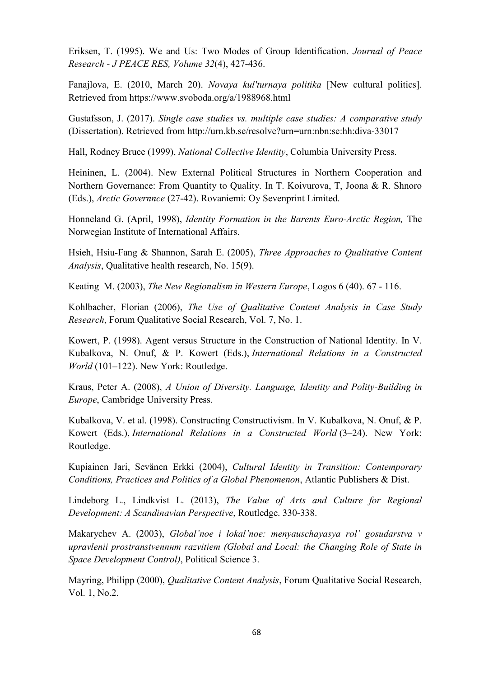Eriksen, T. (1995). We and Us: Two Modes of Group Identification. *Journal of Peace Research - J PEACE RES, Volume 32*(4), 427-436.

Fanajlova, E. (2010, March 20). *Novaya kul'turnaya politika* [New cultural politics]. Retrieved from https://www.svoboda.org/a/1988968.html

Gustafsson, J. (2017). *Single case studies vs. multiple case studies: A comparative study* (Dissertation). Retrieved from http://urn.kb.se/resolve?urn=urn:nbn:se:hh:diva-33017

Hall, Rodney Bruce (1999), *National Collective Identity*, Columbia University Press.

Heininen, L. (2004). New External Political Structures in Northern Cooperation and Northern Governance: From Quantity to Quality. In T. Koivurova, T, Joona & R. Shnoro (Eds.), *Arctic Governnce* (27-42). Rovaniemi: Oy Sevenprint Limited.

Honneland G. (April, 1998), *Identity Formation in the Barents Euro-Arctic Region,* The Norwegian Institute of International Affairs.

Hsieh, Hsiu-Fang & Shannon, Sarah E. (2005), *Three Approaches to Qualitative Content Analysis*, Qualitative health research, No. 15(9).

Keating М. (2003), *The New Regionalism in Western Europe*, Logos 6 (40). 67 - 116.

Kohlbacher, Florian (2006), *The Use of Qualitative Content Analysis in Case Study Research*, Forum Qualitative Social Research, Vol. 7, No. 1.

Kowert, P. (1998). Agent versus Structure in the Construction of National Identity. In V. Kubalkova, N. Onuf, & P. Kowert (Eds.), *International Relations in a Constructed World* (101–122). New York: Routledge.

Kraus, Peter A. (2008), *A Union of Diversity. Language, Identity and Polity-Building in Europe*, Cambridge University Press.

Kubalkova, V. et al. (1998). Constructing Constructivism. In V. Kubalkova, N. Onuf, & P. Kowert (Eds.), *International Relations in a Constructed World* (3–24). New York: Routledge.

Kupiainen Jari, Sevänen Erkki (2004), *Cultural Identity in Transition: Contemporary Conditions, Practices and Politics of a Global Phenomenon*, Atlantic Publishers & Dist.

Lindeborg L., Lindkvist L. (2013), *The Value of Arts and Culture for Regional Development: A Scandinavian Perspective*, Routledge. 330-338.

Makarychev A. (2003), *Global'noe i lokal'noe: menyauschayasya rol' gosudarstva v upravlenii prostranstvennнm razvitiem (Global and Local: the Changing Role of State in Space Development Control)*, Political Science 3.

Mayring, Philipp (2000), *Qualitative Content Analysis*, Forum Qualitative Social Research, Vol. 1, No.2.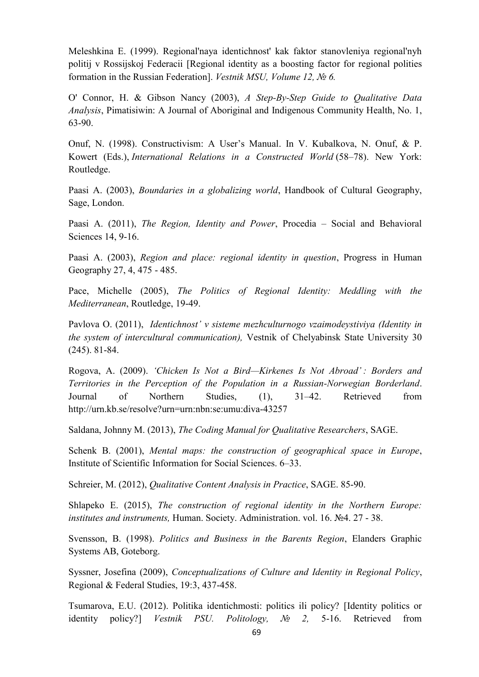Meleshkina E. (1999). Regional'naya identichnost' kak faktor stanovleniya regional'nyh politij v Rossijskoj Federacii [Regional identity as a boosting factor for regional polities formation in the Russian Federation]. *Vestnik MSU, Volume 12, № 6.*

O' Connor, H. & Gibson Nancy (2003), *A Step-By-Step Guide to Qualitative Data Analysis*, Pimatisiwin: A Journal of Aboriginal and Indigenous Community Health, No. 1, 63-90.

Onuf, N. (1998). Constructivism: A User's Manual. In V. Kubalkova, N. Onuf, & P. Kowert (Eds.), *International Relations in a Constructed World* (58–78). New York: Routledge.

Paasi A. (2003), *Boundaries in a globalizing world*, Handbook of Cultural Geography, Sage, London.

Paasi A. (2011), *The Region, Identity and Power*, Procedia – Social and Behavioral Sciences 14, 9-16.

Paasi A. (2003), *Region and place: regional identity in question*, Progress in Human Geography 27, 4, 475 - 485.

Pace, Michelle (2005), *The Politics of Regional Identity: Meddling with the Mediterranean*, Routledge, 19-49.

Pavlova O. (2011), *Identichnost' v sisteme mezhculturnogo vzaimodeystiviya (Identity in the system of intercultural communication),* Vestnik of Chelyabinsk State University 30 (245). 81-84.

Rogova, A. (2009). *‗Chicken Is Not a Bird—Kirkenes Is Not Abroad' : Borders and Territories in the Perception of the Population in a Russian-Norwegian Borderland*. Journal of Northern Studies, (1), 31–42. Retrieved from http://urn.kb.se/resolve?urn=urn:nbn:se:umu:diva-43257

Saldana, Johnny M. (2013), *The Coding Manual for Qualitative Researchers*, SAGE.

Schenk B. (2001), *Mental maps: the construction of geographical space in Europe*, Institute of Scientific Information for Social Sciences. 6–33.

Schreier, M. (2012), *Qualitative Content Analysis in Practice*, SAGE. 85-90.

Shlapeko E. (2015), *The construction of regional identity in the Northern Europe: institutes and instruments,* Human. Society. Administration. vol. 16. №4. 27 - 38.

Svensson, B. (1998). *Politics and Business in the Barents Region*, Elanders Graphic Systems AB, Goteborg.

Syssner, Josefina (2009), *Conceptualizations of Culture and Identity in Regional Policy*, Regional & Federal Studies, 19:3, 437-458.

Tsumarova, E.U. (2012). Politika identichmosti: politics ili policy? [Identity politics or identity policy?] *Vestnik PSU. Politology, № 2,* 5-16. Retrieved from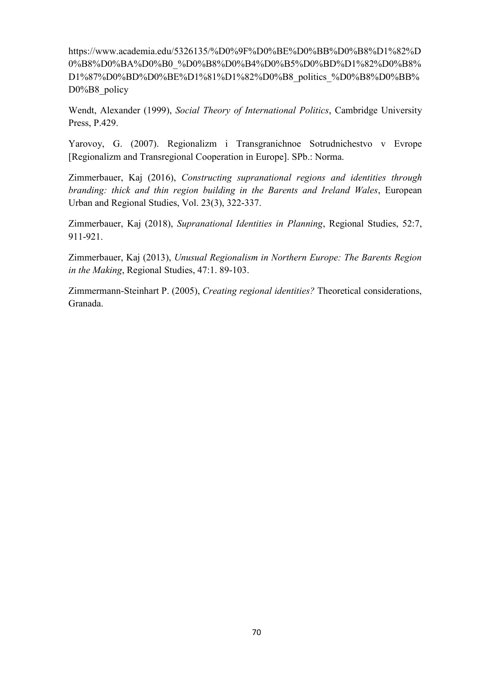https://www.academia.edu/5326135/%D0%9F%D0%BE%D0%BB%D0%B8%D1%82%D 0%B8%D0%BA%D0%B0\_%D0%B8%D0%B4%D0%B5%D0%BD%D1%82%D0%B8% D1%87%D0%BD%D0%BE%D1%81%D1%82%D0%B8\_politics\_%D0%B8%D0%BB% D0%B8 policy

Wendt, Alexander (1999), *Social Theory of International Politics*, Cambridge University Press, P.429.

Yarovoy, G. (2007). Regionalizm i Transgranichnoe Sotrudnichestvo v Evrope [Regionalizm and Transregional Cooperation in Europe]. SPb.: Norma.

Zimmerbauer, Kaj (2016), *Constructing supranational regions and identities through branding: thick and thin region building in the Barents and Ireland Wales*, European Urban and Regional Studies, Vol. 23(3), 322-337.

Zimmerbauer, Kaj (2018), *Supranational Identities in Planning*, Regional Studies, 52:7, 911-921.

Zimmerbauer, Kaj (2013), *Unusual Regionalism in Northern Europe: The Barents Region in the Making*, Regional Studies, 47:1. 89-103.

Zimmermann-Steinhart P. (2005), *Creating regional identities?* Theoretical considerations, Granada.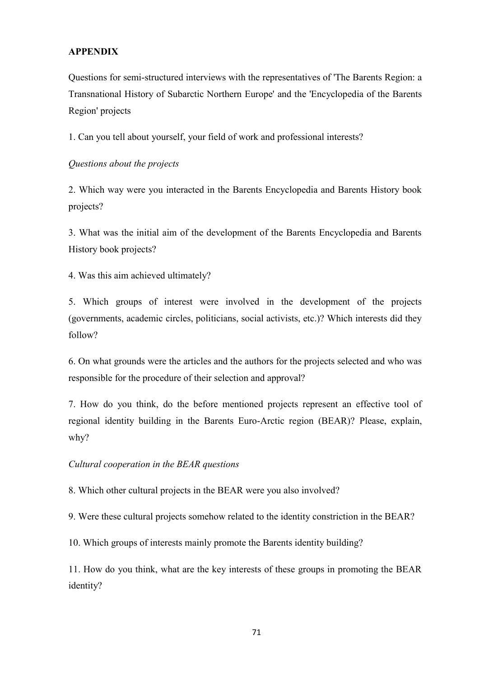## **APPENDIX**

Questions for semi-structured interviews with the representatives of 'The Barents Region: a Transnational History of Subarctic Northern Europe' and the 'Encyclopedia of the Barents Region' projects

1. Can you tell about yourself, your field of work and professional interests?

## *Questions about the projects*

2. Which way were you interacted in the Barents Encyclopedia and Barents History book projects?

3. What was the initial aim of the development of the Barents Encyclopedia and Barents History book projects?

4. Was this aim achieved ultimately?

5. Which groups of interest were involved in the development of the projects (governments, academic circles, politicians, social activists, etc.)? Which interests did they follow?

6. On what grounds were the articles and the authors for the projects selected and who was responsible for the procedure of their selection and approval?

7. How do you think, do the before mentioned projects represent an effective tool of regional identity building in the Barents Euro-Arctic region (BEAR)? Please, explain, why?

## *Cultural cooperation in the BEAR questions*

8. Which other cultural projects in the BEAR were you also involved?

9. Were these cultural projects somehow related to the identity constriction in the BEAR?

10. Which groups of interests mainly promote the Barents identity building?

11. How do you think, what are the key interests of these groups in promoting the BEAR identity?